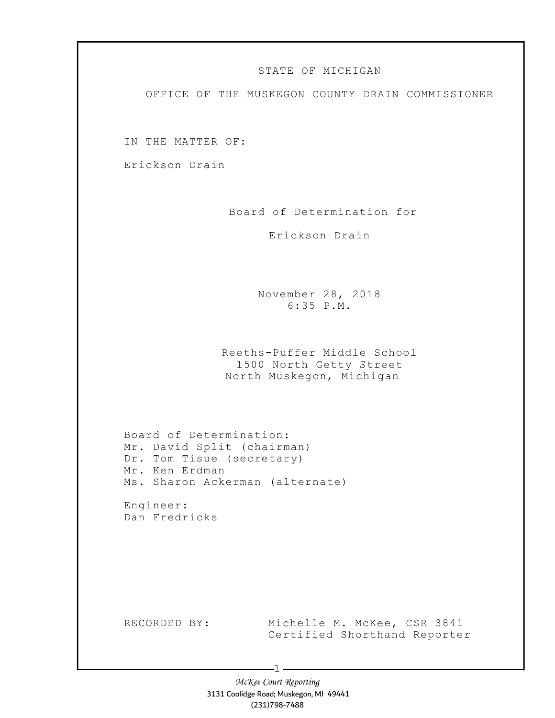## STATE OF MICHIGAN

OFFICE OF THE MUSKEGON COUNTY DRAIN COMMISSIONER

IN THE MATTER OF:

Erickson Drain

Board of Determination for

Erickson Drain

November 28, 2018 6:35 P.M.

Reeths-Puffer Middle School 1500 North Getty Street North Muskegon, Michigan

Board of Determination: Mr. David Split (chairman) Dr. Tom Tisue (secretary) Mr. Ken Erdman Ms. Sharon Ackerman (alternate)

Engineer: Dan Fredricks

RECORDED BY: Michelle M. McKee, CSR 3841 Certified Shorthand Reporter

> McKee Court Reporting 3131 Coolidge Road; Muskegon, MI 49441 (231)798-7488

-1 -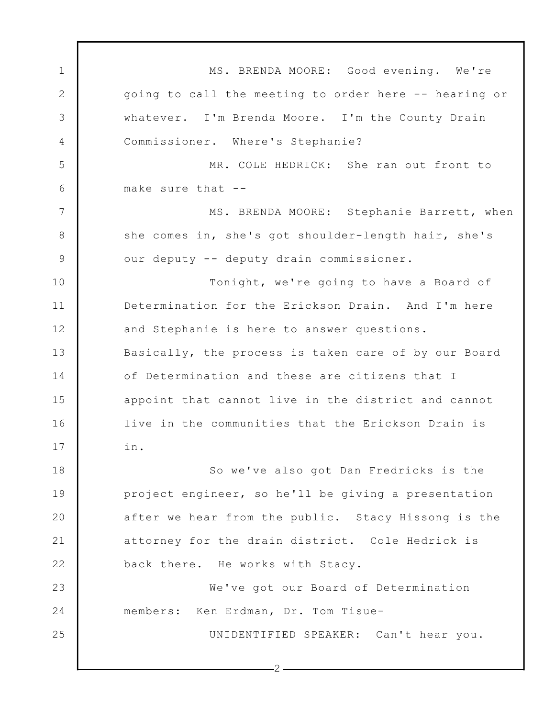1 2 3 4 5 6 7 8 9 10 11 12 13 14 15 16 17 18 19 20 21 22 23 24 25 MS. BRENDA MOORE: Good evening. We're going to call the meeting to order here -- hearing or whatever. I'm Brenda Moore. I'm the County Drain Commissioner. Where's Stephanie? MR. COLE HEDRICK: She ran out front to make sure that -- MS. BRENDA MOORE: Stephanie Barrett, when she comes in, she's got shoulder-length hair, she's our deputy -- deputy drain commissioner. Tonight, we're going to have a Board of Determination for the Erickson Drain. And I'm here and Stephanie is here to answer questions. Basically, the process is taken care of by our Board of Determination and these are citizens that I appoint that cannot live in the district and cannot live in the communities that the Erickson Drain is in. So we've also got Dan Fredricks is the project engineer, so he'll be giving a presentation after we hear from the public. Stacy Hissong is the attorney for the drain district. Cole Hedrick is back there. He works with Stacy. We've got our Board of Determination members: Ken Erdman, Dr. Tom Tisue-UNIDENTIFIED SPEAKER: Can't hear you.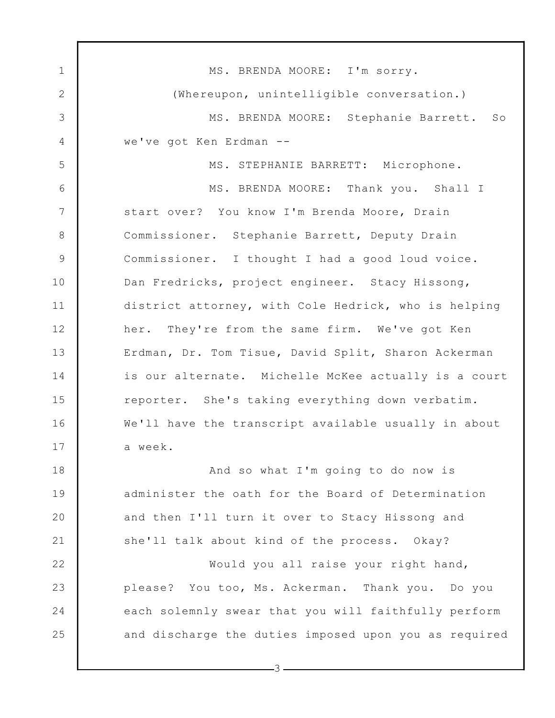1 2 3 4 5 6 7 8 9 10 11 12 13 14 15 16 17 18 19 20 21 22 23 24 25 MS. BRENDA MOORE: I'm sorry. (Whereupon, unintelligible conversation.) MS. BRENDA MOORE: Stephanie Barrett. So we've got Ken Erdman -- MS. STEPHANIE BARRETT: Microphone. MS. BRENDA MOORE: Thank you. Shall I start over? You know I'm Brenda Moore, Drain Commissioner. Stephanie Barrett, Deputy Drain Commissioner. I thought I had a good loud voice. Dan Fredricks, project engineer. Stacy Hissong, district attorney, with Cole Hedrick, who is helping her. They're from the same firm. We've got Ken Erdman, Dr. Tom Tisue, David Split, Sharon Ackerman is our alternate. Michelle McKee actually is a court reporter. She's taking everything down verbatim. We'll have the transcript available usually in about a week. And so what I'm going to do now is administer the oath for the Board of Determination and then I'll turn it over to Stacy Hissong and she'll talk about kind of the process. Okay? Would you all raise your right hand, please? You too, Ms. Ackerman. Thank you. Do you each solemnly swear that you will faithfully perform and discharge the duties imposed upon you as required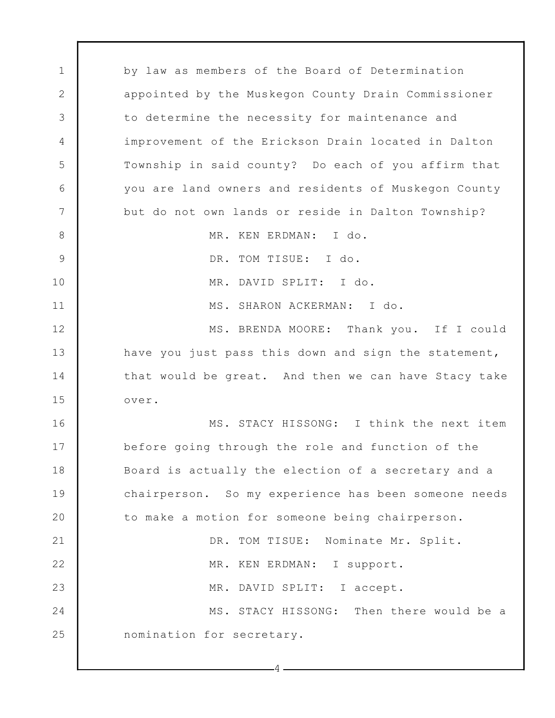1 2 3 4 5 6 7 8 9 10 11 12 13 14 15 16 17 18 19 20 21 22 23 24 25 by law as members of the Board of Determination appointed by the Muskegon County Drain Commissioner to determine the necessity for maintenance and improvement of the Erickson Drain located in Dalton Township in said county? Do each of you affirm that you are land owners and residents of Muskegon County but do not own lands or reside in Dalton Township? MR. KEN ERDMAN: I do. DR. TOM TISUE: I do. MR. DAVID SPLIT: I do. MS. SHARON ACKERMAN: I do. MS. BRENDA MOORE: Thank you. If I could have you just pass this down and sign the statement, that would be great. And then we can have Stacy take over. MS. STACY HISSONG: I think the next item before going through the role and function of the Board is actually the election of a secretary and a chairperson. So my experience has been someone needs to make a motion for someone being chairperson. DR. TOM TISUE: Nominate Mr. Split. MR. KEN ERDMAN: I support. MR. DAVID SPLIT: I accept. MS. STACY HISSONG: Then there would be a nomination for secretary.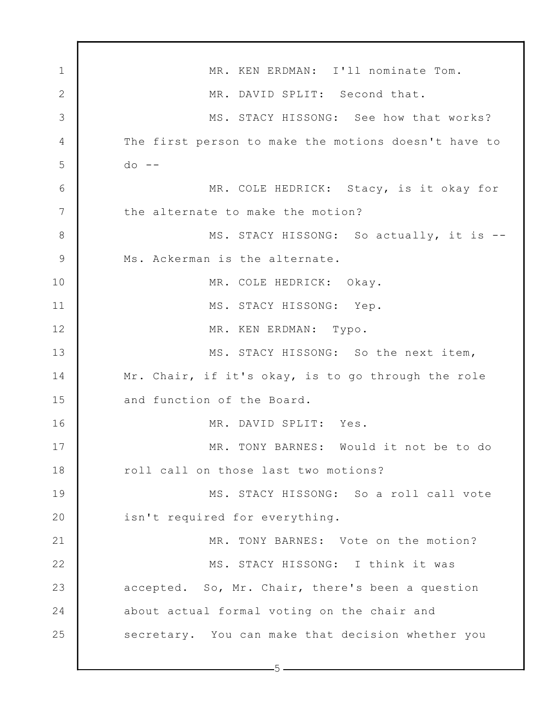1 2 3 4 5 6 7 8 9 10 11 12 13 14 15 16 17 18 19 20 21 22 23 24 25 MR. KEN ERDMAN: I'll nominate Tom. MR. DAVID SPLIT: Second that. MS. STACY HISSONG: See how that works? The first person to make the motions doesn't have to  $do$  --MR. COLE HEDRICK: Stacy, is it okay for the alternate to make the motion? MS. STACY HISSONG: So actually, it is -- Ms. Ackerman is the alternate. MR. COLE HEDRICK: Okay. MS. STACY HISSONG: Yep. MR. KEN ERDMAN: Typo. MS. STACY HISSONG: So the next item, Mr. Chair, if it's okay, is to go through the role and function of the Board. MR. DAVID SPLIT: Yes. MR. TONY BARNES: Would it not be to do roll call on those last two motions? MS. STACY HISSONG: So a roll call vote isn't required for everything. MR. TONY BARNES: Vote on the motion? MS. STACY HISSONG: I think it was accepted. So, Mr. Chair, there's been a question about actual formal voting on the chair and secretary. You can make that decision whether you

 $-5-$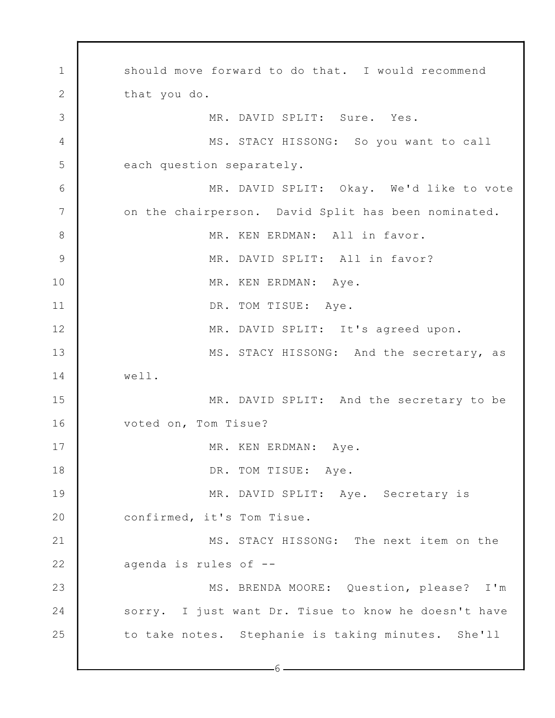1 2 3 4 5 6 7 8 9 10 11 12 13 14 15 16 17 18 19 20 21 22 23 24 25 should move forward to do that. I would recommend that you do. MR. DAVID SPLIT: Sure. Yes. MS. STACY HISSONG: So you want to call each question separately. MR. DAVID SPLIT: Okay. We'd like to vote on the chairperson. David Split has been nominated. MR. KEN ERDMAN: All in favor. MR. DAVID SPLIT: All in favor? MR. KEN ERDMAN: Aye. DR. TOM TISUE: Aye. MR. DAVID SPLIT: It's agreed upon. MS. STACY HISSONG: And the secretary, as well. MR. DAVID SPLIT: And the secretary to be voted on, Tom Tisue? MR. KEN ERDMAN: Aye. DR. TOM TISUE: Aye. MR. DAVID SPLIT: Aye. Secretary is confirmed, it's Tom Tisue. MS. STACY HISSONG: The next item on the agenda is rules of -- MS. BRENDA MOORE: Question, please? I'm sorry. I just want Dr. Tisue to know he doesn't have to take notes. Stephanie is taking minutes. She'll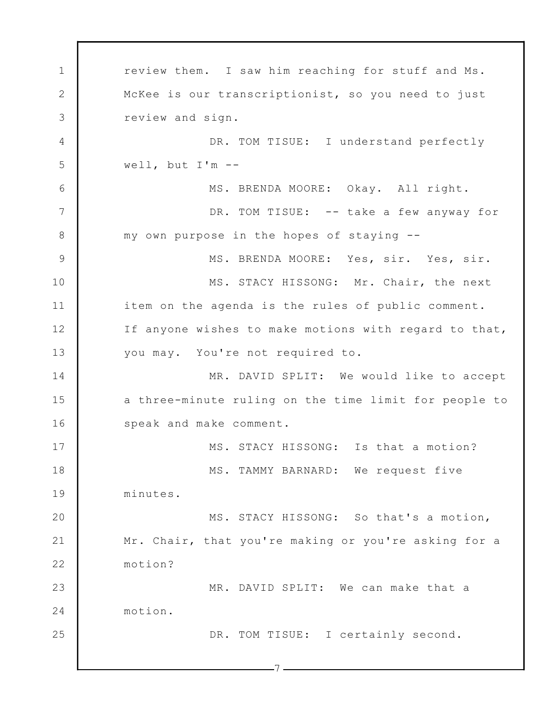1 2 3 4 5 6 7 8 9 10 11 12 13 14 15 16 17 18 19 20 21 22 23 24 25 7 review them. I saw him reaching for stuff and Ms. McKee is our transcriptionist, so you need to just review and sign. DR. TOM TISUE: I understand perfectly well, but I'm -- MS. BRENDA MOORE: Okay. All right. DR. TOM TISUE: -- take a few anyway for my own purpose in the hopes of staying -- MS. BRENDA MOORE: Yes, sir. Yes, sir. MS. STACY HISSONG: Mr. Chair, the next item on the agenda is the rules of public comment. If anyone wishes to make motions with regard to that, you may. You're not required to. MR. DAVID SPLIT: We would like to accept a three-minute ruling on the time limit for people to speak and make comment. MS. STACY HISSONG: Is that a motion? MS. TAMMY BARNARD: We request five minutes. MS. STACY HISSONG: So that's a motion, Mr. Chair, that you're making or you're asking for a motion? MR. DAVID SPLIT: We can make that a motion. DR. TOM TISUE: I certainly second.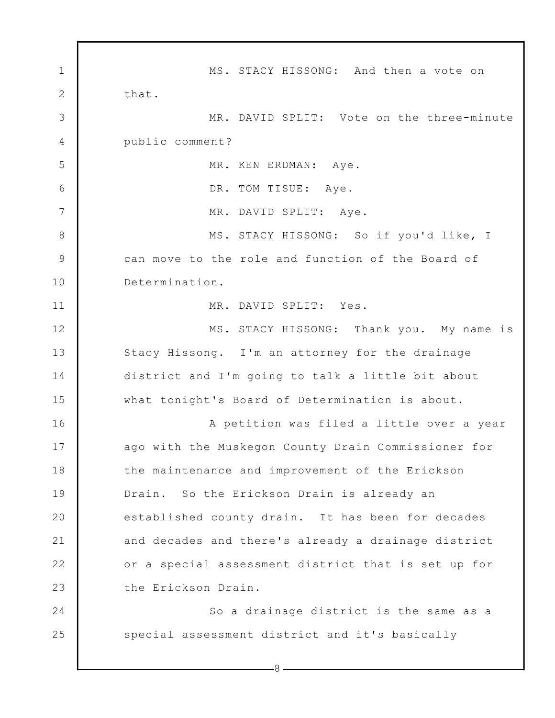1 2 3 4 5 6 7 8 9 10 11 12 13 14 15 16 17 18 19 20 21 22 23 24 25 8 MS. STACY HISSONG: And then a vote on that. MR. DAVID SPLIT: Vote on the three-minute public comment? MR. KEN ERDMAN: Aye. DR. TOM TISUE: Aye. MR. DAVID SPLIT: Aye. MS. STACY HISSONG: So if you'd like, I can move to the role and function of the Board of Determination. MR. DAVID SPLIT: Yes. MS. STACY HISSONG: Thank you. My name is Stacy Hissong. I'm an attorney for the drainage district and I'm going to talk a little bit about what tonight's Board of Determination is about. A petition was filed a little over a year ago with the Muskegon County Drain Commissioner for the maintenance and improvement of the Erickson Drain. So the Erickson Drain is already an established county drain. It has been for decades and decades and there's already a drainage district or a special assessment district that is set up for the Erickson Drain. So a drainage district is the same as a special assessment district and it's basically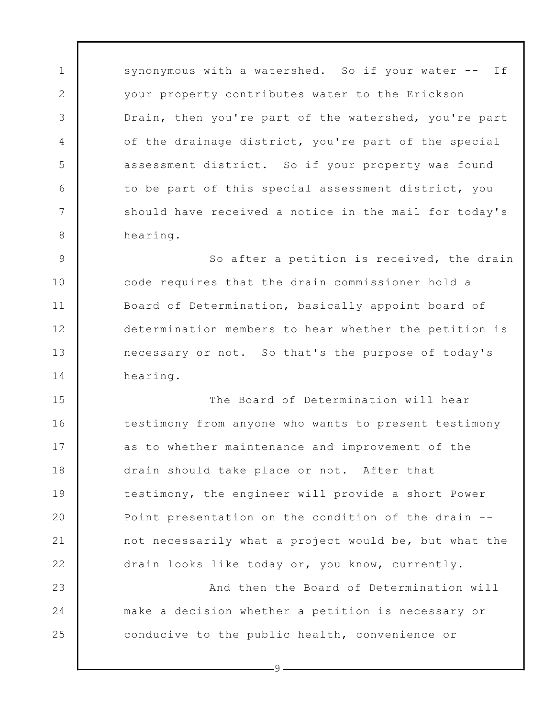synonymous with a watershed. So if your water -- If your property contributes water to the Erickson Drain, then you're part of the watershed, you're part of the drainage district, you're part of the special assessment district. So if your property was found to be part of this special assessment district, you should have received a notice in the mail for today's hearing.

1

2

3

4

5

6

7

8

9

10

11

12

13

14

23

24

25

So after a petition is received, the drain code requires that the drain commissioner hold a Board of Determination, basically appoint board of determination members to hear whether the petition is necessary or not. So that's the purpose of today's hearing.

15 16 17 18 19 20 21 22 The Board of Determination will hear testimony from anyone who wants to present testimony as to whether maintenance and improvement of the drain should take place or not. After that testimony, the engineer will provide a short Power Point presentation on the condition of the drain - not necessarily what a project would be, but what the drain looks like today or, you know, currently.

And then the Board of Determination will make a decision whether a petition is necessary or conducive to the public health, convenience or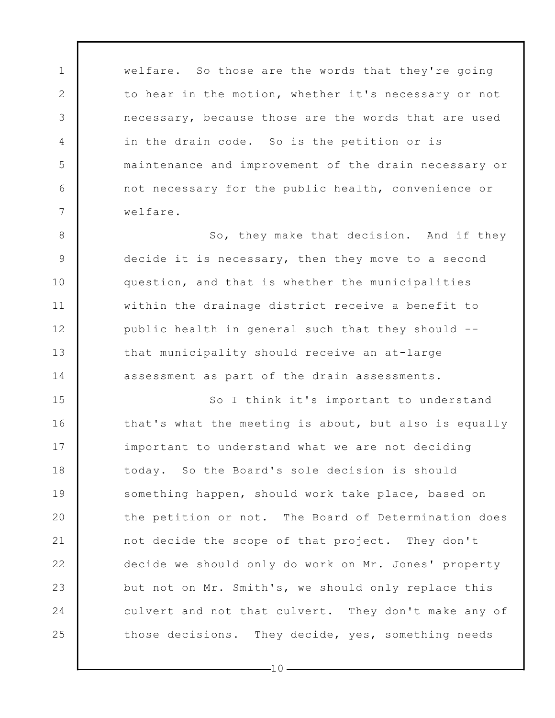welfare. So those are the words that they're going to hear in the motion, whether it's necessary or not necessary, because those are the words that are used in the drain code. So is the petition or is maintenance and improvement of the drain necessary or not necessary for the public health, convenience or welfare.

1

2

3

4

5

6

7

8

9

10

11

12

13

14

So, they make that decision. And if they decide it is necessary, then they move to a second question, and that is whether the municipalities within the drainage district receive a benefit to public health in general such that they should - that municipality should receive an at-large assessment as part of the drain assessments.

15 16 17 18 19 20 21 22 23 24 25 So I think it's important to understand that's what the meeting is about, but also is equally important to understand what we are not deciding today. So the Board's sole decision is should something happen, should work take place, based on the petition or not. The Board of Determination does not decide the scope of that project. They don't decide we should only do work on Mr. Jones' property but not on Mr. Smith's, we should only replace this culvert and not that culvert. They don't make any of those decisions. They decide, yes, something needs

 $-10-$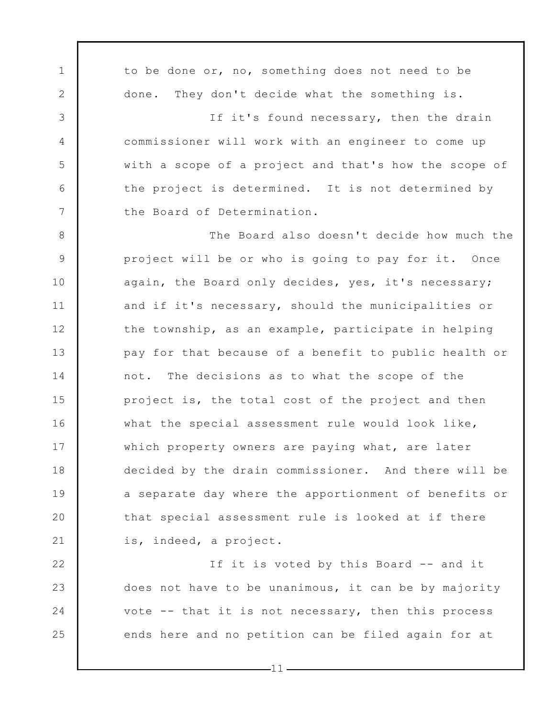1 2 3 4 5 6 7 8 9 10 11 12 13 14 15 16 17 18 19 20 21 22 23 24 25 to be done or, no, something does not need to be done. They don't decide what the something is. If it's found necessary, then the drain commissioner will work with an engineer to come up with a scope of a project and that's how the scope of the project is determined. It is not determined by the Board of Determination. The Board also doesn't decide how much the project will be or who is going to pay for it. Once again, the Board only decides, yes, it's necessary; and if it's necessary, should the municipalities or the township, as an example, participate in helping pay for that because of a benefit to public health or not. The decisions as to what the scope of the project is, the total cost of the project and then what the special assessment rule would look like, which property owners are paying what, are later decided by the drain commissioner. And there will be a separate day where the apportionment of benefits or that special assessment rule is looked at if there is, indeed, a project. If it is voted by this Board -- and it does not have to be unanimous, it can be by majority vote -- that it is not necessary, then this process ends here and no petition can be filed again for at

 $-11$  -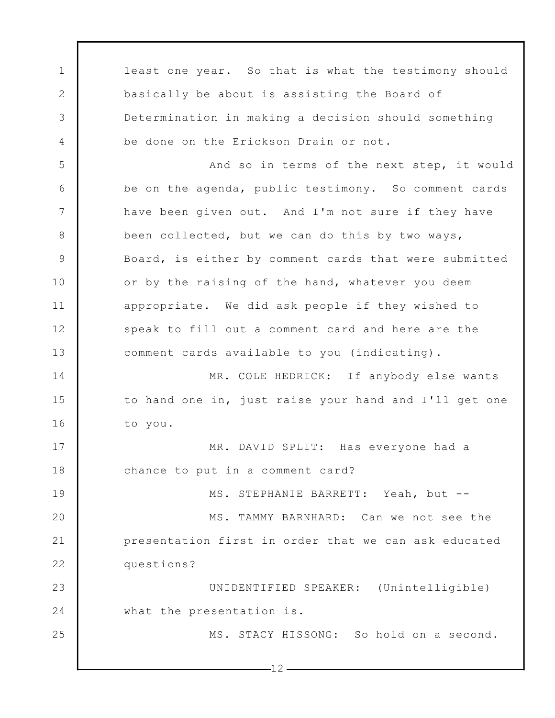1 2 3 4 5 6 7 8 9 10 11 12 13 14 15 16 17 18 19 20 21 22 23 24 25 least one year. So that is what the testimony should basically be about is assisting the Board of Determination in making a decision should something be done on the Erickson Drain or not. And so in terms of the next step, it would be on the agenda, public testimony. So comment cards have been given out. And I'm not sure if they have been collected, but we can do this by two ways, Board, is either by comment cards that were submitted or by the raising of the hand, whatever you deem appropriate. We did ask people if they wished to speak to fill out a comment card and here are the comment cards available to you (indicating). MR. COLE HEDRICK: If anybody else wants to hand one in, just raise your hand and I'll get one to you. MR. DAVID SPLIT: Has everyone had a chance to put in a comment card? MS. STEPHANIE BARRETT: Yeah, but -- MS. TAMMY BARNHARD: Can we not see the presentation first in order that we can ask educated questions? UNIDENTIFIED SPEAKER: (Unintelligible) what the presentation is. MS. STACY HISSONG: So hold on a second.

 $-12-$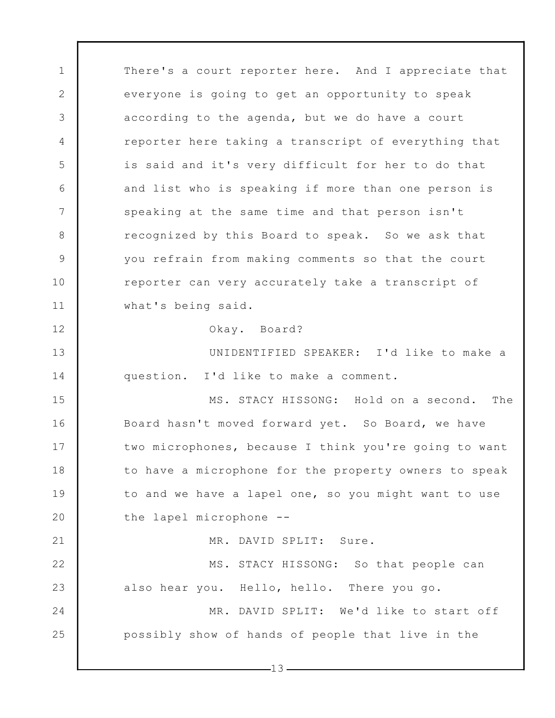1 2 3 4 5 6 7 8 9 10 11 12 13 14 15 16 17 18 19 20 21 22 23 24 25 There's a court reporter here. And I appreciate that everyone is going to get an opportunity to speak according to the agenda, but we do have a court reporter here taking a transcript of everything that is said and it's very difficult for her to do that and list who is speaking if more than one person is speaking at the same time and that person isn't recognized by this Board to speak. So we ask that you refrain from making comments so that the court reporter can very accurately take a transcript of what's being said. Okay. Board? UNIDENTIFIED SPEAKER: I'd like to make a question. I'd like to make a comment. MS. STACY HISSONG: Hold on a second. The Board hasn't moved forward yet. So Board, we have two microphones, because I think you're going to want to have a microphone for the property owners to speak to and we have a lapel one, so you might want to use the lapel microphone -- MR. DAVID SPLIT: Sure. MS. STACY HISSONG: So that people can also hear you. Hello, hello. There you go. MR. DAVID SPLIT: We'd like to start off possibly show of hands of people that live in the

 $-13-$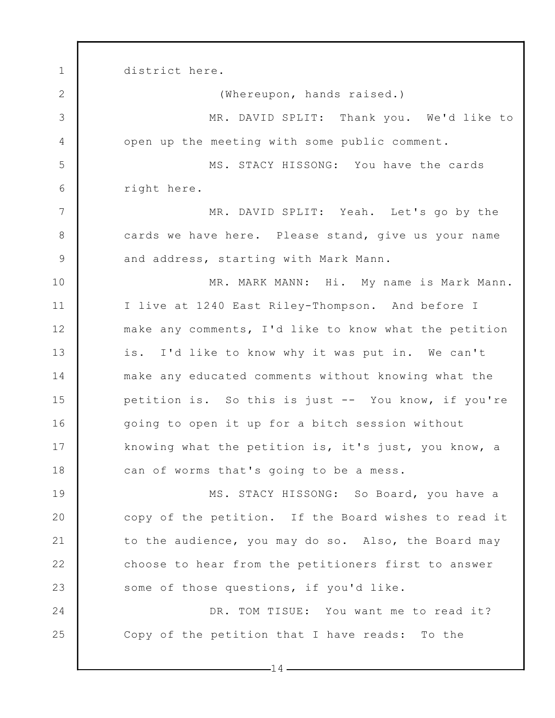1 2 3 4 5 6 7 8 9 10 11 12 13 14 15 16 17 18 19 20 21 22 23 24 25 district here. (Whereupon, hands raised.) MR. DAVID SPLIT: Thank you. We'd like to open up the meeting with some public comment. MS. STACY HISSONG: You have the cards right here. MR. DAVID SPLIT: Yeah. Let's go by the cards we have here. Please stand, give us your name and address, starting with Mark Mann. MR. MARK MANN: Hi. My name is Mark Mann. I live at 1240 East Riley-Thompson. And before I make any comments, I'd like to know what the petition is. I'd like to know why it was put in. We can't make any educated comments without knowing what the petition is. So this is just -- You know, if you're going to open it up for a bitch session without knowing what the petition is, it's just, you know, a can of worms that's going to be a mess. MS. STACY HISSONG: So Board, you have a copy of the petition. If the Board wishes to read it to the audience, you may do so. Also, the Board may choose to hear from the petitioners first to answer some of those questions, if you'd like. DR. TOM TISUE: You want me to read it? Copy of the petition that I have reads: To the

 $-14-$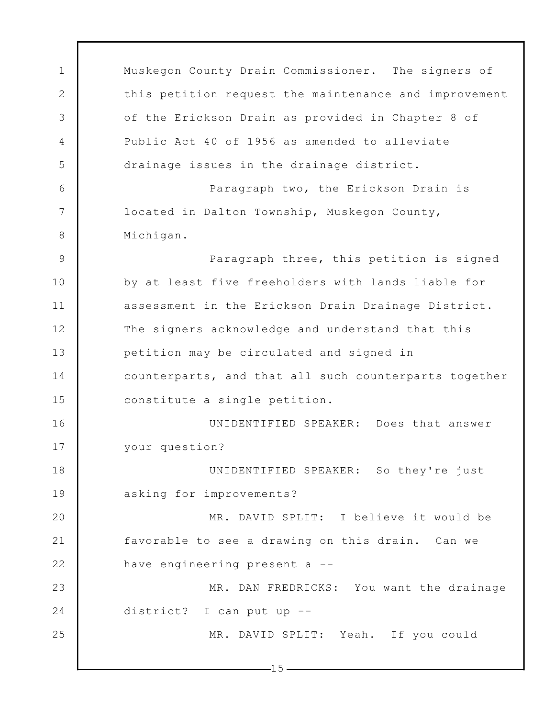1 2 3 4 5 6 7 8 9 10 11 12 13 14 15 16 17 18 19 20 21 22 23 24 25 Muskegon County Drain Commissioner. The signers of this petition request the maintenance and improvement of the Erickson Drain as provided in Chapter 8 of Public Act 40 of 1956 as amended to alleviate drainage issues in the drainage district. Paragraph two, the Erickson Drain is located in Dalton Township, Muskegon County, Michigan. Paragraph three, this petition is signed by at least five freeholders with lands liable for assessment in the Erickson Drain Drainage District. The signers acknowledge and understand that this petition may be circulated and signed in counterparts, and that all such counterparts together constitute a single petition. UNIDENTIFIED SPEAKER: Does that answer your question? UNIDENTIFIED SPEAKER: So they're just asking for improvements? MR. DAVID SPLIT: I believe it would be favorable to see a drawing on this drain. Can we have engineering present a -- MR. DAN FREDRICKS: You want the drainage district? I can put up -- MR. DAVID SPLIT: Yeah. If you could

 $-15-$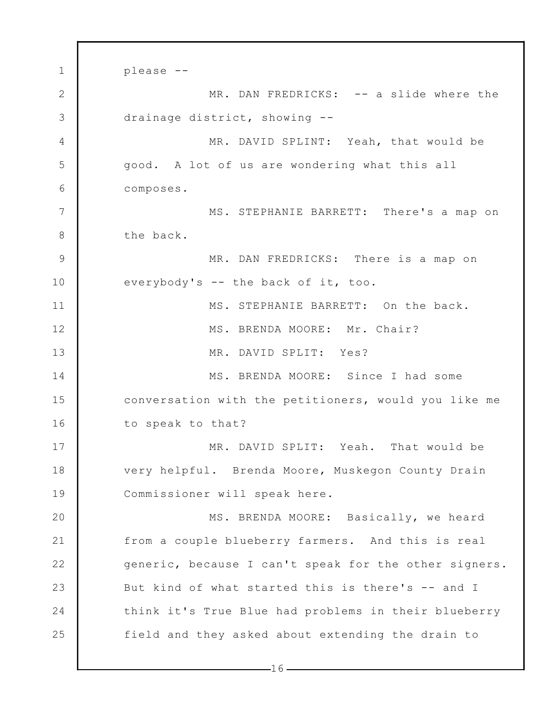1 2 3 4 5 6 7 8 9 10 11 12 13 14 15 16 17 18 19 20 21 22 23 24 25 please -- MR. DAN FREDRICKS: -- a slide where the drainage district, showing -- MR. DAVID SPLINT: Yeah, that would be good. A lot of us are wondering what this all composes. MS. STEPHANIE BARRETT: There's a map on the back. MR. DAN FREDRICKS: There is a map on everybody's -- the back of it, too. MS. STEPHANIE BARRETT: On the back. MS. BRENDA MOORE: Mr. Chair? MR. DAVID SPLIT: Yes? MS. BRENDA MOORE: Since I had some conversation with the petitioners, would you like me to speak to that? MR. DAVID SPLIT: Yeah. That would be very helpful. Brenda Moore, Muskegon County Drain Commissioner will speak here. MS. BRENDA MOORE: Basically, we heard from a couple blueberry farmers. And this is real generic, because I can't speak for the other signers. But kind of what started this is there's -- and I think it's True Blue had problems in their blueberry field and they asked about extending the drain to

 $-16-$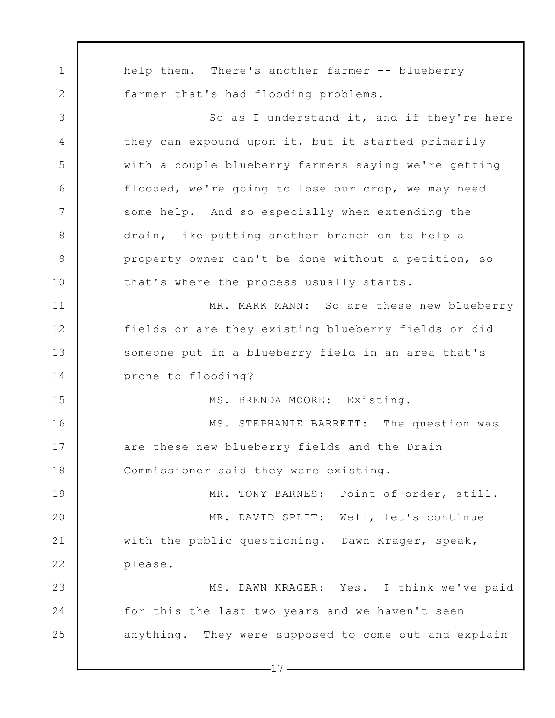1 2 3 4 5 6 7 8 9 10 11 12 13 14 15 16 17 18 19 20 21 22 23 24 25 help them. There's another farmer -- blueberry farmer that's had flooding problems. So as I understand it, and if they're here they can expound upon it, but it started primarily with a couple blueberry farmers saying we're getting flooded, we're going to lose our crop, we may need some help. And so especially when extending the drain, like putting another branch on to help a property owner can't be done without a petition, so that's where the process usually starts. MR. MARK MANN: So are these new blueberry fields or are they existing blueberry fields or did someone put in a blueberry field in an area that's prone to flooding? MS. BRENDA MOORE: Existing. MS. STEPHANIE BARRETT: The question was are these new blueberry fields and the Drain Commissioner said they were existing. MR. TONY BARNES: Point of order, still. MR. DAVID SPLIT: Well, let's continue with the public questioning. Dawn Krager, speak, please. MS. DAWN KRAGER: Yes. I think we've paid for this the last two years and we haven't seen anything. They were supposed to come out and explain

 $-17-$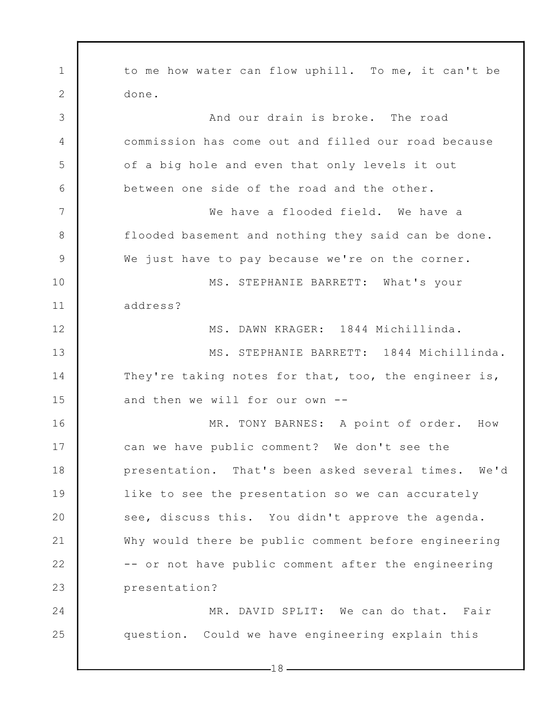1 2 3 4 5 6 7 8 9 10 11 12 13 14 15 16 17 18 19 20 21 22 23 24 25 to me how water can flow uphill. To me, it can't be done. And our drain is broke. The road commission has come out and filled our road because of a big hole and even that only levels it out between one side of the road and the other. We have a flooded field. We have a flooded basement and nothing they said can be done. We just have to pay because we're on the corner. MS. STEPHANIE BARRETT: What's your address? MS. DAWN KRAGER: 1844 Michillinda. MS. STEPHANIE BARRETT: 1844 Michillinda. They're taking notes for that, too, the engineer is, and then we will for our own -- MR. TONY BARNES: A point of order. How can we have public comment? We don't see the presentation. That's been asked several times. We'd like to see the presentation so we can accurately see, discuss this. You didn't approve the agenda. Why would there be public comment before engineering -- or not have public comment after the engineering presentation? MR. DAVID SPLIT: We can do that. Fair question. Could we have engineering explain this

 $-18-$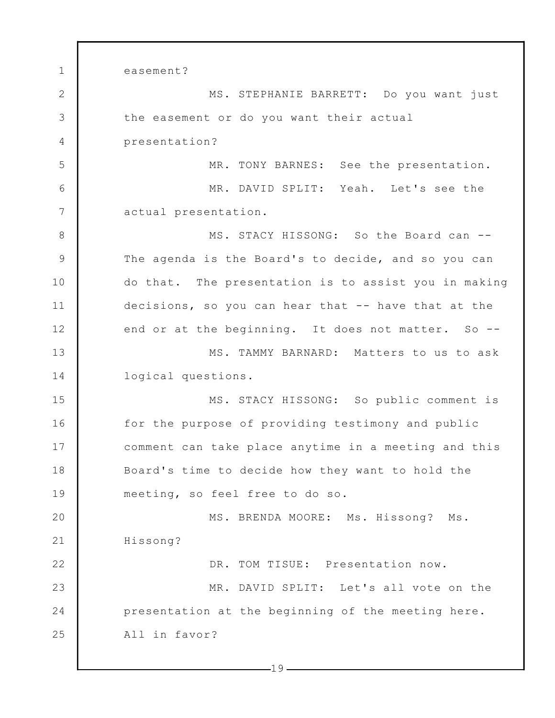1 2 3 4 5 6 7 8 9 10 11 12 13 14 15 16 17 18 19 20 21 22 23 24 25 easement? MS. STEPHANIE BARRETT: Do you want just the easement or do you want their actual presentation? MR. TONY BARNES: See the presentation. MR. DAVID SPLIT: Yeah. Let's see the actual presentation. MS. STACY HISSONG: So the Board can -- The agenda is the Board's to decide, and so you can do that. The presentation is to assist you in making decisions, so you can hear that -- have that at the end or at the beginning. It does not matter. So --MS. TAMMY BARNARD: Matters to us to ask logical questions. MS. STACY HISSONG: So public comment is for the purpose of providing testimony and public comment can take place anytime in a meeting and this Board's time to decide how they want to hold the meeting, so feel free to do so. MS. BRENDA MOORE: Ms. Hissong? Ms. Hissong? DR. TOM TISUE: Presentation now. MR. DAVID SPLIT: Let's all vote on the presentation at the beginning of the meeting here. All in favor?

 $-19-$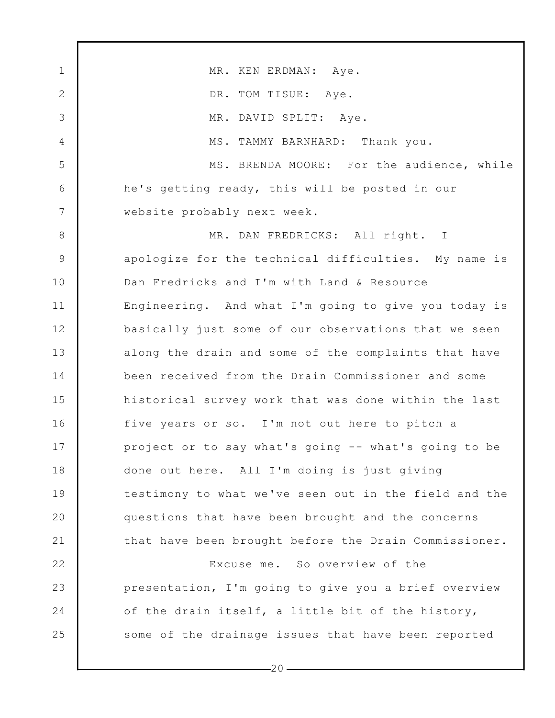1 2 3 4 5 6 7 8 9 10 11 12 13 14 15 16 17 18 19 20 21 22 23 24 25 MR. KEN ERDMAN: Aye. DR. TOM TISUE: Aye. MR. DAVID SPLIT: Aye. MS. TAMMY BARNHARD: Thank you. MS. BRENDA MOORE: For the audience, while he's getting ready, this will be posted in our website probably next week. MR. DAN FREDRICKS: All right. I apologize for the technical difficulties. My name is Dan Fredricks and I'm with Land & Resource Engineering. And what I'm going to give you today is basically just some of our observations that we seen along the drain and some of the complaints that have been received from the Drain Commissioner and some historical survey work that was done within the last five years or so. I'm not out here to pitch a project or to say what's going -- what's going to be done out here. All I'm doing is just giving testimony to what we've seen out in the field and the questions that have been brought and the concerns that have been brought before the Drain Commissioner. Excuse me. So overview of the presentation, I'm going to give you a brief overview of the drain itself, a little bit of the history, some of the drainage issues that have been reported

 $-20-$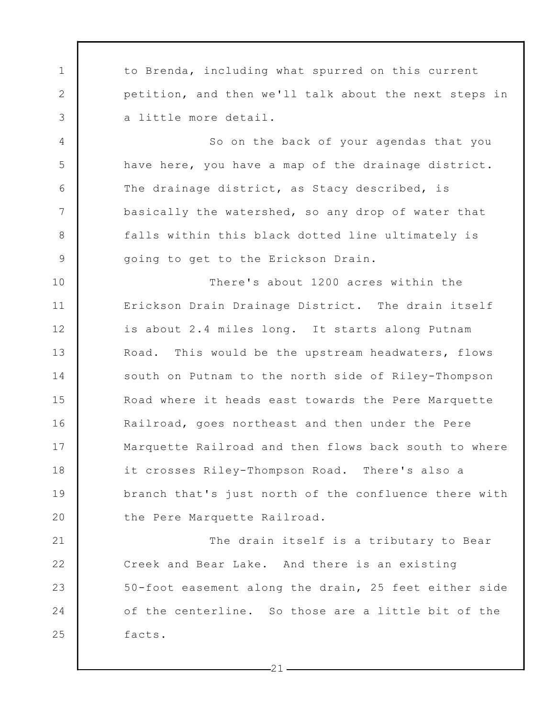to Brenda, including what spurred on this current petition, and then we'll talk about the next steps in a little more detail.

1

2

3

4

5

6

7

8

9

25

So on the back of your agendas that you have here, you have a map of the drainage district. The drainage district, as Stacy described, is basically the watershed, so any drop of water that falls within this black dotted line ultimately is going to get to the Erickson Drain.

10 11 12 13 14 15 16 17 18 19 20 There's about 1200 acres within the Erickson Drain Drainage District. The drain itself is about 2.4 miles long. It starts along Putnam Road. This would be the upstream headwaters, flows south on Putnam to the north side of Riley-Thompson Road where it heads east towards the Pere Marquette Railroad, goes northeast and then under the Pere Marquette Railroad and then flows back south to where it crosses Riley-Thompson Road. There's also a branch that's just north of the confluence there with the Pere Marquette Railroad.

21 22 23 24 The drain itself is a tributary to Bear Creek and Bear Lake. And there is an existing 50-foot easement along the drain, 25 feet either side of the centerline. So those are a little bit of the facts.

 $-21$  –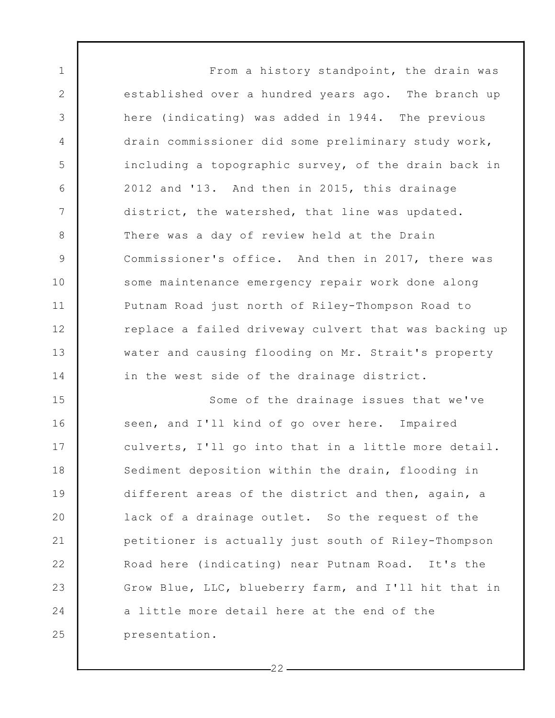From a history standpoint, the drain was established over a hundred years ago. The branch up here (indicating) was added in 1944. The previous drain commissioner did some preliminary study work, including a topographic survey, of the drain back in 2012 and '13. And then in 2015, this drainage district, the watershed, that line was updated. There was a day of review held at the Drain Commissioner's office. And then in 2017, there was some maintenance emergency repair work done along Putnam Road just north of Riley-Thompson Road to replace a failed driveway culvert that was backing up water and causing flooding on Mr. Strait's property in the west side of the drainage district. Some of the drainage issues that we've

1

2

3

4

5

6

7

8

9

10

11

12

13

14

15 16 17 18 19 20 21 22 23 24 25 seen, and I'll kind of go over here. Impaired culverts, I'll go into that in a little more detail. Sediment deposition within the drain, flooding in different areas of the district and then, again, a lack of a drainage outlet. So the request of the petitioner is actually just south of Riley-Thompson Road here (indicating) near Putnam Road. It's the Grow Blue, LLC, blueberry farm, and I'll hit that in a little more detail here at the end of the presentation.

 $-22-$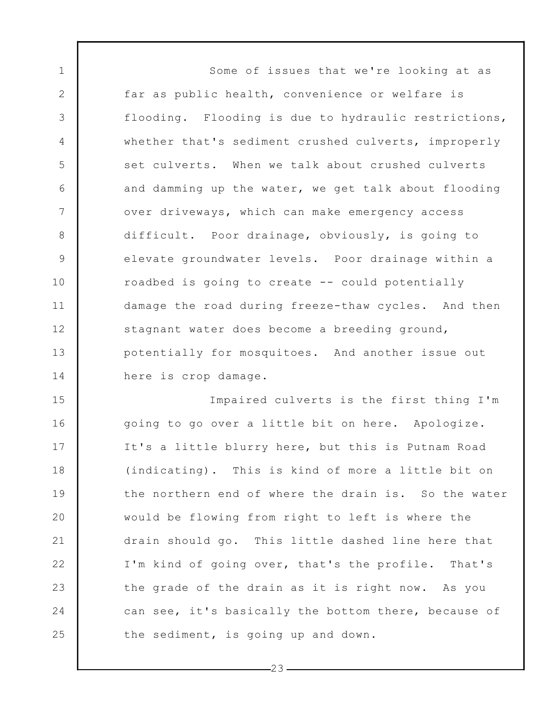Some of issues that we're looking at as far as public health, convenience or welfare is flooding. Flooding is due to hydraulic restrictions, whether that's sediment crushed culverts, improperly set culverts. When we talk about crushed culverts and damming up the water, we get talk about flooding over driveways, which can make emergency access difficult. Poor drainage, obviously, is going to elevate groundwater levels. Poor drainage within a roadbed is going to create -- could potentially damage the road during freeze-thaw cycles. And then stagnant water does become a breeding ground, potentially for mosquitoes. And another issue out here is crop damage.

1

2

3

4

5

6

7

8

9

10

11

12

13

14

15 16 17 18 19 20 21 22 23 24 25 Impaired culverts is the first thing I'm going to go over a little bit on here. Apologize. It's a little blurry here, but this is Putnam Road (indicating). This is kind of more a little bit on the northern end of where the drain is. So the water would be flowing from right to left is where the drain should go. This little dashed line here that I'm kind of going over, that's the profile. That's the grade of the drain as it is right now. As you can see, it's basically the bottom there, because of the sediment, is going up and down.

 $-23-$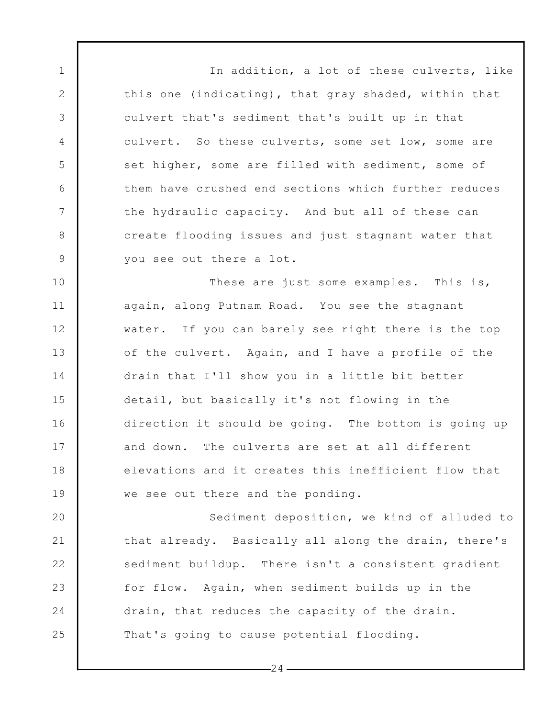In addition, a lot of these culverts, like this one (indicating), that gray shaded, within that culvert that's sediment that's built up in that culvert. So these culverts, some set low, some are set higher, some are filled with sediment, some of them have crushed end sections which further reduces the hydraulic capacity. And but all of these can create flooding issues and just stagnant water that you see out there a lot.

1

2

3

4

5

6

7

8

9

10 11 12 13 14 15 16 17 18 19 These are just some examples. This is, again, along Putnam Road. You see the stagnant water. If you can barely see right there is the top of the culvert. Again, and I have a profile of the drain that I'll show you in a little bit better detail, but basically it's not flowing in the direction it should be going. The bottom is going up and down. The culverts are set at all different elevations and it creates this inefficient flow that we see out there and the ponding.

20 21 22 23 24 25 Sediment deposition, we kind of alluded to that already. Basically all along the drain, there's sediment buildup. There isn't a consistent gradient for flow. Again, when sediment builds up in the drain, that reduces the capacity of the drain. That's going to cause potential flooding.

 $-24-$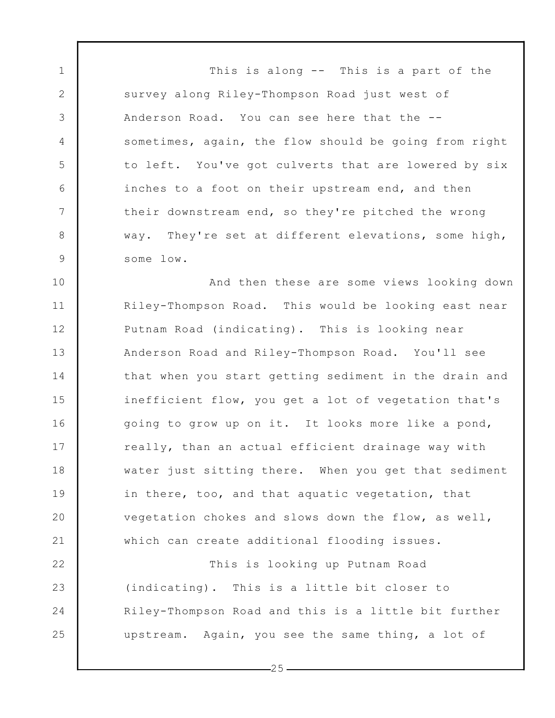This is along -- This is a part of the survey along Riley-Thompson Road just west of Anderson Road. You can see here that the - sometimes, again, the flow should be going from right to left. You've got culverts that are lowered by six inches to a foot on their upstream end, and then their downstream end, so they're pitched the wrong way. They're set at different elevations, some high, some low.

1

2

3

4

5

6

7

8

9

10 11 12 13 14 15 16 17 18 19 20 21 And then these are some views looking down Riley-Thompson Road. This would be looking east near Putnam Road (indicating). This is looking near Anderson Road and Riley-Thompson Road. You'll see that when you start getting sediment in the drain and inefficient flow, you get a lot of vegetation that's going to grow up on it. It looks more like a pond, really, than an actual efficient drainage way with water just sitting there. When you get that sediment in there, too, and that aquatic vegetation, that vegetation chokes and slows down the flow, as well, which can create additional flooding issues.

22 23 24 25 This is looking up Putnam Road (indicating). This is a little bit closer to Riley-Thompson Road and this is a little bit further upstream. Again, you see the same thing, a lot of

 $-25-$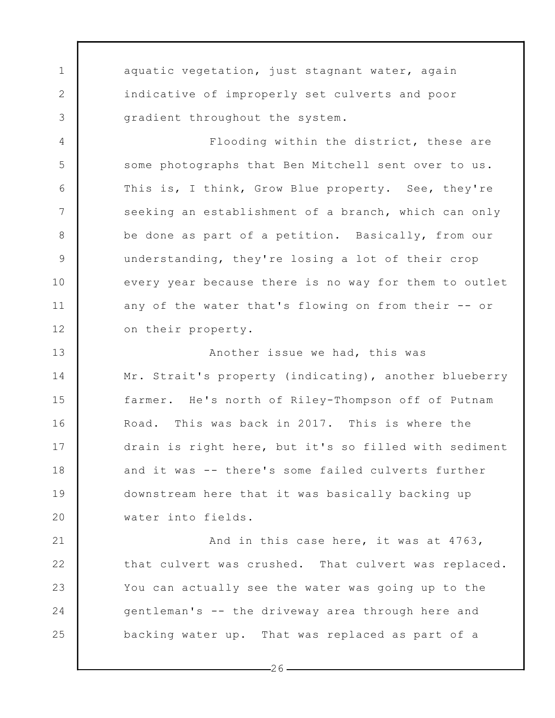aquatic vegetation, just stagnant water, again indicative of improperly set culverts and poor gradient throughout the system.

1

2

3

4

5

6

7

8

9

10

11

12

Flooding within the district, these are some photographs that Ben Mitchell sent over to us. This is, I think, Grow Blue property. See, they're seeking an establishment of a branch, which can only be done as part of a petition. Basically, from our understanding, they're losing a lot of their crop every year because there is no way for them to outlet any of the water that's flowing on from their -- or on their property.

13 14 15 16 17 18 19 20 Another issue we had, this was Mr. Strait's property (indicating), another blueberry farmer. He's north of Riley-Thompson off of Putnam Road. This was back in 2017. This is where the drain is right here, but it's so filled with sediment and it was -- there's some failed culverts further downstream here that it was basically backing up water into fields.

21 22 23 24 25 And in this case here, it was at 4763, that culvert was crushed. That culvert was replaced. You can actually see the water was going up to the gentleman's -- the driveway area through here and backing water up. That was replaced as part of a

 $-26-$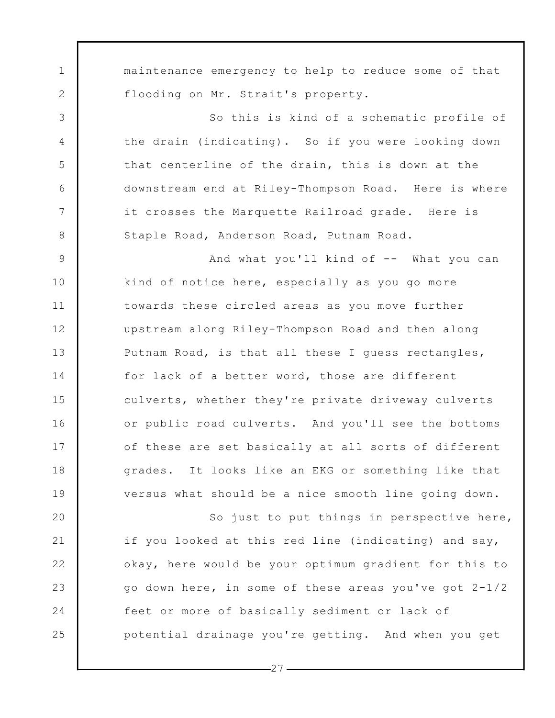maintenance emergency to help to reduce some of that flooding on Mr. Strait's property.

1

2

3

4

5

6

7

8

So this is kind of a schematic profile of the drain (indicating). So if you were looking down that centerline of the drain, this is down at the downstream end at Riley-Thompson Road. Here is where it crosses the Marquette Railroad grade. Here is Staple Road, Anderson Road, Putnam Road.

9 10 11 12 13 14 15 16 17 18 19 And what you'll kind of -- What you can kind of notice here, especially as you go more towards these circled areas as you move further upstream along Riley-Thompson Road and then along Putnam Road, is that all these I guess rectangles, for lack of a better word, those are different culverts, whether they're private driveway culverts or public road culverts. And you'll see the bottoms of these are set basically at all sorts of different grades. It looks like an EKG or something like that versus what should be a nice smooth line going down.

20 21 22 23 24 25 So just to put things in perspective here, if you looked at this red line (indicating) and say, okay, here would be your optimum gradient for this to go down here, in some of these areas you've got 2-1/2 feet or more of basically sediment or lack of potential drainage you're getting. And when you get

 $-27-$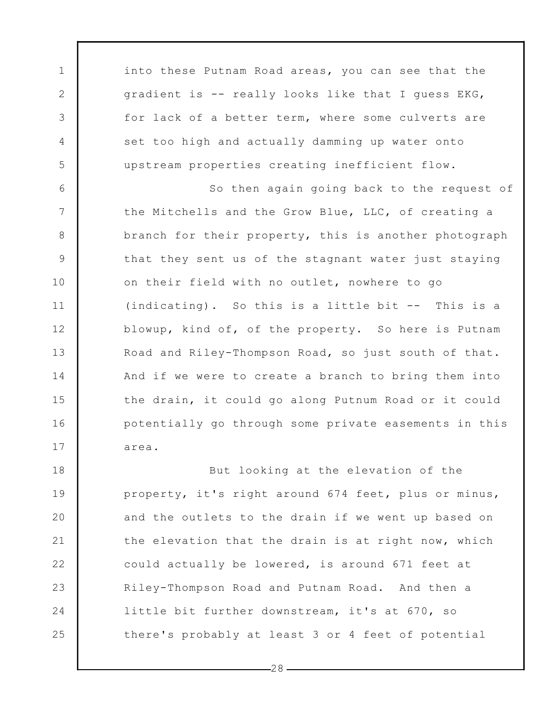into these Putnam Road areas, you can see that the gradient is -- really looks like that I guess EKG, for lack of a better term, where some culverts are set too high and actually damming up water onto upstream properties creating inefficient flow.

1

2

3

4

5

6

7

8

9

10

11

12

13

14

15

16

17

So then again going back to the request of the Mitchells and the Grow Blue, LLC, of creating a branch for their property, this is another photograph that they sent us of the stagnant water just staying on their field with no outlet, nowhere to go (indicating). So this is a little bit -- This is a blowup, kind of, of the property. So here is Putnam Road and Riley-Thompson Road, so just south of that. And if we were to create a branch to bring them into the drain, it could go along Putnum Road or it could potentially go through some private easements in this area.

18 19 20 21 22 23 24 25 But looking at the elevation of the property, it's right around 674 feet, plus or minus, and the outlets to the drain if we went up based on the elevation that the drain is at right now, which could actually be lowered, is around 671 feet at Riley-Thompson Road and Putnam Road. And then a little bit further downstream, it's at 670, so there's probably at least 3 or 4 feet of potential

 $-28-$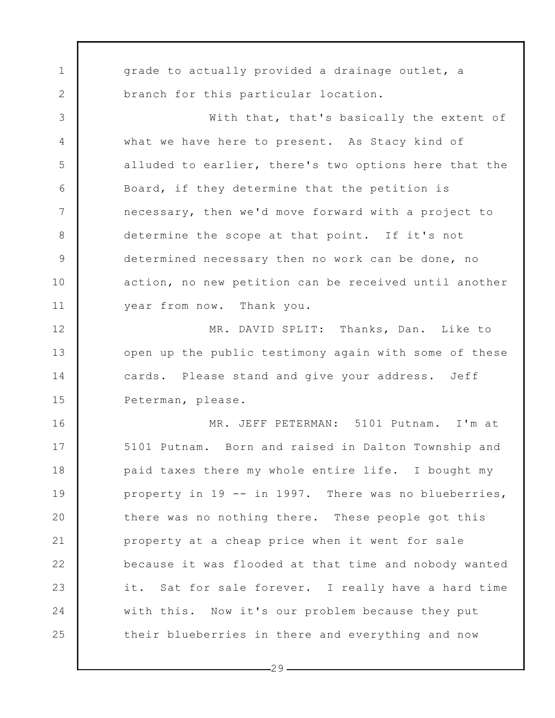1 2 3 4 5 6 7 8 9 10 11 12 13 14 15 16 17 18 19 20 21 22 23 24 25 grade to actually provided a drainage outlet, a branch for this particular location. With that, that's basically the extent of what we have here to present. As Stacy kind of alluded to earlier, there's two options here that the Board, if they determine that the petition is necessary, then we'd move forward with a project to determine the scope at that point. If it's not determined necessary then no work can be done, no action, no new petition can be received until another year from now. Thank you. MR. DAVID SPLIT: Thanks, Dan. Like to open up the public testimony again with some of these cards. Please stand and give your address. Jeff Peterman, please. MR. JEFF PETERMAN: 5101 Putnam. I'm at 5101 Putnam. Born and raised in Dalton Township and paid taxes there my whole entire life. I bought my property in 19 -- in 1997. There was no blueberries, there was no nothing there. These people got this property at a cheap price when it went for sale because it was flooded at that time and nobody wanted it. Sat for sale forever. I really have a hard time with this. Now it's our problem because they put their blueberries in there and everything and now

 $-29-$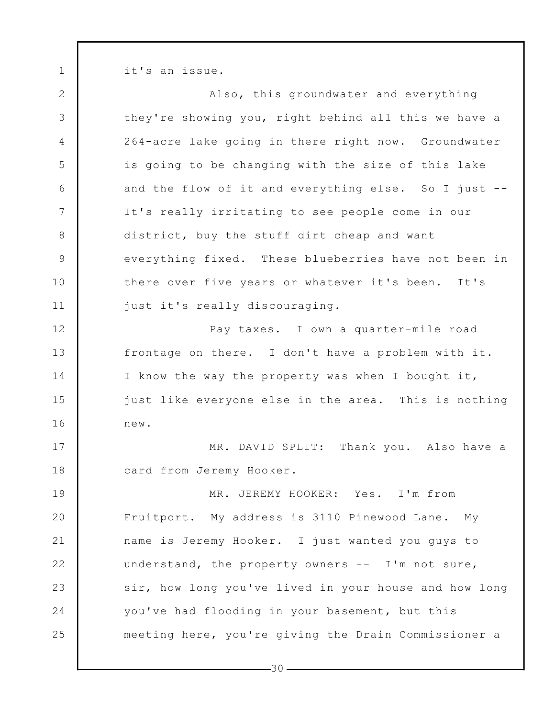it's an issue.

1

2 3 4 5 6 7 8 9 10 11 12 13 14 15 16 17 18 19 20 21 22 23 24 25 Also, this groundwater and everything they're showing you, right behind all this we have a 264-acre lake going in there right now. Groundwater is going to be changing with the size of this lake and the flow of it and everything else. So I just -- It's really irritating to see people come in our district, buy the stuff dirt cheap and want everything fixed. These blueberries have not been in there over five years or whatever it's been. It's just it's really discouraging. Pay taxes. I own a quarter-mile road frontage on there. I don't have a problem with it. I know the way the property was when I bought it, just like everyone else in the area. This is nothing new. MR. DAVID SPLIT: Thank you. Also have a card from Jeremy Hooker. MR. JEREMY HOOKER: Yes. I'm from Fruitport. My address is 3110 Pinewood Lane. My name is Jeremy Hooker. I just wanted you guys to understand, the property owners -- I'm not sure, sir, how long you've lived in your house and how long you've had flooding in your basement, but this meeting here, you're giving the Drain Commissioner a

 $-30-$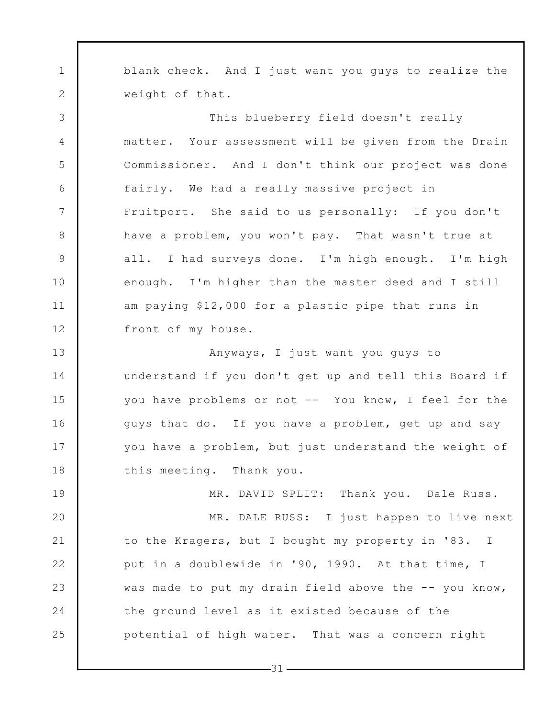1 2 blank check. And I just want you guys to realize the weight of that.

3

4

5

6

7

8

9

10

11

12

This blueberry field doesn't really matter. Your assessment will be given from the Drain Commissioner. And I don't think our project was done fairly. We had a really massive project in Fruitport. She said to us personally: If you don't have a problem, you won't pay. That wasn't true at all. I had surveys done. I'm high enough. I'm high enough. I'm higher than the master deed and I still am paying \$12,000 for a plastic pipe that runs in front of my house.

13 14 15 16 17 18 Anyways, I just want you guys to understand if you don't get up and tell this Board if you have problems or not -- You know, I feel for the guys that do. If you have a problem, get up and say you have a problem, but just understand the weight of this meeting. Thank you.

19 20 21 22 23 24 25 MR. DAVID SPLIT: Thank you. Dale Russ. MR. DALE RUSS: I just happen to live next to the Kragers, but I bought my property in '83. I put in a doublewide in '90, 1990. At that time, I was made to put my drain field above the -- you know, the ground level as it existed because of the potential of high water. That was a concern right

 $-31$  -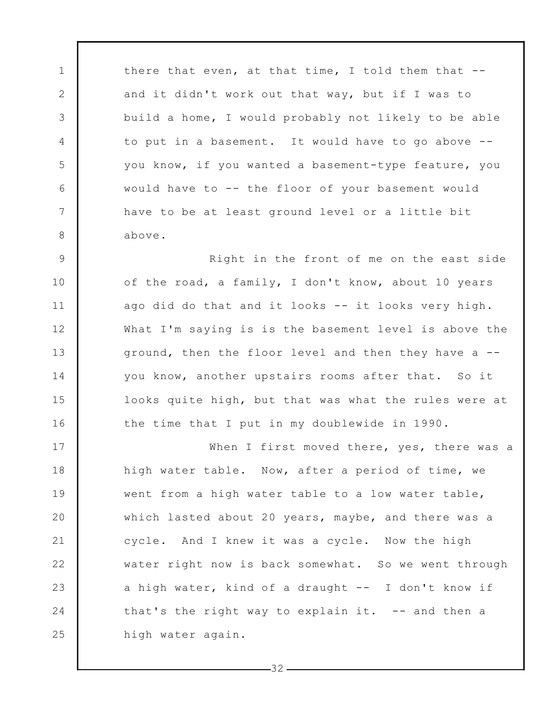there that even, at that time, I told them that - and it didn't work out that way, but if I was to build a home, I would probably not likely to be able to put in a basement. It would have to go above - you know, if you wanted a basement-type feature, you would have to -- the floor of your basement would have to be at least ground level or a little bit above.

1

2

3

4

5

6

7

8

9

10

11

12

13

14

15

16

Right in the front of me on the east side of the road, a family, I don't know, about 10 years ago did do that and it looks -- it looks very high. What I'm saying is is the basement level is above the ground, then the floor level and then they have a - you know, another upstairs rooms after that. So it looks quite high, but that was what the rules were at the time that I put in my doublewide in 1990.

17 18 19 20 21 22 23 24 25 When I first moved there, yes, there was a high water table. Now, after a period of time, we went from a high water table to a low water table, which lasted about 20 years, maybe, and there was a cycle. And I knew it was a cycle. Now the high water right now is back somewhat. So we went through a high water, kind of a draught -- I don't know if that's the right way to explain it.  $-$ - and then a high water again.

 $-32-$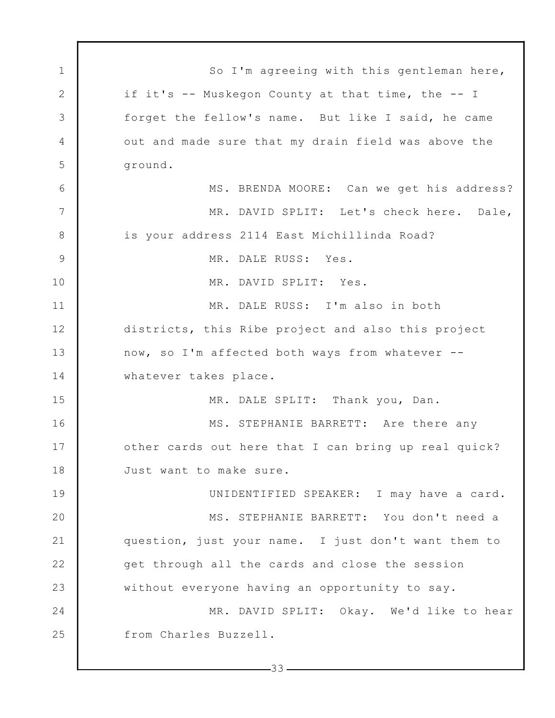1 2 3 4 5 6 7 8 9 10 11 12 13 14 15 16 17 18 19 20 21 22 23 24 25  $-33-$ So I'm agreeing with this gentleman here, if it's -- Muskegon County at that time, the -- I forget the fellow's name. But like I said, he came out and made sure that my drain field was above the ground. MS. BRENDA MOORE: Can we get his address? MR. DAVID SPLIT: Let's check here. Dale, is your address 2114 East Michillinda Road? MR. DALE RUSS: Yes. MR. DAVID SPLIT: Yes. MR. DALE RUSS: I'm also in both districts, this Ribe project and also this project now, so I'm affected both ways from whatever - whatever takes place. MR. DALE SPLIT: Thank you, Dan. MS. STEPHANIE BARRETT: Are there any other cards out here that I can bring up real quick? Just want to make sure. UNIDENTIFIED SPEAKER: I may have a card. MS. STEPHANIE BARRETT: You don't need a question, just your name. I just don't want them to get through all the cards and close the session without everyone having an opportunity to say. MR. DAVID SPLIT: Okay. We'd like to hear from Charles Buzzell.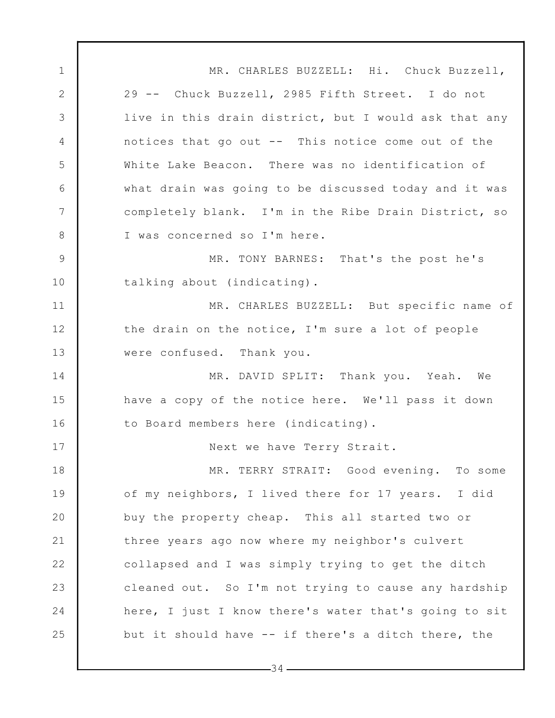1 2 3 4 5 6 7 8 9 10 11 12 13 14 15 16 17 18 19 20 21 22 23 24 25 MR. CHARLES BUZZELL: Hi. Chuck Buzzell, 29 -- Chuck Buzzell, 2985 Fifth Street. I do not live in this drain district, but I would ask that any notices that go out -- This notice come out of the White Lake Beacon. There was no identification of what drain was going to be discussed today and it was completely blank. I'm in the Ribe Drain District, so I was concerned so I'm here. MR. TONY BARNES: That's the post he's talking about (indicating). MR. CHARLES BUZZELL: But specific name of the drain on the notice, I'm sure a lot of people were confused. Thank you. MR. DAVID SPLIT: Thank you. Yeah. We have a copy of the notice here. We'll pass it down to Board members here (indicating). Next we have Terry Strait. MR. TERRY STRAIT: Good evening. To some of my neighbors, I lived there for 17 years. I did buy the property cheap. This all started two or three years ago now where my neighbor's culvert collapsed and I was simply trying to get the ditch cleaned out. So I'm not trying to cause any hardship here, I just I know there's water that's going to sit but it should have -- if there's a ditch there, the

 $-34-$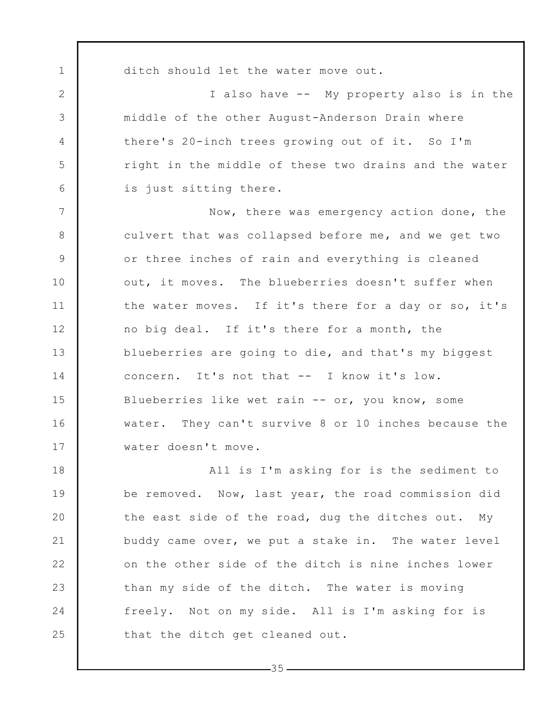1 2 3 4 5 6 7 8 9 10 11 12 13 14 15 16 17 18 19 20 21 ditch should let the water move out. I also have -- My property also is in the middle of the other August-Anderson Drain where there's 20-inch trees growing out of it. So I'm right in the middle of these two drains and the water is just sitting there. Now, there was emergency action done, the culvert that was collapsed before me, and we get two or three inches of rain and everything is cleaned out, it moves. The blueberries doesn't suffer when the water moves. If it's there for a day or so, it's no big deal. If it's there for a month, the blueberries are going to die, and that's my biggest concern. It's not that -- I know it's low. Blueberries like wet rain -- or, you know, some water. They can't survive 8 or 10 inches because the water doesn't move. All is I'm asking for is the sediment to be removed. Now, last year, the road commission did the east side of the road, dug the ditches out. My buddy came over, we put a stake in. The water level

on the other side of the ditch is nine inches lower than my side of the ditch. The water is moving freely. Not on my side. All is I'm asking for is that the ditch get cleaned out.

22

23

24

25

 $-35-$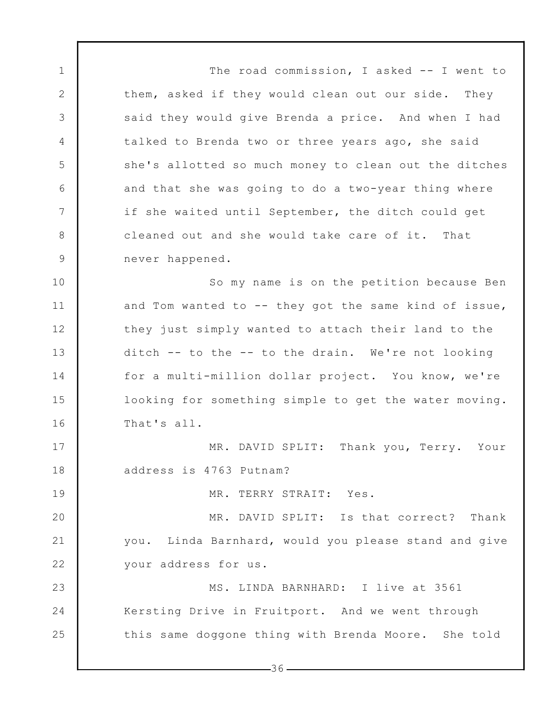1 2 3 4 5 6 7 8 9 10 11 12 13 14 The road commission, I asked -- I went to them, asked if they would clean out our side. They said they would give Brenda a price. And when I had talked to Brenda two or three years ago, she said she's allotted so much money to clean out the ditches and that she was going to do a two-year thing where if she waited until September, the ditch could get cleaned out and she would take care of it. That never happened. So my name is on the petition because Ben and Tom wanted to -- they got the same kind of issue, they just simply wanted to attach their land to the ditch -- to the -- to the drain. We're not looking for a multi-million dollar project. You know, we're

looking for something simple to get the water moving. That's all.

15

16

17

18

19

MR. DAVID SPLIT: Thank you, Terry. Your address is 4763 Putnam?

MR. TERRY STRAIT: Yes.

20 21 22 MR. DAVID SPLIT: Is that correct? Thank you. Linda Barnhard, would you please stand and give your address for us.

23 24 25 MS. LINDA BARNHARD: I live at 3561 Kersting Drive in Fruitport. And we went through this same doggone thing with Brenda Moore. She told

 $-36-$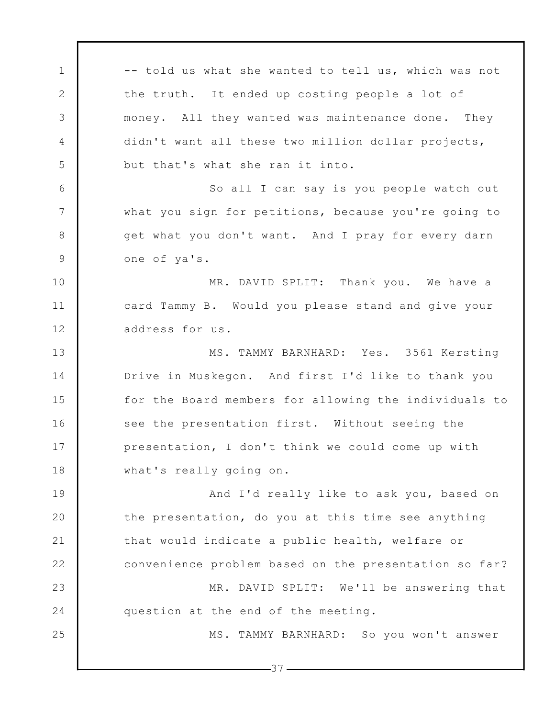1 2 3 4 5 6 7 8 9 10 11 12 13 14 15 16 17 18 19 20 21 22 23 24 25 -- told us what she wanted to tell us, which was not the truth. It ended up costing people a lot of money. All they wanted was maintenance done. They didn't want all these two million dollar projects, but that's what she ran it into. So all I can say is you people watch out what you sign for petitions, because you're going to get what you don't want. And I pray for every darn one of ya's. MR. DAVID SPLIT: Thank you. We have a card Tammy B. Would you please stand and give your address for us. MS. TAMMY BARNHARD: Yes. 3561 Kersting Drive in Muskegon. And first I'd like to thank you for the Board members for allowing the individuals to see the presentation first. Without seeing the presentation, I don't think we could come up with what's really going on. And I'd really like to ask you, based on the presentation, do you at this time see anything that would indicate a public health, welfare or convenience problem based on the presentation so far? MR. DAVID SPLIT: We'll be answering that question at the end of the meeting. MS. TAMMY BARNHARD: So you won't answer

 $-37-$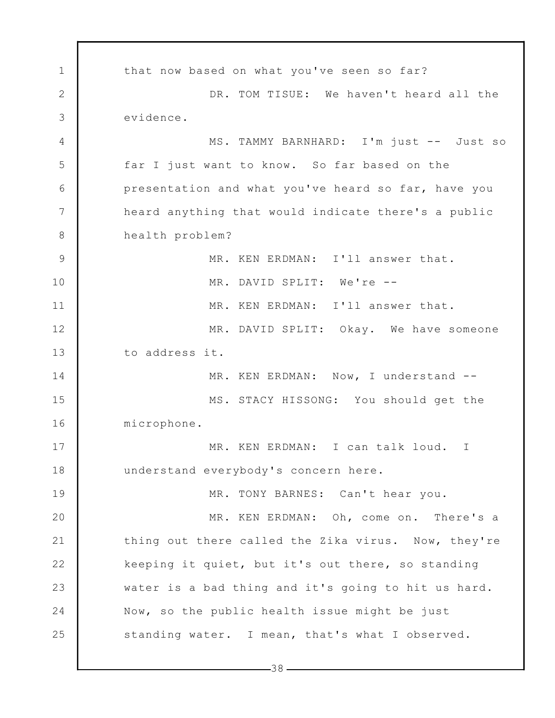1 2 3 4 5 6 7 8 9 10 11 12 13 14 15 16 17 18 19 20 21 22 23 24 25 that now based on what you've seen so far? DR. TOM TISUE: We haven't heard all the evidence. MS. TAMMY BARNHARD: I'm just -- Just so far I just want to know. So far based on the presentation and what you've heard so far, have you heard anything that would indicate there's a public health problem? MR. KEN ERDMAN: I'll answer that. MR. DAVID SPLIT: We're -- MR. KEN ERDMAN: I'll answer that. MR. DAVID SPLIT: Okay. We have someone to address it. MR. KEN ERDMAN: Now, I understand --MS. STACY HISSONG: You should get the microphone. MR. KEN ERDMAN: I can talk loud. I understand everybody's concern here. MR. TONY BARNES: Can't hear you. MR. KEN ERDMAN: Oh, come on. There's a thing out there called the Zika virus. Now, they're keeping it quiet, but it's out there, so standing water is a bad thing and it's going to hit us hard. Now, so the public health issue might be just standing water. I mean, that's what I observed.

 $-38-$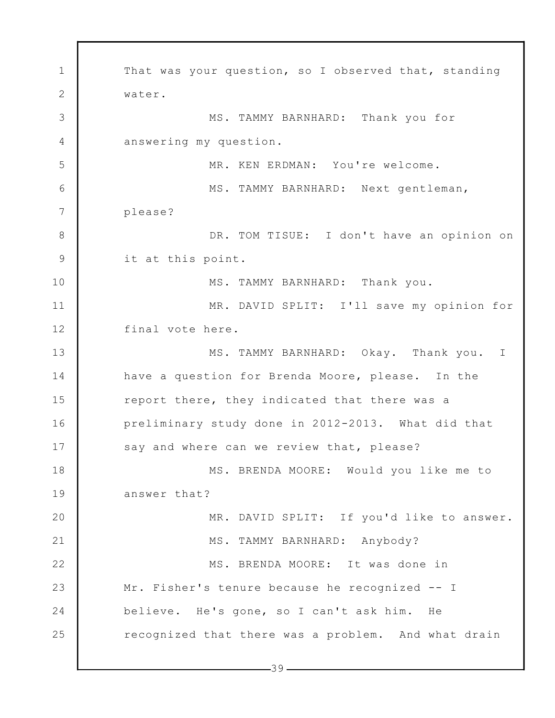1 2 3 4 5 6 7 8 9 10 11 12 13 14 15 16 17 18 19 20 21 22 23 24 25 That was your question, so I observed that, standing water. MS. TAMMY BARNHARD: Thank you for answering my question. MR. KEN ERDMAN: You're welcome. MS. TAMMY BARNHARD: Next gentleman, please? DR. TOM TISUE: I don't have an opinion on it at this point. MS. TAMMY BARNHARD: Thank you. MR. DAVID SPLIT: I'll save my opinion for final vote here. MS. TAMMY BARNHARD: Okay. Thank you. I have a question for Brenda Moore, please. In the report there, they indicated that there was a preliminary study done in 2012-2013. What did that say and where can we review that, please? MS. BRENDA MOORE: Would you like me to answer that? MR. DAVID SPLIT: If you'd like to answer. MS. TAMMY BARNHARD: Anybody? MS. BRENDA MOORE: It was done in Mr. Fisher's tenure because he recognized -- I believe. He's gone, so I can't ask him. He recognized that there was a problem. And what drain

 $-39-$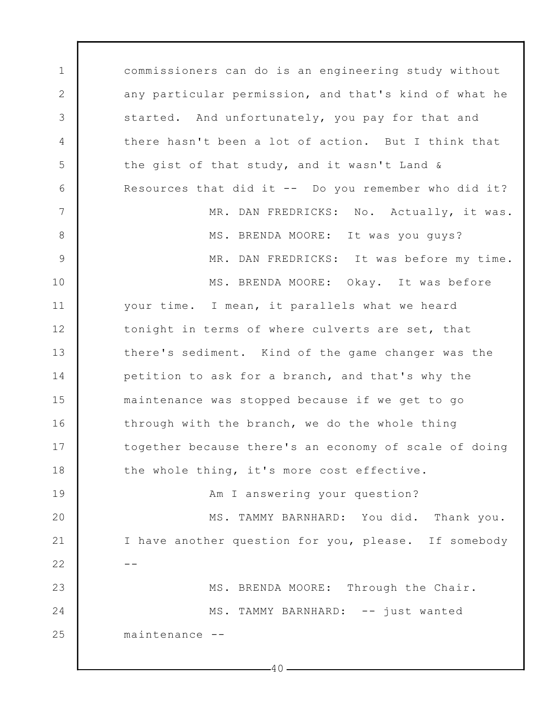1 2 3 4 5 6 7 8 9 10 11 12 13 14 15 16 17 18 19 20 21 22 23 24 25 commissioners can do is an engineering study without any particular permission, and that's kind of what he started. And unfortunately, you pay for that and there hasn't been a lot of action. But I think that the gist of that study, and it wasn't Land & Resources that did it -- Do you remember who did it? MR. DAN FREDRICKS: No. Actually, it was. MS. BRENDA MOORE: It was you guys? MR. DAN FREDRICKS: It was before my time. MS. BRENDA MOORE: Okay. It was before your time. I mean, it parallels what we heard tonight in terms of where culverts are set, that there's sediment. Kind of the game changer was the petition to ask for a branch, and that's why the maintenance was stopped because if we get to go through with the branch, we do the whole thing together because there's an economy of scale of doing the whole thing, it's more cost effective. Am I answering your question? MS. TAMMY BARNHARD: You did. Thank you. I have another question for you, please. If somebody -- MS. BRENDA MOORE: Through the Chair. MS. TAMMY BARNHARD: -- just wanted maintenance --

 $-40-$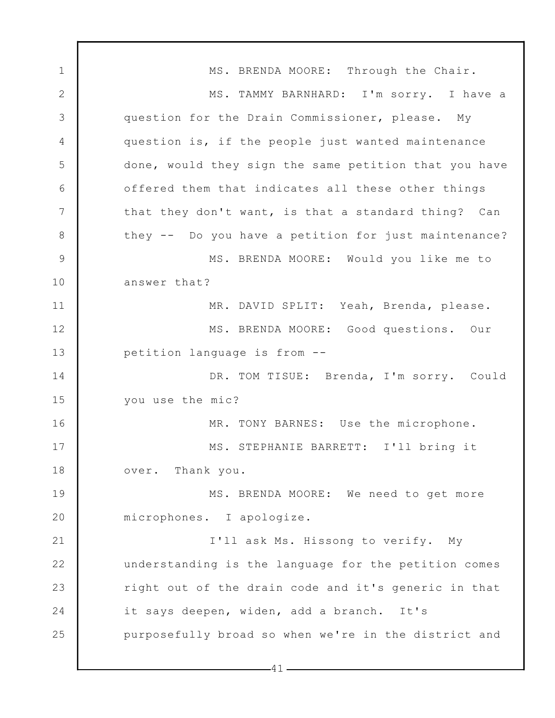1 2 3 4 5 6 7 8 9 10 11 12 13 14 15 16 17 18 19 20 21 22 23 24 25 MS. BRENDA MOORE: Through the Chair. MS. TAMMY BARNHARD: I'm sorry. I have a question for the Drain Commissioner, please. My question is, if the people just wanted maintenance done, would they sign the same petition that you have offered them that indicates all these other things that they don't want, is that a standard thing? Can they -- Do you have a petition for just maintenance? MS. BRENDA MOORE: Would you like me to answer that? MR. DAVID SPLIT: Yeah, Brenda, please. MS. BRENDA MOORE: Good questions. Our petition language is from -- DR. TOM TISUE: Brenda, I'm sorry. Could you use the mic? MR. TONY BARNES: Use the microphone. MS. STEPHANIE BARRETT: I'll bring it over. Thank you. MS. BRENDA MOORE: We need to get more microphones. I apologize. I'll ask Ms. Hissong to verify. My understanding is the language for the petition comes right out of the drain code and it's generic in that it says deepen, widen, add a branch. It's purposefully broad so when we're in the district and

 $-41-$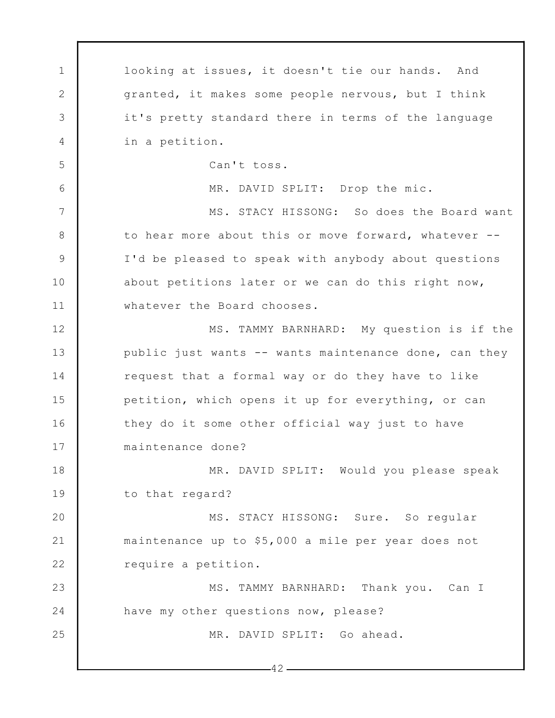1 2 3 4 5 6 7 8 9 10 11 12 13 14 15 16 17 18 19 20 21 22 23 24 25  $-42$ looking at issues, it doesn't tie our hands. And granted, it makes some people nervous, but I think it's pretty standard there in terms of the language in a petition. Can't toss. MR. DAVID SPLIT: Drop the mic. MS. STACY HISSONG: So does the Board want to hear more about this or move forward, whatever -- I'd be pleased to speak with anybody about questions about petitions later or we can do this right now, whatever the Board chooses. MS. TAMMY BARNHARD: My question is if the public just wants -- wants maintenance done, can they request that a formal way or do they have to like petition, which opens it up for everything, or can they do it some other official way just to have maintenance done? MR. DAVID SPLIT: Would you please speak to that regard? MS. STACY HISSONG: Sure. So regular maintenance up to \$5,000 a mile per year does not require a petition. MS. TAMMY BARNHARD: Thank you. Can I have my other questions now, please? MR. DAVID SPLIT: Go ahead.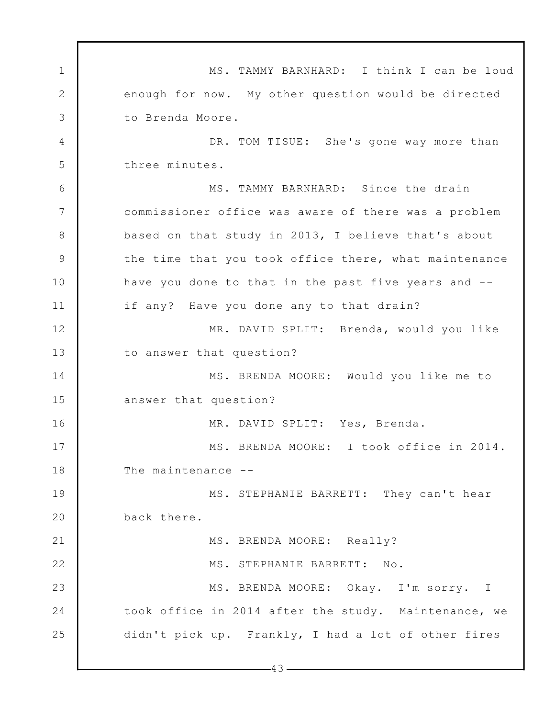1 2 3 4 5 6 7 8 9 10 11 12 13 14 15 16 17 18 19 20 21 22 23 24 25 MS. TAMMY BARNHARD: I think I can be loud enough for now. My other question would be directed to Brenda Moore. DR. TOM TISUE: She's gone way more than three minutes. MS. TAMMY BARNHARD: Since the drain commissioner office was aware of there was a problem based on that study in 2013, I believe that's about the time that you took office there, what maintenance have you done to that in the past five years and - if any? Have you done any to that drain? MR. DAVID SPLIT: Brenda, would you like to answer that question? MS. BRENDA MOORE: Would you like me to answer that question? MR. DAVID SPLIT: Yes, Brenda. MS. BRENDA MOORE: I took office in 2014. The maintenance --MS. STEPHANIE BARRETT: They can't hear back there. MS. BRENDA MOORE: Really? MS. STEPHANIE BARRETT: No. MS. BRENDA MOORE: Okay. I'm sorry. I took office in 2014 after the study. Maintenance, we didn't pick up. Frankly, I had a lot of other fires

 $-43-$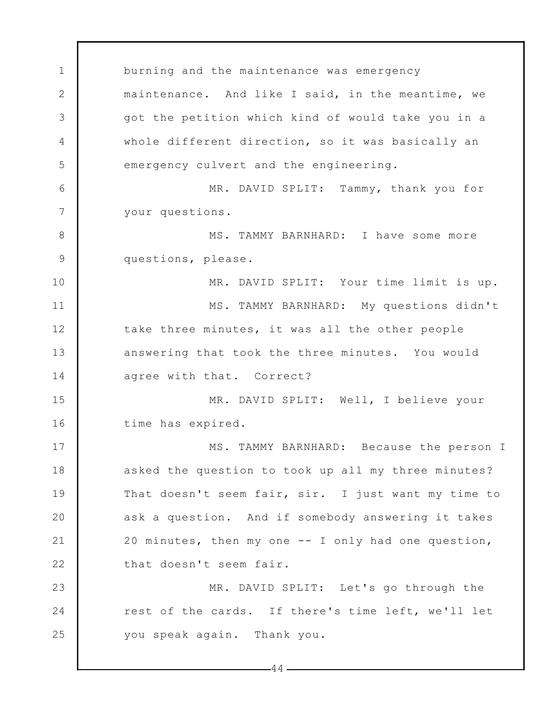1 2 3 4 5 6 7 8 9 10 11 12 13 14 15 16 17 18 19 20 21 22 23 24 25 burning and the maintenance was emergency maintenance. And like I said, in the meantime, we got the petition which kind of would take you in a whole different direction, so it was basically an emergency culvert and the engineering. MR. DAVID SPLIT: Tammy, thank you for your questions. MS. TAMMY BARNHARD: I have some more questions, please. MR. DAVID SPLIT: Your time limit is up. MS. TAMMY BARNHARD: My questions didn't take three minutes, it was all the other people answering that took the three minutes. You would agree with that. Correct? MR. DAVID SPLIT: Well, I believe your time has expired. MS. TAMMY BARNHARD: Because the person I asked the question to took up all my three minutes? That doesn't seem fair, sir. I just want my time to ask a question. And if somebody answering it takes 20 minutes, then my one -- I only had one question, that doesn't seem fair. MR. DAVID SPLIT: Let's go through the rest of the cards. If there's time left, we'll let you speak again. Thank you.

 $-44-$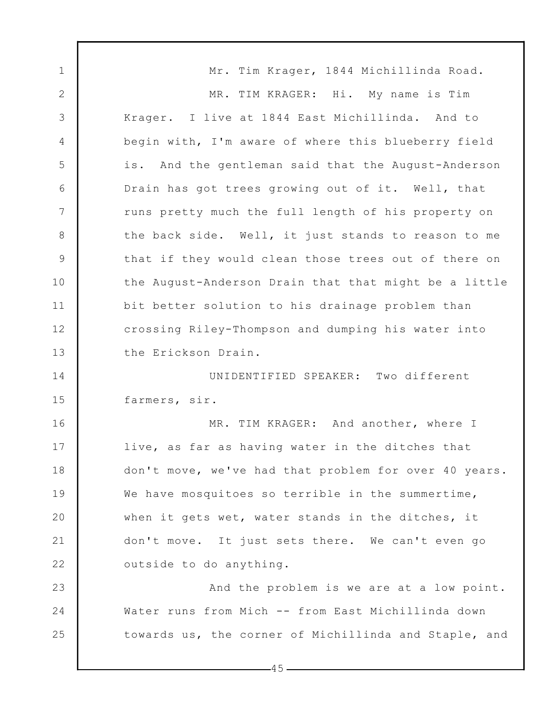1 2 3 4 5 6 7 8 9 10 11 12 13 14 15 16 17 18 19 20 21 22 23 24 25 Mr. Tim Krager, 1844 Michillinda Road. MR. TIM KRAGER: Hi. My name is Tim Krager. I live at 1844 East Michillinda. And to begin with, I'm aware of where this blueberry field is. And the gentleman said that the August-Anderson Drain has got trees growing out of it. Well, that runs pretty much the full length of his property on the back side. Well, it just stands to reason to me that if they would clean those trees out of there on the August-Anderson Drain that that might be a little bit better solution to his drainage problem than crossing Riley-Thompson and dumping his water into the Erickson Drain. UNIDENTIFIED SPEAKER: Two different farmers, sir. MR. TIM KRAGER: And another, where I live, as far as having water in the ditches that don't move, we've had that problem for over 40 years. We have mosquitoes so terrible in the summertime, when it gets wet, water stands in the ditches, it don't move. It just sets there. We can't even go outside to do anything. And the problem is we are at a low point. Water runs from Mich -- from East Michillinda down towards us, the corner of Michillinda and Staple, and

 $-45-$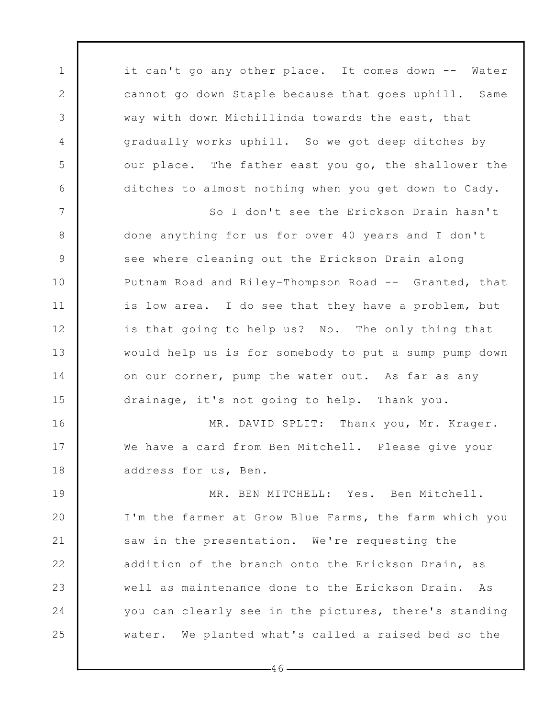it can't go any other place. It comes down -- Water cannot go down Staple because that goes uphill. Same way with down Michillinda towards the east, that gradually works uphill. So we got deep ditches by our place. The father east you go, the shallower the ditches to almost nothing when you get down to Cady.

1

2

3

4

5

6

7

8

9

10

11

12

13

14

15

16

17

18

So I don't see the Erickson Drain hasn't done anything for us for over 40 years and I don't see where cleaning out the Erickson Drain along Putnam Road and Riley-Thompson Road -- Granted, that is low area. I do see that they have a problem, but is that going to help us? No. The only thing that would help us is for somebody to put a sump pump down on our corner, pump the water out. As far as any drainage, it's not going to help. Thank you.

MR. DAVID SPLIT: Thank you, Mr. Krager. We have a card from Ben Mitchell. Please give your address for us, Ben.

19 20 21 22 23 24 25 MR. BEN MITCHELL: Yes. Ben Mitchell. I'm the farmer at Grow Blue Farms, the farm which you saw in the presentation. We're requesting the addition of the branch onto the Erickson Drain, as well as maintenance done to the Erickson Drain. As you can clearly see in the pictures, there's standing water. We planted what's called a raised bed so the

 $-46-$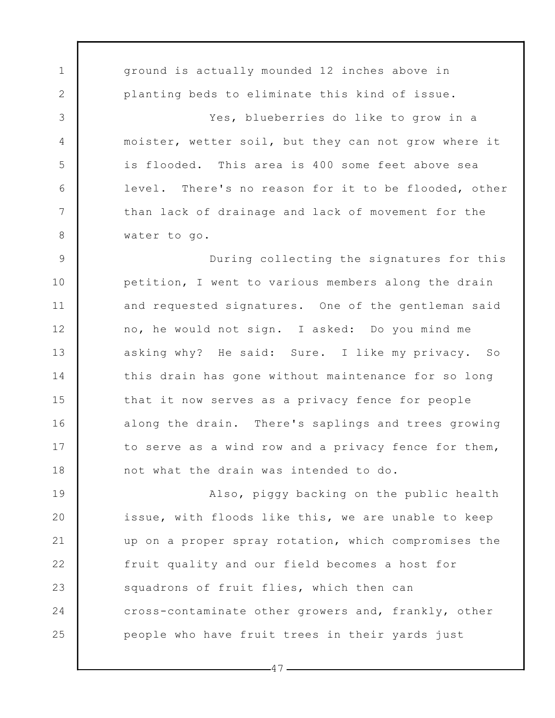1 2 3 4 5 6 7 8 9 10 11 12 13 14 15 16 17 18 19 20 21 22 23 ground is actually mounded 12 inches above in planting beds to eliminate this kind of issue. Yes, blueberries do like to grow in a moister, wetter soil, but they can not grow where it is flooded. This area is 400 some feet above sea level. There's no reason for it to be flooded, other than lack of drainage and lack of movement for the water to go. During collecting the signatures for this petition, I went to various members along the drain and requested signatures. One of the gentleman said no, he would not sign. I asked: Do you mind me asking why? He said: Sure. I like my privacy. So this drain has gone without maintenance for so long that it now serves as a privacy fence for people along the drain. There's saplings and trees growing to serve as a wind row and a privacy fence for them, not what the drain was intended to do. Also, piggy backing on the public health issue, with floods like this, we are unable to keep up on a proper spray rotation, which compromises the fruit quality and our field becomes a host for squadrons of fruit flies, which then can

cross-contaminate other growers and, frankly, other people who have fruit trees in their yards just

 $-47-$ 

24

25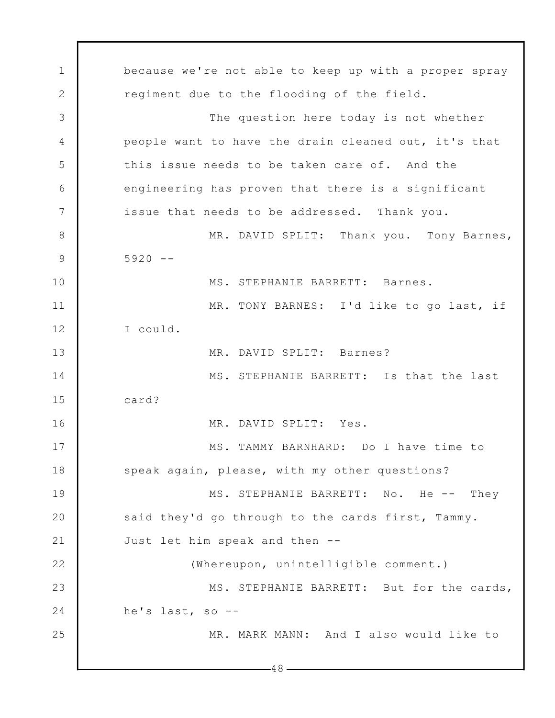1 2 3 4 5 6 7 8 9 10 11 12 13 14 15 16 17 18 19 20 21 22 23 24 25  $-48$ because we're not able to keep up with a proper spray regiment due to the flooding of the field. The question here today is not whether people want to have the drain cleaned out, it's that this issue needs to be taken care of. And the engineering has proven that there is a significant issue that needs to be addressed. Thank you. MR. DAVID SPLIT: Thank you. Tony Barnes,  $5920 - -$ MS. STEPHANIE BARRETT: Barnes. MR. TONY BARNES: I'd like to go last, if I could. MR. DAVID SPLIT: Barnes? MS. STEPHANIE BARRETT: Is that the last card? MR. DAVID SPLIT: Yes. MS. TAMMY BARNHARD: Do I have time to speak again, please, with my other questions? MS. STEPHANIE BARRETT: No. He -- They said they'd go through to the cards first, Tammy. Just let him speak and then -- (Whereupon, unintelligible comment.) MS. STEPHANIE BARRETT: But for the cards, he's last, so -- MR. MARK MANN: And I also would like to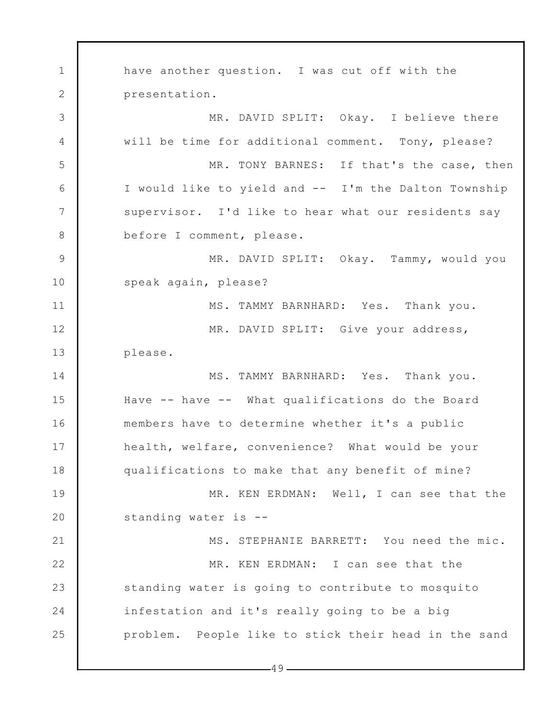1 2 3 4 5 6 7 8 9 10 11 12 13 14 15 16 17 18 19 20 21 22 23 24 25 have another question. I was cut off with the presentation. MR. DAVID SPLIT: Okay. I believe there will be time for additional comment. Tony, please? MR. TONY BARNES: If that's the case, then I would like to yield and -- I'm the Dalton Township supervisor. I'd like to hear what our residents say before I comment, please. MR. DAVID SPLIT: Okay. Tammy, would you speak again, please? MS. TAMMY BARNHARD: Yes. Thank you. MR. DAVID SPLIT: Give your address, please. MS. TAMMY BARNHARD: Yes. Thank you. Have -- have -- What qualifications do the Board members have to determine whether it's a public health, welfare, convenience? What would be your qualifications to make that any benefit of mine? MR. KEN ERDMAN: Well, I can see that the standing water is -- MS. STEPHANIE BARRETT: You need the mic. MR. KEN ERDMAN: I can see that the standing water is going to contribute to mosquito infestation and it's really going to be a big problem. People like to stick their head in the sand

 $-49-$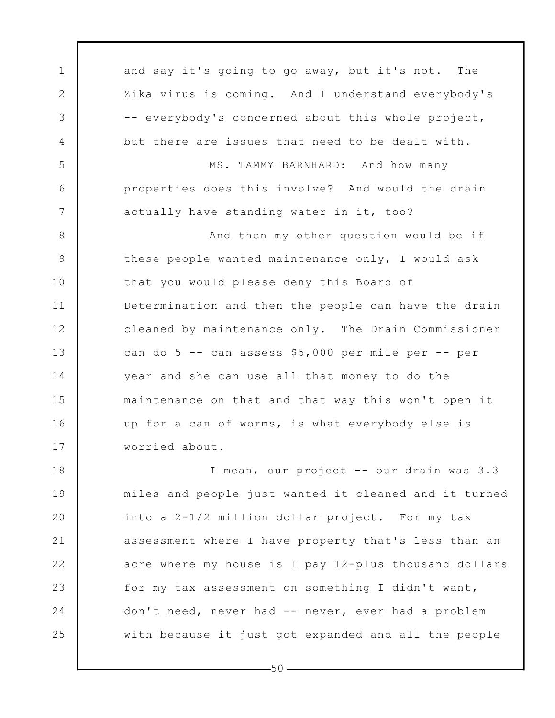1 2 3 4 5 6 7 8 9 10 11 12 13 14 15 16 17 18 19 20 21 and say it's going to go away, but it's not. The Zika virus is coming. And I understand everybody's -- everybody's concerned about this whole project, but there are issues that need to be dealt with. MS. TAMMY BARNHARD: And how many properties does this involve? And would the drain actually have standing water in it, too? And then my other question would be if these people wanted maintenance only, I would ask that you would please deny this Board of Determination and then the people can have the drain cleaned by maintenance only. The Drain Commissioner can do 5 -- can assess \$5,000 per mile per -- per year and she can use all that money to do the maintenance on that and that way this won't open it up for a can of worms, is what everybody else is worried about. I mean, our project -- our drain was 3.3 miles and people just wanted it cleaned and it turned into a 2-1/2 million dollar project. For my tax assessment where I have property that's less than an

acre where my house is I pay 12-plus thousand dollars for my tax assessment on something I didn't want, don't need, never had -- never, ever had a problem with because it just got expanded and all the people

 $-50-$ 

22

23

24

25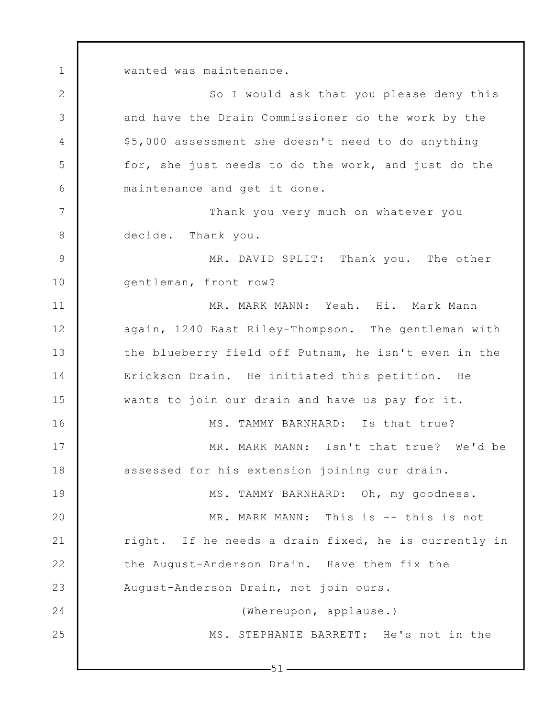wanted was maintenance.

1

2 3 4 5 6 7 8 9 10 11 12 13 14 15 16 17 18 19 20 21 22 23 24 25 So I would ask that you please deny this and have the Drain Commissioner do the work by the \$5,000 assessment she doesn't need to do anything for, she just needs to do the work, and just do the maintenance and get it done. Thank you very much on whatever you decide. Thank you. MR. DAVID SPLIT: Thank you. The other gentleman, front row? MR. MARK MANN: Yeah. Hi. Mark Mann again, 1240 East Riley-Thompson. The gentleman with the blueberry field off Putnam, he isn't even in the Erickson Drain. He initiated this petition. He wants to join our drain and have us pay for it. MS. TAMMY BARNHARD: Is that true? MR. MARK MANN: Isn't that true? We'd be assessed for his extension joining our drain. MS. TAMMY BARNHARD: Oh, my goodness. MR. MARK MANN: This is -- this is not right. If he needs a drain fixed, he is currently in the August-Anderson Drain. Have them fix the August-Anderson Drain, not join ours. (Whereupon, applause.) MS. STEPHANIE BARRETT: He's not in the

 $-51-$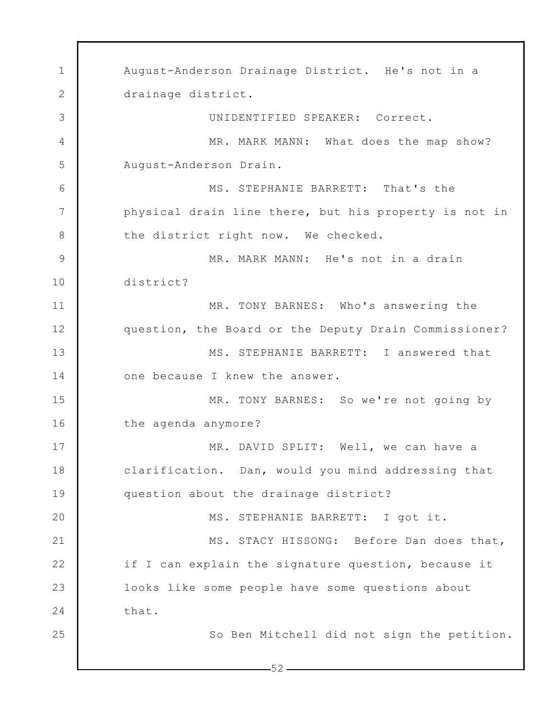1 2 3 4 5 6 7 8 9 10 11 12 13 14 15 16 17 18 19 20 21 22 23 24 25  $-52-$ August-Anderson Drainage District. He's not in a drainage district. UNIDENTIFIED SPEAKER: Correct. MR. MARK MANN: What does the map show? August-Anderson Drain. MS. STEPHANIE BARRETT: That's the physical drain line there, but his property is not in the district right now. We checked. MR. MARK MANN: He's not in a drain district? MR. TONY BARNES: Who's answering the question, the Board or the Deputy Drain Commissioner? MS. STEPHANIE BARRETT: I answered that one because I knew the answer. MR. TONY BARNES: So we're not going by the agenda anymore? MR. DAVID SPLIT: Well, we can have a clarification. Dan, would you mind addressing that question about the drainage district? MS. STEPHANIE BARRETT: I got it. MS. STACY HISSONG: Before Dan does that, if I can explain the signature question, because it looks like some people have some questions about that. So Ben Mitchell did not sign the petition.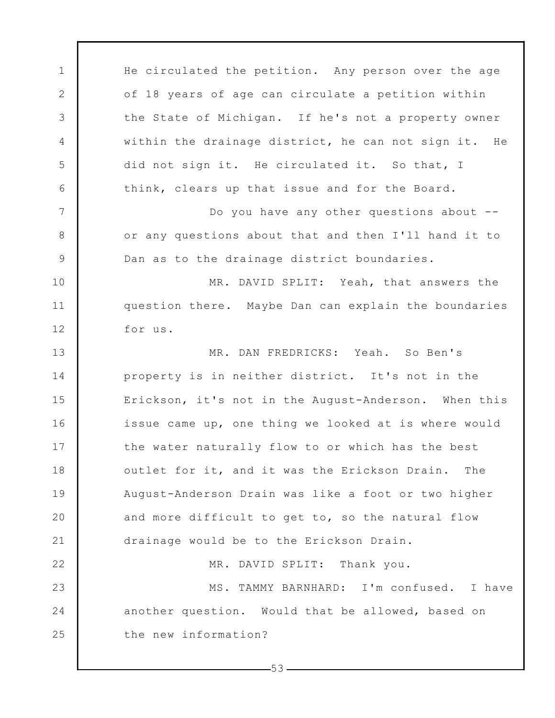1 2 3 4 5 6 7 8 9 10 11 12 13 14 15 16 17 18 19 20 21 22 23 24 25 He circulated the petition. Any person over the age of 18 years of age can circulate a petition within the State of Michigan. If he's not a property owner within the drainage district, he can not sign it. He did not sign it. He circulated it. So that, I think, clears up that issue and for the Board. Do you have any other questions about - or any questions about that and then I'll hand it to Dan as to the drainage district boundaries. MR. DAVID SPLIT: Yeah, that answers the question there. Maybe Dan can explain the boundaries for us. MR. DAN FREDRICKS: Yeah. So Ben's property is in neither district. It's not in the Erickson, it's not in the August-Anderson. When this issue came up, one thing we looked at is where would the water naturally flow to or which has the best outlet for it, and it was the Erickson Drain. The August-Anderson Drain was like a foot or two higher and more difficult to get to, so the natural flow drainage would be to the Erickson Drain. MR. DAVID SPLIT: Thank you. MS. TAMMY BARNHARD: I'm confused. I have another question. Would that be allowed, based on the new information?

 $-53-$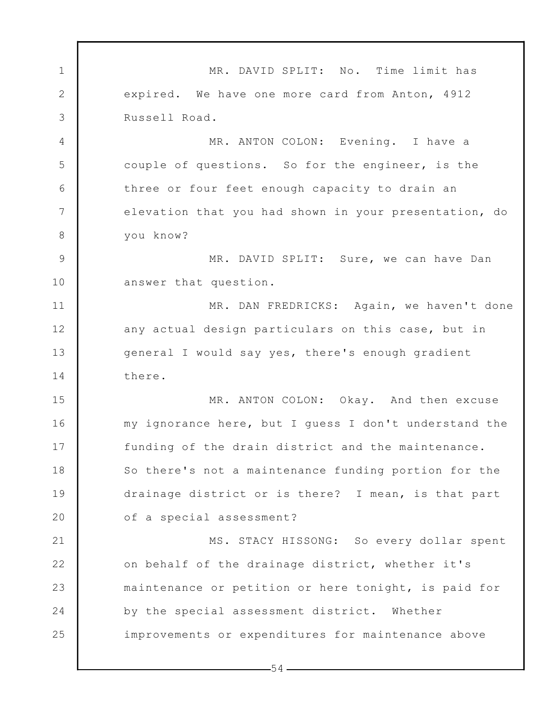1 2 3 4 5 6 7 8 9 10 11 12 13 14 15 16 17 18 19 20 21 22 23 24 25 MR. DAVID SPLIT: No. Time limit has expired. We have one more card from Anton, 4912 Russell Road. MR. ANTON COLON: Evening. I have a couple of questions. So for the engineer, is the three or four feet enough capacity to drain an elevation that you had shown in your presentation, do you know? MR. DAVID SPLIT: Sure, we can have Dan answer that question. MR. DAN FREDRICKS: Again, we haven't done any actual design particulars on this case, but in general I would say yes, there's enough gradient there. MR. ANTON COLON: Okay. And then excuse my ignorance here, but I guess I don't understand the funding of the drain district and the maintenance. So there's not a maintenance funding portion for the drainage district or is there? I mean, is that part of a special assessment? MS. STACY HISSONG: So every dollar spent on behalf of the drainage district, whether it's maintenance or petition or here tonight, is paid for by the special assessment district. Whether improvements or expenditures for maintenance above

 $-54-$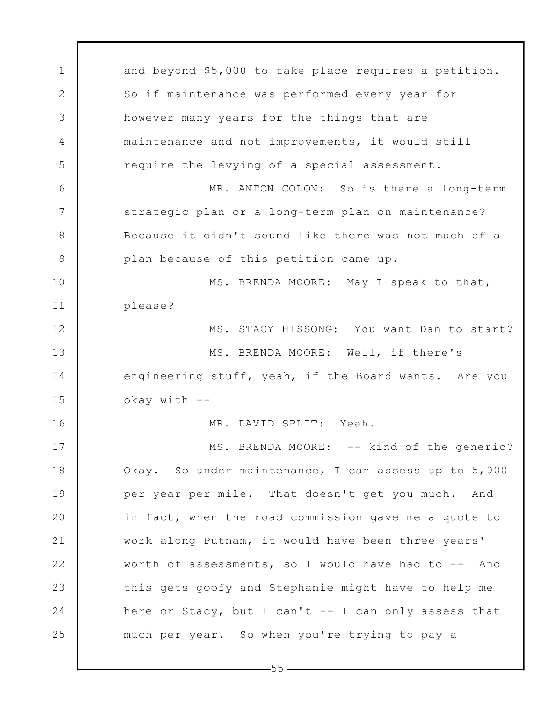1 2 3 4 5 6 7 8 9 10 11 12 13 14 15 16 17 18 19 20 21 22 23 24 25 and beyond \$5,000 to take place requires a petition. So if maintenance was performed every year for however many years for the things that are maintenance and not improvements, it would still require the levying of a special assessment. MR. ANTON COLON: So is there a long-term strategic plan or a long-term plan on maintenance? Because it didn't sound like there was not much of a plan because of this petition came up. MS. BRENDA MOORE: May I speak to that, please? MS. STACY HISSONG: You want Dan to start? MS. BRENDA MOORE: Well, if there's engineering stuff, yeah, if the Board wants. Are you okay with -- MR. DAVID SPLIT: Yeah. MS. BRENDA MOORE: -- kind of the generic? Okay. So under maintenance, I can assess up to 5,000 per year per mile. That doesn't get you much. And in fact, when the road commission gave me a quote to work along Putnam, it would have been three years' worth of assessments, so I would have had to -- And this gets goofy and Stephanie might have to help me here or Stacy, but I can't -- I can only assess that much per year. So when you're trying to pay a

 $-55-$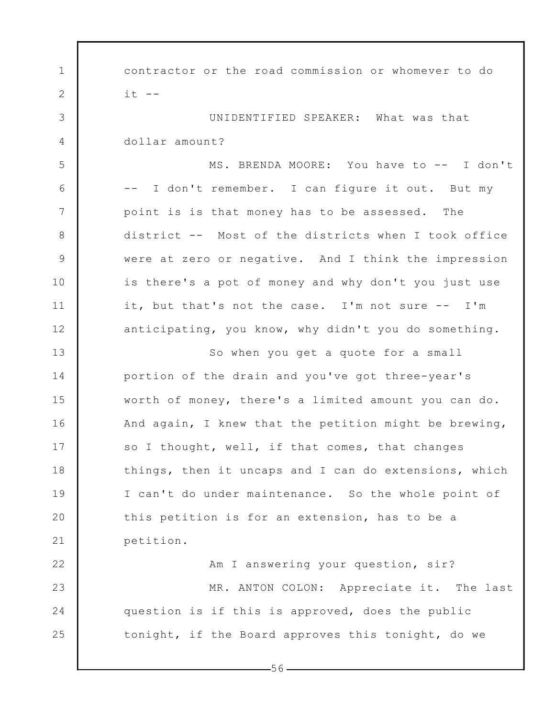1 2 3 4 5 6 7 8 9 10 11 12 13 14 15 16 17 18 19 20 21 22 23 24 25 contractor or the road commission or whomever to do  $it$   $--$ UNIDENTIFIED SPEAKER: What was that dollar amount? MS. BRENDA MOORE: You have to -- I don't -- I don't remember. I can figure it out. But my point is is that money has to be assessed. The district -- Most of the districts when I took office were at zero or negative. And I think the impression is there's a pot of money and why don't you just use it, but that's not the case. I'm not sure -- I'm anticipating, you know, why didn't you do something. So when you get a quote for a small portion of the drain and you've got three-year's worth of money, there's a limited amount you can do. And again, I knew that the petition might be brewing, so I thought, well, if that comes, that changes things, then it uncaps and I can do extensions, which I can't do under maintenance. So the whole point of this petition is for an extension, has to be a petition. Am I answering your question, sir? MR. ANTON COLON: Appreciate it. The last question is if this is approved, does the public tonight, if the Board approves this tonight, do we

 $-56-$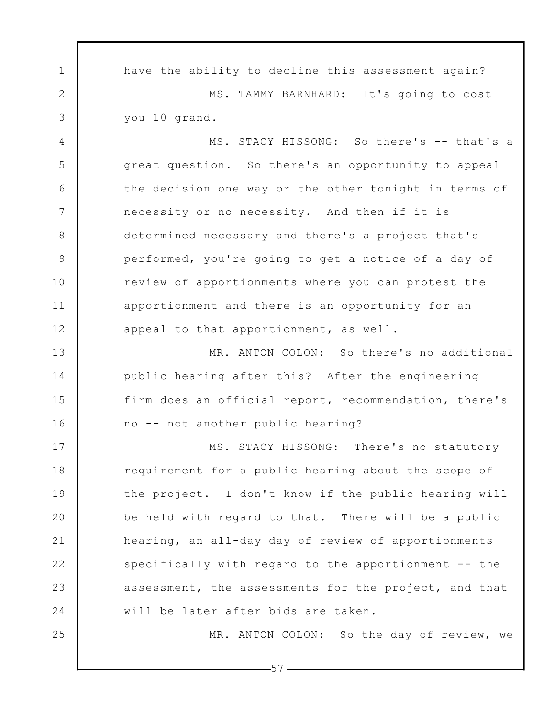1 2 3 4 5 6 7 8 9 10 11 12 13 14 15 16 17 18 19 20 21 22 23 24 25 have the ability to decline this assessment again? MS. TAMMY BARNHARD: It's going to cost you 10 grand. MS. STACY HISSONG: So there's -- that's a great question. So there's an opportunity to appeal the decision one way or the other tonight in terms of necessity or no necessity. And then if it is determined necessary and there's a project that's performed, you're going to get a notice of a day of review of apportionments where you can protest the apportionment and there is an opportunity for an appeal to that apportionment, as well. MR. ANTON COLON: So there's no additional public hearing after this? After the engineering firm does an official report, recommendation, there's no -- not another public hearing? MS. STACY HISSONG: There's no statutory requirement for a public hearing about the scope of the project. I don't know if the public hearing will be held with regard to that. There will be a public hearing, an all-day day of review of apportionments specifically with regard to the apportionment -- the assessment, the assessments for the project, and that will be later after bids are taken. MR. ANTON COLON: So the day of review, we

 $-57-$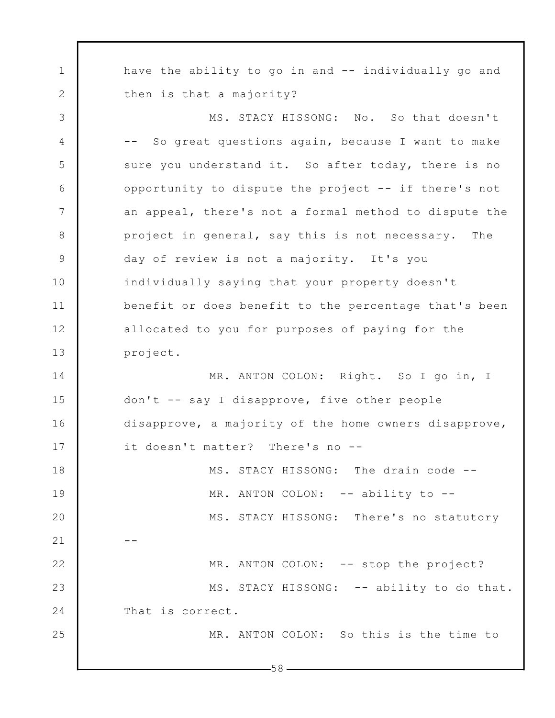1 2 3 4 5 6 7 8 9 10 11 12 13 14 15 16 17 18 19 20 21 22 23 24 25  $-58$ have the ability to go in and -- individually go and then is that a majority? MS. STACY HISSONG: No. So that doesn't -- So great questions again, because I want to make sure you understand it. So after today, there is no opportunity to dispute the project -- if there's not an appeal, there's not a formal method to dispute the project in general, say this is not necessary. The day of review is not a majority. It's you individually saying that your property doesn't benefit or does benefit to the percentage that's been allocated to you for purposes of paying for the project. MR. ANTON COLON: Right. So I go in, I don't -- say I disapprove, five other people disapprove, a majority of the home owners disapprove, it doesn't matter? There's no -- MS. STACY HISSONG: The drain code -- MR. ANTON COLON: -- ability to --MS. STACY HISSONG: There's no statutory -- MR. ANTON COLON: -- stop the project? MS. STACY HISSONG: -- ability to do that. That is correct. MR. ANTON COLON: So this is the time to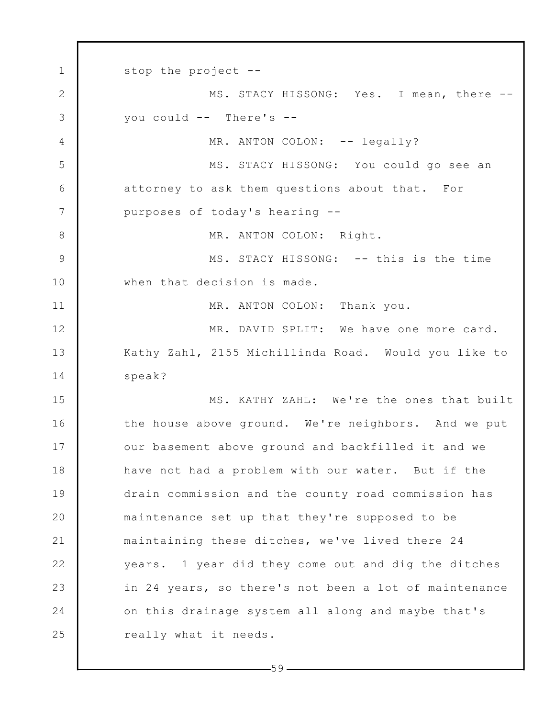1 2 3 4 5 6 7 8 9 10 11 12 13 14 15 16 17 18 19 20 21 22 23 24 25 stop the project -- MS. STACY HISSONG: Yes. I mean, there - you could -- There's -- MR. ANTON COLON: -- legally? MS. STACY HISSONG: You could go see an attorney to ask them questions about that. For purposes of today's hearing -- MR. ANTON COLON: Right. MS. STACY HISSONG: -- this is the time when that decision is made. MR. ANTON COLON: Thank you. MR. DAVID SPLIT: We have one more card. Kathy Zahl, 2155 Michillinda Road. Would you like to speak? MS. KATHY ZAHL: We're the ones that built the house above ground. We're neighbors. And we put our basement above ground and backfilled it and we have not had a problem with our water. But if the drain commission and the county road commission has maintenance set up that they're supposed to be maintaining these ditches, we've lived there 24 years. 1 year did they come out and dig the ditches in 24 years, so there's not been a lot of maintenance on this drainage system all along and maybe that's really what it needs.

 $-59$  —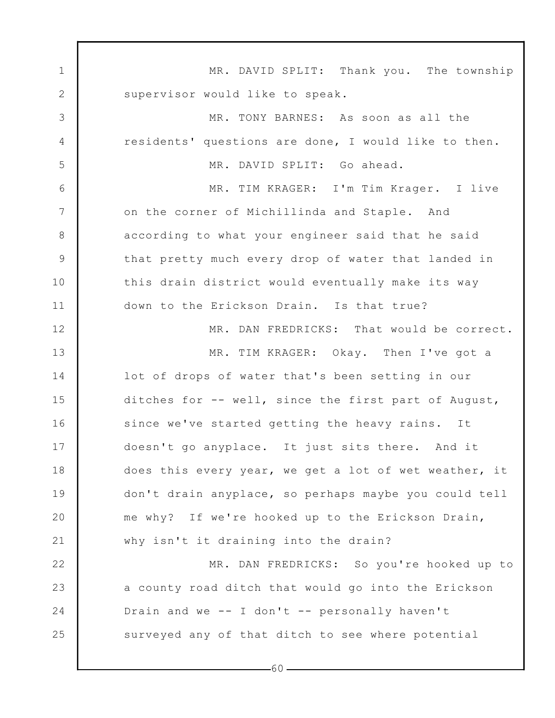1 2 3 4 5 6 7 8 9 10 11 12 13 14 15 16 17 18 19 20 21 22 23 24 25 MR. DAVID SPLIT: Thank you. The township supervisor would like to speak. MR. TONY BARNES: As soon as all the residents' questions are done, I would like to then. MR. DAVID SPLIT: Go ahead. MR. TIM KRAGER: I'm Tim Krager. I live on the corner of Michillinda and Staple. And according to what your engineer said that he said that pretty much every drop of water that landed in this drain district would eventually make its way down to the Erickson Drain. Is that true? MR. DAN FREDRICKS: That would be correct. MR. TIM KRAGER: Okay. Then I've got a lot of drops of water that's been setting in our ditches for -- well, since the first part of August, since we've started getting the heavy rains. It doesn't go anyplace. It just sits there. And it does this every year, we get a lot of wet weather, it don't drain anyplace, so perhaps maybe you could tell me why? If we're hooked up to the Erickson Drain, why isn't it draining into the drain? MR. DAN FREDRICKS: So you're hooked up to a county road ditch that would go into the Erickson Drain and we -- I don't -- personally haven't surveyed any of that ditch to see where potential

 $-60-$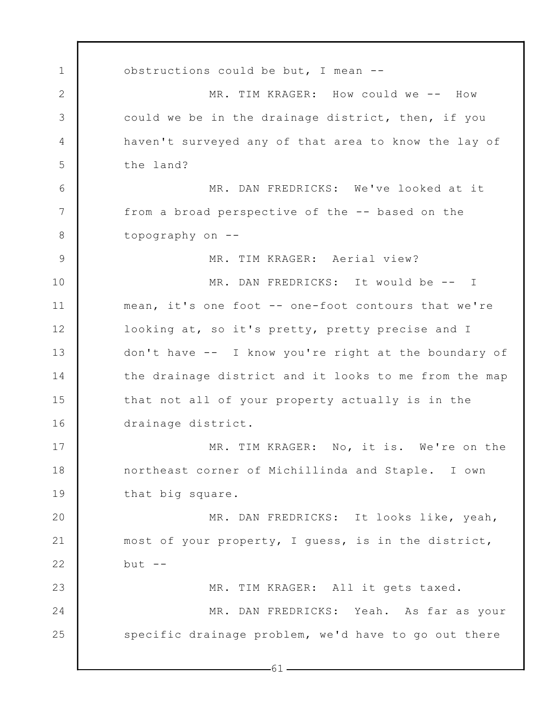1 2 3 4 5 6 7 8 9 10 11 12 13 14 15 16 17 18 19 20 21 22 23 24 25  $-61$ obstructions could be but, I mean -- MR. TIM KRAGER: How could we -- How could we be in the drainage district, then, if you haven't surveyed any of that area to know the lay of the land? MR. DAN FREDRICKS: We've looked at it from a broad perspective of the -- based on the topography on -- MR. TIM KRAGER: Aerial view? MR. DAN FREDRICKS: It would be -- I mean, it's one foot -- one-foot contours that we're looking at, so it's pretty, pretty precise and I don't have -- I know you're right at the boundary of the drainage district and it looks to me from the map that not all of your property actually is in the drainage district. MR. TIM KRAGER: No, it is. We're on the northeast corner of Michillinda and Staple. I own that big square. MR. DAN FREDRICKS: It looks like, yeah, most of your property, I guess, is in the district, but  $--$ MR. TIM KRAGER: All it gets taxed. MR. DAN FREDRICKS: Yeah. As far as your specific drainage problem, we'd have to go out there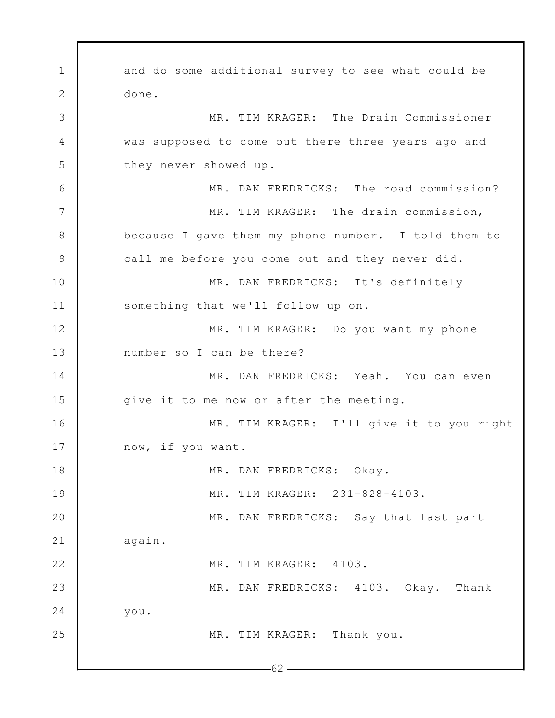1 2 3 4 5 6 7 8 9 10 11 12 13 14 15 16 17 18 19 20 21 22 23 24 25  $-62$ and do some additional survey to see what could be done. MR. TIM KRAGER: The Drain Commissioner was supposed to come out there three years ago and they never showed up. MR. DAN FREDRICKS: The road commission? MR. TIM KRAGER: The drain commission, because I gave them my phone number. I told them to call me before you come out and they never did. MR. DAN FREDRICKS: It's definitely something that we'll follow up on. MR. TIM KRAGER: Do you want my phone number so I can be there? MR. DAN FREDRICKS: Yeah. You can even give it to me now or after the meeting. MR. TIM KRAGER: I'll give it to you right now, if you want. MR. DAN FREDRICKS: Okay. MR. TIM KRAGER: 231-828-4103. MR. DAN FREDRICKS: Say that last part again. MR. TIM KRAGER: 4103. MR. DAN FREDRICKS: 4103. Okay. Thank you. MR. TIM KRAGER: Thank you.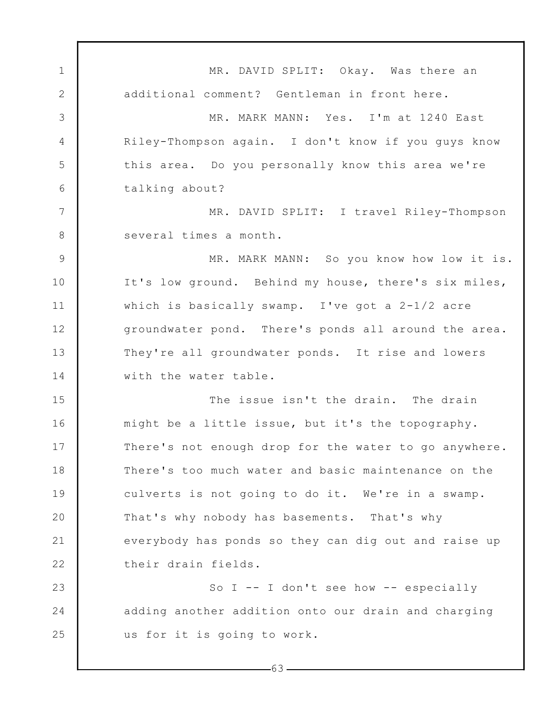1 2 3 4 5 6 7 8 9 10 11 12 13 14 15 16 17 18 19 20 21 22 23 24 25 MR. DAVID SPLIT: Okay. Was there an additional comment? Gentleman in front here. MR. MARK MANN: Yes. I'm at 1240 East Riley-Thompson again. I don't know if you guys know this area. Do you personally know this area we're talking about? MR. DAVID SPLIT: I travel Riley-Thompson several times a month. MR. MARK MANN: So you know how low it is. It's low ground. Behind my house, there's six miles, which is basically swamp. I've got a 2-1/2 acre groundwater pond. There's ponds all around the area. They're all groundwater ponds. It rise and lowers with the water table. The issue isn't the drain. The drain might be a little issue, but it's the topography. There's not enough drop for the water to go anywhere. There's too much water and basic maintenance on the culverts is not going to do it. We're in a swamp. That's why nobody has basements. That's why everybody has ponds so they can dig out and raise up their drain fields. So I  $-$ - I don't see how  $-$ - especially adding another addition onto our drain and charging us for it is going to work.

 $-63-$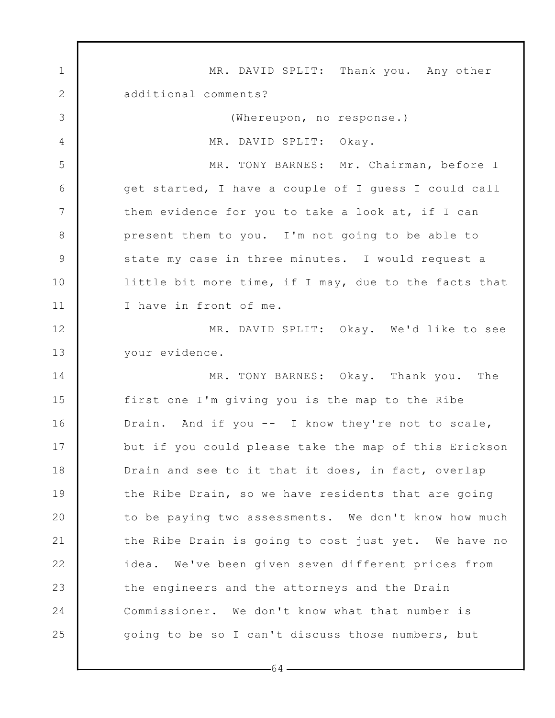1 2 3 4 5 6 7 8 9 10 11 12 13 14 15 16 17 18 19 20 21 22 23 24 25 MR. DAVID SPLIT: Thank you. Any other additional comments? (Whereupon, no response.) MR. DAVID SPLIT: Okay. MR. TONY BARNES: Mr. Chairman, before I get started, I have a couple of I guess I could call them evidence for you to take a look at, if I can present them to you. I'm not going to be able to state my case in three minutes. I would request a little bit more time, if I may, due to the facts that I have in front of me. MR. DAVID SPLIT: Okay. We'd like to see your evidence. MR. TONY BARNES: Okay. Thank you. The first one I'm giving you is the map to the Ribe Drain. And if you -- I know they're not to scale, but if you could please take the map of this Erickson Drain and see to it that it does, in fact, overlap the Ribe Drain, so we have residents that are going to be paying two assessments. We don't know how much the Ribe Drain is going to cost just yet. We have no idea. We've been given seven different prices from the engineers and the attorneys and the Drain Commissioner. We don't know what that number is going to be so I can't discuss those numbers, but

 $-64-$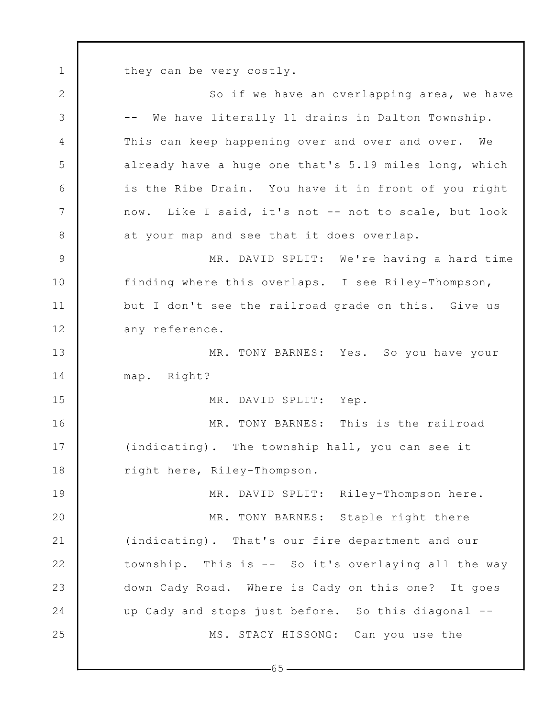they can be very costly.

1

2 3 4 5 6 7 8 9 10 11 12 13 14 15 16 17 18 19 20 21 22 23 24 25 So if we have an overlapping area, we have -- We have literally 11 drains in Dalton Township. This can keep happening over and over and over. We already have a huge one that's 5.19 miles long, which is the Ribe Drain. You have it in front of you right now. Like I said, it's not -- not to scale, but look at your map and see that it does overlap. MR. DAVID SPLIT: We're having a hard time finding where this overlaps. I see Riley-Thompson, but I don't see the railroad grade on this. Give us any reference. MR. TONY BARNES: Yes. So you have your map. Right? MR. DAVID SPLIT: Yep. MR. TONY BARNES: This is the railroad (indicating). The township hall, you can see it right here, Riley-Thompson. MR. DAVID SPLIT: Riley-Thompson here. MR. TONY BARNES: Staple right there (indicating). That's our fire department and our township. This is -- So it's overlaying all the way down Cady Road. Where is Cady on this one? It goes up Cady and stops just before. So this diagonal -- MS. STACY HISSONG: Can you use the

 $-65-$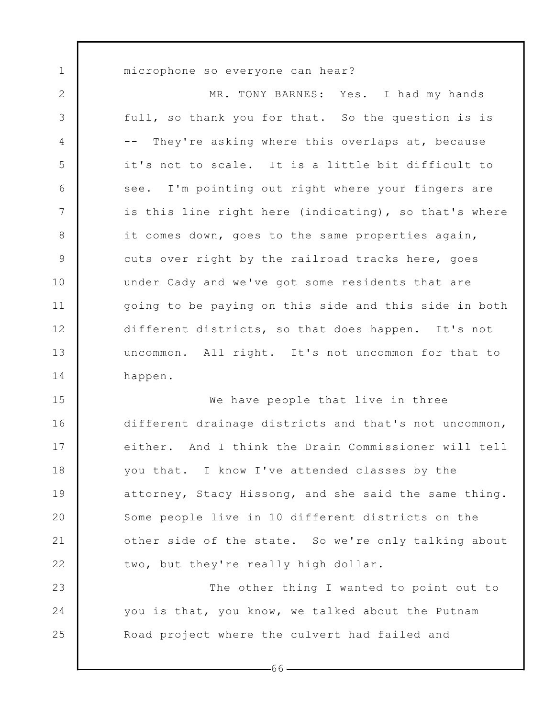microphone so everyone can hear?

1

23

24

25

2 3 4 5 6 7 8 9 10 11 12 13 14 MR. TONY BARNES: Yes. I had my hands full, so thank you for that. So the question is is -- They're asking where this overlaps at, because it's not to scale. It is a little bit difficult to see. I'm pointing out right where your fingers are is this line right here (indicating), so that's where it comes down, goes to the same properties again, cuts over right by the railroad tracks here, goes under Cady and we've got some residents that are going to be paying on this side and this side in both different districts, so that does happen. It's not uncommon. All right. It's not uncommon for that to happen.

15 16 17 18 19 20 21 22 We have people that live in three different drainage districts and that's not uncommon, either. And I think the Drain Commissioner will tell you that. I know I've attended classes by the attorney, Stacy Hissong, and she said the same thing. Some people live in 10 different districts on the other side of the state. So we're only talking about two, but they're really high dollar.

The other thing I wanted to point out to you is that, you know, we talked about the Putnam Road project where the culvert had failed and

 $-66-$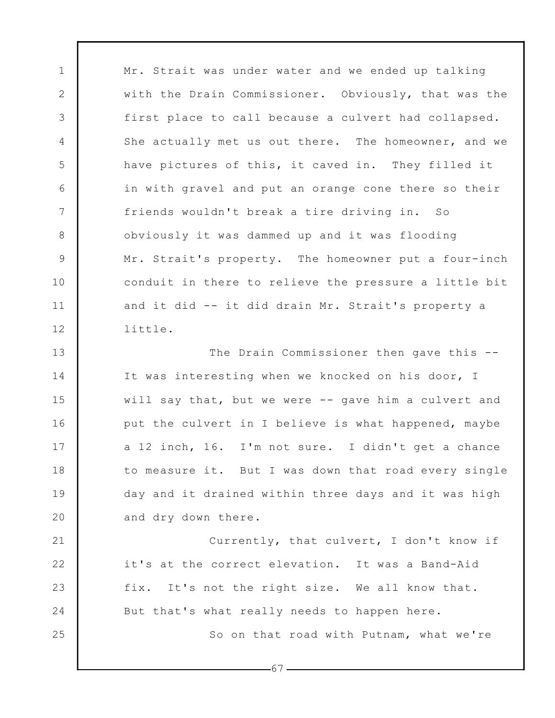Mr. Strait was under water and we ended up talking with the Drain Commissioner. Obviously, that was the first place to call because a culvert had collapsed. She actually met us out there. The homeowner, and we have pictures of this, it caved in. They filled it in with gravel and put an orange cone there so their friends wouldn't break a tire driving in. So obviously it was dammed up and it was flooding Mr. Strait's property. The homeowner put a four-inch conduit in there to relieve the pressure a little bit and it did -- it did drain Mr. Strait's property a little.

1

2

3

4

5

6

7

8

9

10

11

12

25

13 14 15 16 17 18 19 20 The Drain Commissioner then gave this -- It was interesting when we knocked on his door, I will say that, but we were -- gave him a culvert and put the culvert in I believe is what happened, maybe a 12 inch, 16. I'm not sure. I didn't get a chance to measure it. But I was down that road every single day and it drained within three days and it was high and dry down there.

21 22 23 24 Currently, that culvert, I don't know if it's at the correct elevation. It was a Band-Aid fix. It's not the right size. We all know that. But that's what really needs to happen here. So on that road with Putnam, what we're

-67 -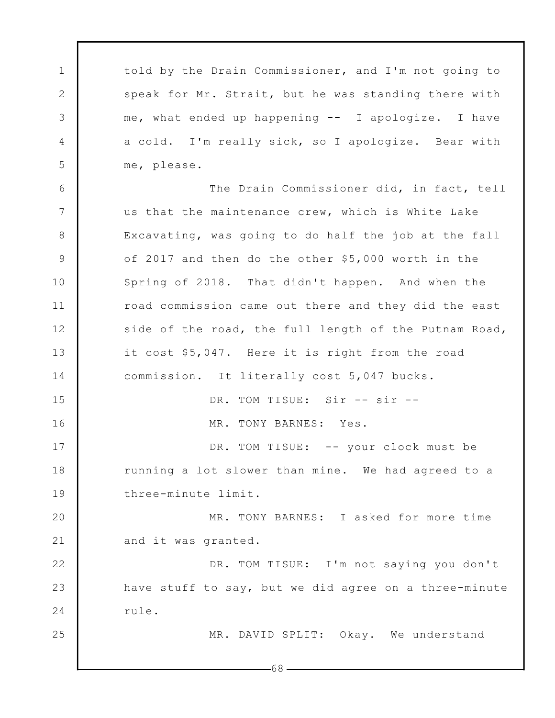told by the Drain Commissioner, and I'm not going to speak for Mr. Strait, but he was standing there with me, what ended up happening -- I apologize. I have a cold. I'm really sick, so I apologize. Bear with me, please.

1

2

3

4

5

25

6 7 8 9 10 11 12 13 14 15 16 17 18 19 20 21 22 23 24 The Drain Commissioner did, in fact, tell us that the maintenance crew, which is White Lake Excavating, was going to do half the job at the fall of 2017 and then do the other \$5,000 worth in the Spring of 2018. That didn't happen. And when the road commission came out there and they did the east side of the road, the full length of the Putnam Road, it cost \$5,047. Here it is right from the road commission. It literally cost 5,047 bucks. DR. TOM TISUE: Sir -- sir --MR. TONY BARNES: Yes. DR. TOM TISUE: -- your clock must be running a lot slower than mine. We had agreed to a three-minute limit. MR. TONY BARNES: I asked for more time and it was granted. DR. TOM TISUE: I'm not saying you don't have stuff to say, but we did agree on a three-minute rule.

MR. DAVID SPLIT: Okay. We understand

68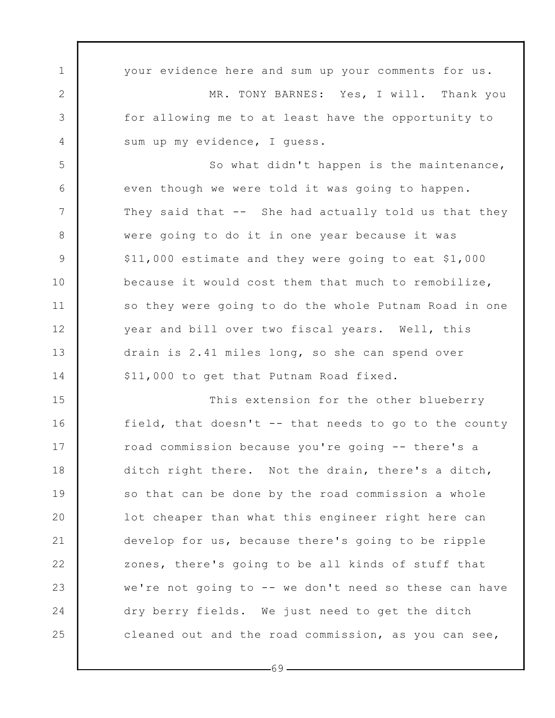1 2 3 4 5 6 7 8 9 10 11 12 13 14 15 16 17 18 19 20 21 22 23 24 25 your evidence here and sum up your comments for us. MR. TONY BARNES: Yes, I will. Thank you for allowing me to at least have the opportunity to sum up my evidence, I guess. So what didn't happen is the maintenance, even though we were told it was going to happen. They said that -- She had actually told us that they were going to do it in one year because it was \$11,000 estimate and they were going to eat \$1,000 because it would cost them that much to remobilize, so they were going to do the whole Putnam Road in one year and bill over two fiscal years. Well, this drain is 2.41 miles long, so she can spend over \$11,000 to get that Putnam Road fixed. This extension for the other blueberry field, that doesn't -- that needs to go to the county road commission because you're going -- there's a ditch right there. Not the drain, there's a ditch, so that can be done by the road commission a whole lot cheaper than what this engineer right here can develop for us, because there's going to be ripple zones, there's going to be all kinds of stuff that we're not going to -- we don't need so these can have dry berry fields. We just need to get the ditch cleaned out and the road commission, as you can see,

-69 -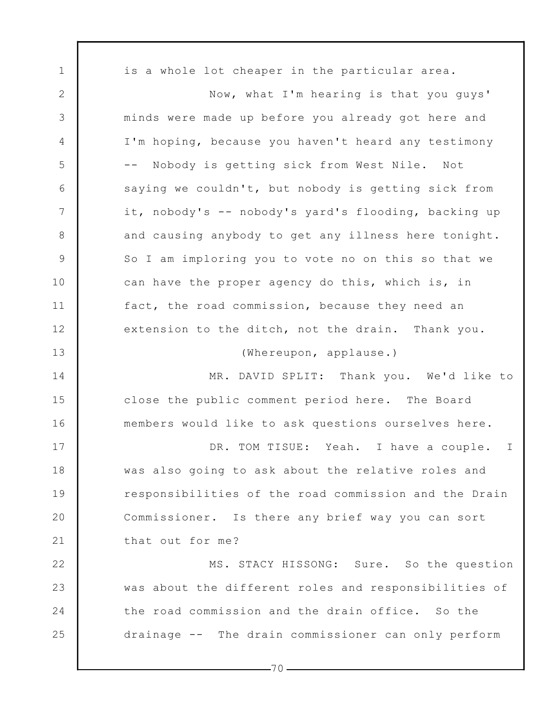1 2 3 4 5 6 7 8 9 10 11 12 13 14 15 16 17 18 19 20 21 22 23 24 25 is a whole lot cheaper in the particular area. Now, what I'm hearing is that you guys' minds were made up before you already got here and I'm hoping, because you haven't heard any testimony -- Nobody is getting sick from West Nile. Not saying we couldn't, but nobody is getting sick from it, nobody's -- nobody's yard's flooding, backing up and causing anybody to get any illness here tonight. So I am imploring you to vote no on this so that we can have the proper agency do this, which is, in fact, the road commission, because they need an extension to the ditch, not the drain. Thank you. (Whereupon, applause.) MR. DAVID SPLIT: Thank you. We'd like to close the public comment period here. The Board members would like to ask questions ourselves here. DR. TOM TISUE: Yeah. I have a couple. I was also going to ask about the relative roles and responsibilities of the road commission and the Drain Commissioner. Is there any brief way you can sort that out for me? MS. STACY HISSONG: Sure. So the question was about the different roles and responsibilities of the road commission and the drain office. So the drainage -- The drain commissioner can only perform

 $-70-$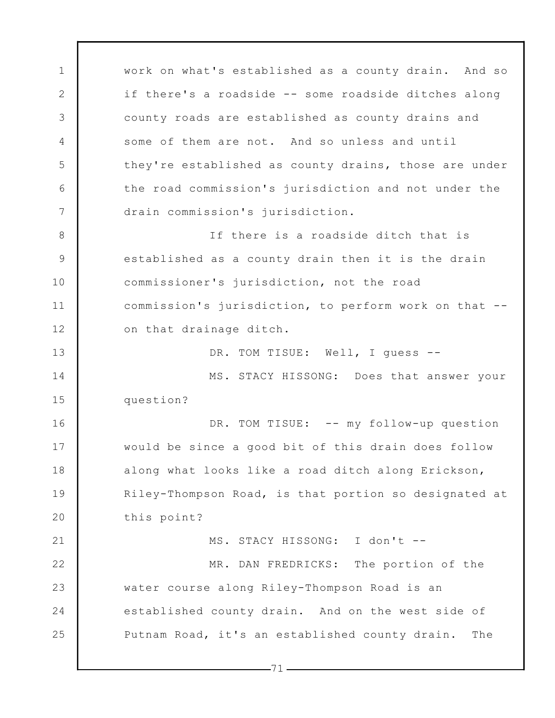1 2 3 4 5 6 7 8 9 10 11 12 13 14 15 16 17 18 19 20 21 22 23 24 25 work on what's established as a county drain. And so if there's a roadside -- some roadside ditches along county roads are established as county drains and some of them are not. And so unless and until they're established as county drains, those are under the road commission's jurisdiction and not under the drain commission's jurisdiction. If there is a roadside ditch that is established as a county drain then it is the drain commissioner's jurisdiction, not the road commission's jurisdiction, to perform work on that - on that drainage ditch. DR. TOM TISUE: Well, I guess --MS. STACY HISSONG: Does that answer your question? DR. TOM TISUE: -- my follow-up question would be since a good bit of this drain does follow along what looks like a road ditch along Erickson, Riley-Thompson Road, is that portion so designated at this point? MS. STACY HISSONG: I don't -- MR. DAN FREDRICKS: The portion of the water course along Riley-Thompson Road is an established county drain. And on the west side of Putnam Road, it's an established county drain. The

 $-71-$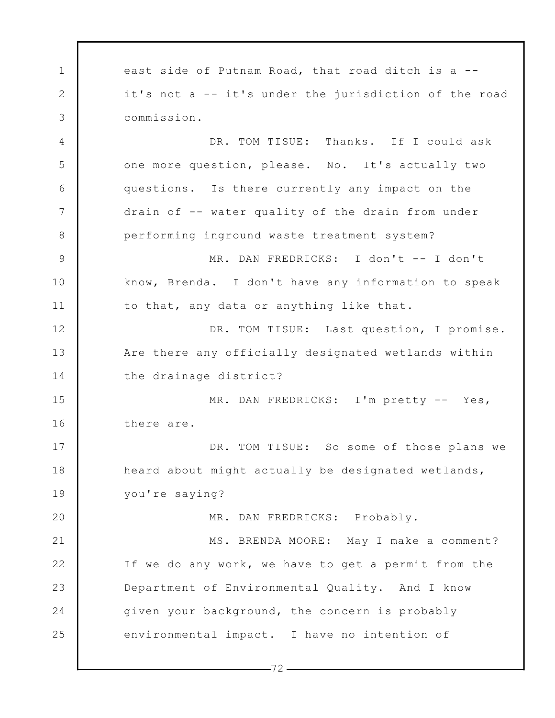1 2 3 4 5 6 7 8 9 10 11 12 13 14 15 16 17 18 19 20 21 22 23 24 25 east side of Putnam Road, that road ditch is a - it's not a -- it's under the jurisdiction of the road commission. DR. TOM TISUE: Thanks. If I could ask one more question, please. No. It's actually two questions. Is there currently any impact on the drain of -- water quality of the drain from under performing inground waste treatment system? MR. DAN FREDRICKS: I don't -- I don't know, Brenda. I don't have any information to speak to that, any data or anything like that. DR. TOM TISUE: Last question, I promise. Are there any officially designated wetlands within the drainage district? MR. DAN FREDRICKS: I'm pretty -- Yes, there are. DR. TOM TISUE: So some of those plans we heard about might actually be designated wetlands, you're saying? MR. DAN FREDRICKS: Probably. MS. BRENDA MOORE: May I make a comment? If we do any work, we have to get a permit from the Department of Environmental Quality. And I know given your background, the concern is probably environmental impact. I have no intention of

 $-72-$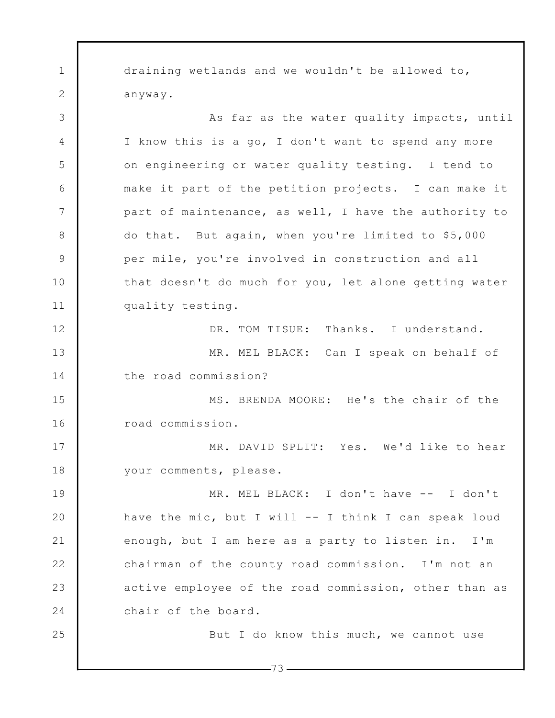1 2 3 4 5 6 7 8 9 10 11 12 13 14 15 16 17 18 19 20 21 22 23 24 25 draining wetlands and we wouldn't be allowed to, anyway. As far as the water quality impacts, until I know this is a go, I don't want to spend any more on engineering or water quality testing. I tend to make it part of the petition projects. I can make it part of maintenance, as well, I have the authority to do that. But again, when you're limited to \$5,000 per mile, you're involved in construction and all that doesn't do much for you, let alone getting water quality testing. DR. TOM TISUE: Thanks. I understand. MR. MEL BLACK: Can I speak on behalf of the road commission? MS. BRENDA MOORE: He's the chair of the road commission. MR. DAVID SPLIT: Yes. We'd like to hear your comments, please. MR. MEL BLACK: I don't have -- I don't have the mic, but I will -- I think I can speak loud enough, but I am here as a party to listen in. I'm chairman of the county road commission. I'm not an active employee of the road commission, other than as chair of the board. But I do know this much, we cannot use

 $-73-$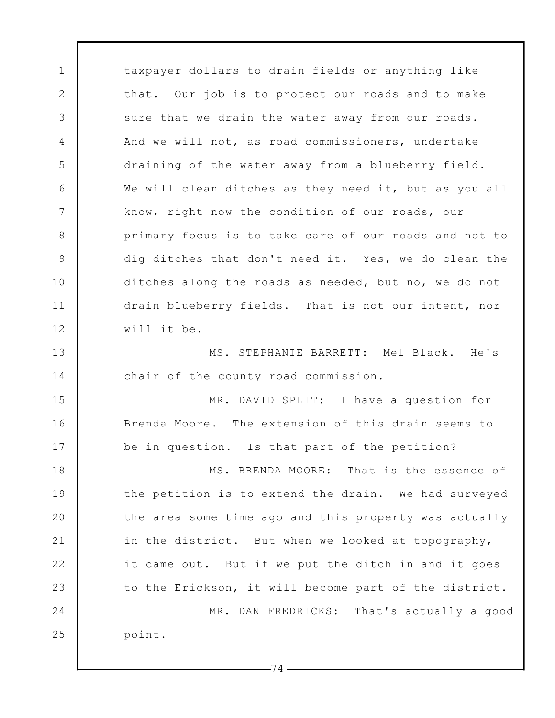1 2 3 4 5 6 7 8 9 10 11 12 13 14 15 16 17 18 19 20 21 22 23 24 25 taxpayer dollars to drain fields or anything like that. Our job is to protect our roads and to make sure that we drain the water away from our roads. And we will not, as road commissioners, undertake draining of the water away from a blueberry field. We will clean ditches as they need it, but as you all know, right now the condition of our roads, our primary focus is to take care of our roads and not to dig ditches that don't need it. Yes, we do clean the ditches along the roads as needed, but no, we do not drain blueberry fields. That is not our intent, nor will it be. MS. STEPHANIE BARRETT: Mel Black. He's chair of the county road commission. MR. DAVID SPLIT: I have a question for Brenda Moore. The extension of this drain seems to be in question. Is that part of the petition? MS. BRENDA MOORE: That is the essence of the petition is to extend the drain. We had surveyed the area some time ago and this property was actually in the district. But when we looked at topography, it came out. But if we put the ditch in and it goes to the Erickson, it will become part of the district. MR. DAN FREDRICKS: That's actually a good point.

 $-74-$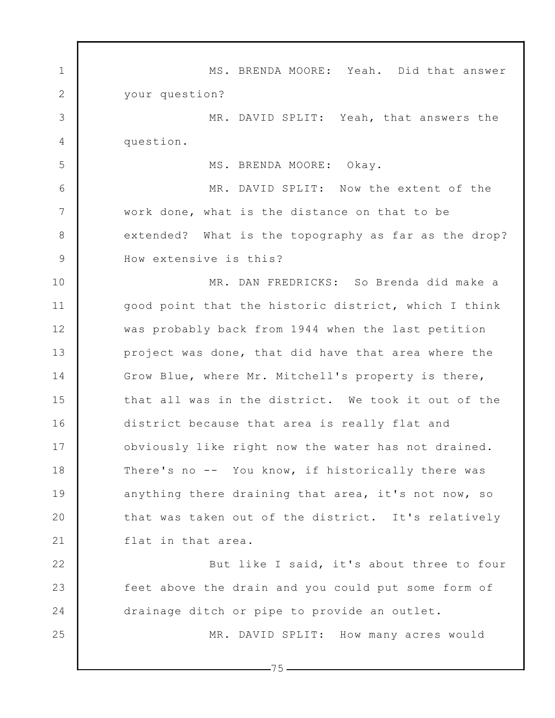1 2 3 4 5 6 7 8 9 10 11 12 13 14 15 16 17 18 19 20 21 22 23 24 25 MS. BRENDA MOORE: Yeah. Did that answer your question? MR. DAVID SPLIT: Yeah, that answers the question. MS. BRENDA MOORE: Okay. MR. DAVID SPLIT: Now the extent of the work done, what is the distance on that to be extended? What is the topography as far as the drop? How extensive is this? MR. DAN FREDRICKS: So Brenda did make a good point that the historic district, which I think was probably back from 1944 when the last petition project was done, that did have that area where the Grow Blue, where Mr. Mitchell's property is there, that all was in the district. We took it out of the district because that area is really flat and obviously like right now the water has not drained. There's no -- You know, if historically there was anything there draining that area, it's not now, so that was taken out of the district. It's relatively flat in that area. But like I said, it's about three to four feet above the drain and you could put some form of drainage ditch or pipe to provide an outlet. MR. DAVID SPLIT: How many acres would

 $-75-$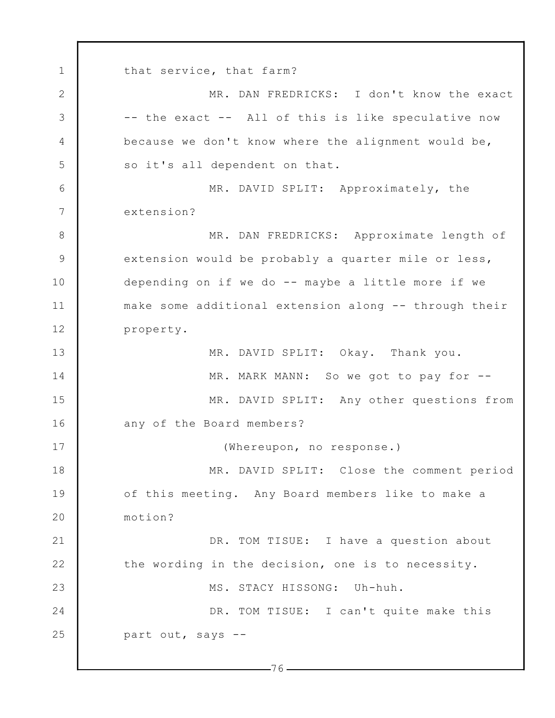1 2 3 4 5 6 7 8 9 10 11 12 13 14 15 16 17 18 19 20 21 22 23 24 25  $-76$   $$ that service, that farm? MR. DAN FREDRICKS: I don't know the exact -- the exact -- All of this is like speculative now because we don't know where the alignment would be, so it's all dependent on that. MR. DAVID SPLIT: Approximately, the extension? MR. DAN FREDRICKS: Approximate length of extension would be probably a quarter mile or less, depending on if we do -- maybe a little more if we make some additional extension along -- through their property. MR. DAVID SPLIT: Okay. Thank you. MR. MARK MANN: So we got to pay for --MR. DAVID SPLIT: Any other questions from any of the Board members? (Whereupon, no response.) MR. DAVID SPLIT: Close the comment period of this meeting. Any Board members like to make a motion? DR. TOM TISUE: I have a question about the wording in the decision, one is to necessity. MS. STACY HISSONG: Uh-huh. DR. TOM TISUE: I can't quite make this part out, says --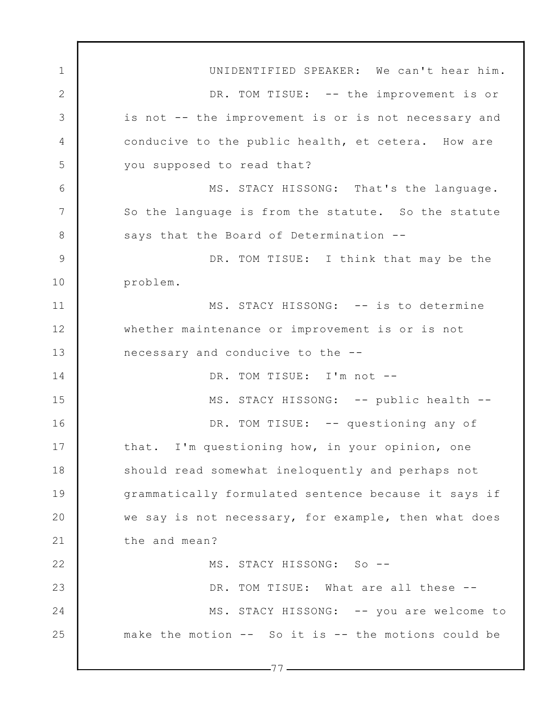1 2 3 4 5 6 7 8 9 10 11 12 13 14 15 16 17 18 19 20 21 22 23 24 25  $-77-$ UNIDENTIFIED SPEAKER: We can't hear him. DR. TOM TISUE: -- the improvement is or is not -- the improvement is or is not necessary and conducive to the public health, et cetera. How are you supposed to read that? MS. STACY HISSONG: That's the language. So the language is from the statute. So the statute says that the Board of Determination -- DR. TOM TISUE: I think that may be the problem. MS. STACY HISSONG: -- is to determine whether maintenance or improvement is or is not necessary and conducive to the -- DR. TOM TISUE: I'm not --MS. STACY HISSONG: -- public health --DR. TOM TISUE: -- questioning any of that. I'm questioning how, in your opinion, one should read somewhat ineloquently and perhaps not grammatically formulated sentence because it says if we say is not necessary, for example, then what does the and mean? MS. STACY HISSONG: So -- DR. TOM TISUE: What are all these --MS. STACY HISSONG: -- you are welcome to make the motion -- So it is -- the motions could be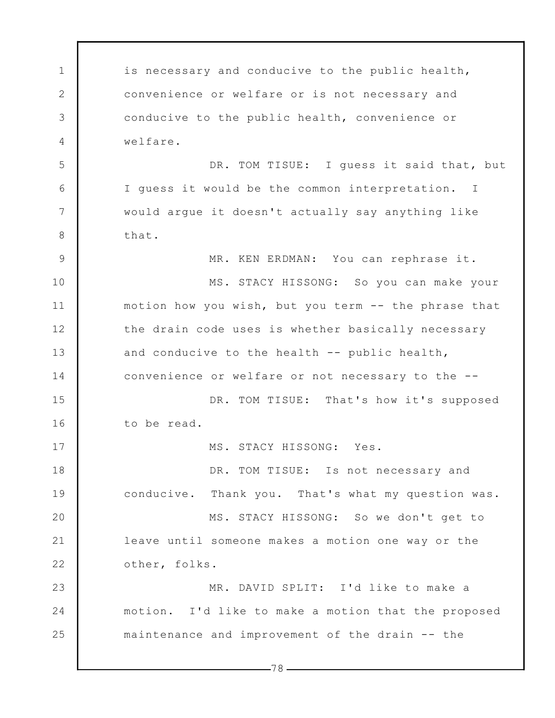1 2 3 4 5 6 7 8 9 10 11 12 13 14 15 16 17 18 19 20 21 22 23 24 25 is necessary and conducive to the public health, convenience or welfare or is not necessary and conducive to the public health, convenience or welfare. DR. TOM TISUE: I quess it said that, but I guess it would be the common interpretation. I would argue it doesn't actually say anything like that. MR. KEN ERDMAN: You can rephrase it. MS. STACY HISSONG: So you can make your motion how you wish, but you term -- the phrase that the drain code uses is whether basically necessary and conducive to the health -- public health, convenience or welfare or not necessary to the -- DR. TOM TISUE: That's how it's supposed to be read. MS. STACY HISSONG: Yes. DR. TOM TISUE: Is not necessary and conducive. Thank you. That's what my question was. MS. STACY HISSONG: So we don't get to leave until someone makes a motion one way or the other, folks. MR. DAVID SPLIT: I'd like to make a motion. I'd like to make a motion that the proposed maintenance and improvement of the drain -- the

 $-78-$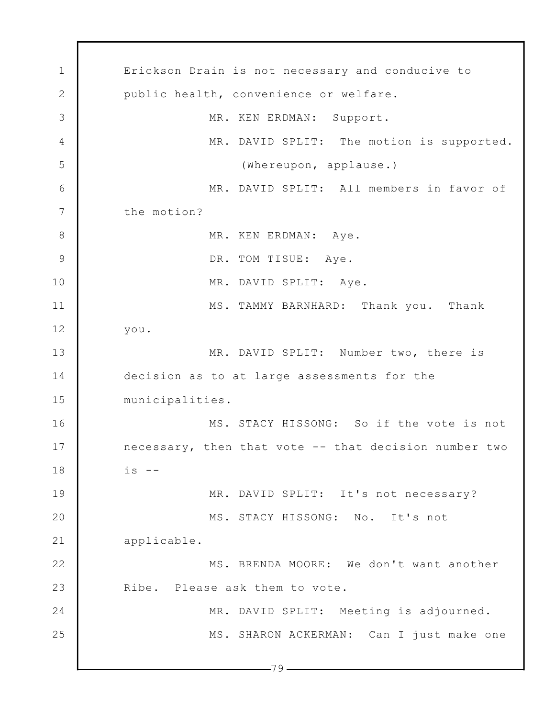1 2 3 4 5 6 7 8 9 10 11 12 13 14 15 16 17 18 19 20 21 22 23 24 25  $-79$   $-$ Erickson Drain is not necessary and conducive to public health, convenience or welfare. MR. KEN ERDMAN: Support. MR. DAVID SPLIT: The motion is supported. (Whereupon, applause.) MR. DAVID SPLIT: All members in favor of the motion? MR. KEN ERDMAN: Aye. DR. TOM TISUE: Aye. MR. DAVID SPLIT: Aye. MS. TAMMY BARNHARD: Thank you. Thank you. MR. DAVID SPLIT: Number two, there is decision as to at large assessments for the municipalities. MS. STACY HISSONG: So if the vote is not necessary, then that vote -- that decision number two  $is$   $--$ MR. DAVID SPLIT: It's not necessary? MS. STACY HISSONG: No. It's not applicable. MS. BRENDA MOORE: We don't want another Ribe. Please ask them to vote. MR. DAVID SPLIT: Meeting is adjourned. MS. SHARON ACKERMAN: Can I just make one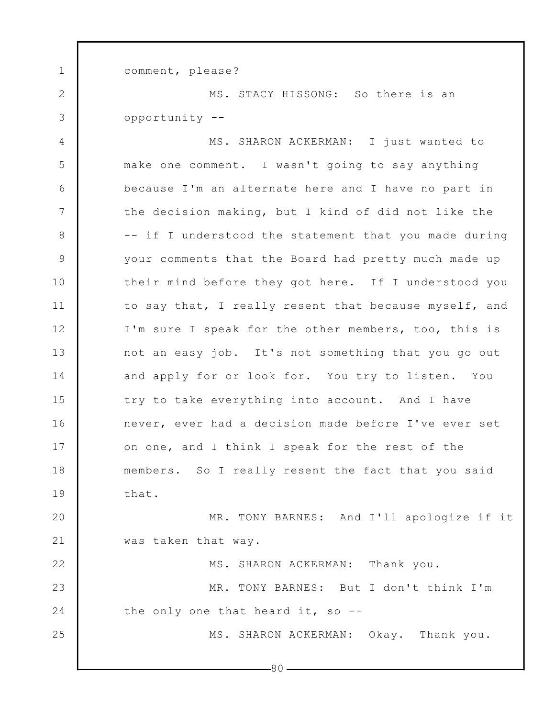comment, please?

1

2

3

22

25

MS. STACY HISSONG: So there is an opportunity --

4 5 6 7 8 9 10 11 12 13 14 15 16 17 18 19 MS. SHARON ACKERMAN: I just wanted to make one comment. I wasn't going to say anything because I'm an alternate here and I have no part in the decision making, but I kind of did not like the -- if I understood the statement that you made during your comments that the Board had pretty much made up their mind before they got here. If I understood you to say that, I really resent that because myself, and I'm sure I speak for the other members, too, this is not an easy job. It's not something that you go out and apply for or look for. You try to listen. You try to take everything into account. And I have never, ever had a decision made before I've ever set on one, and I think I speak for the rest of the members. So I really resent the fact that you said that.

20 21 MR. TONY BARNES: And I'll apologize if it was taken that way.

23 24 MS. SHARON ACKERMAN: Thank you. MR. TONY BARNES: But I don't think I'm the only one that heard it, so --

MS. SHARON ACKERMAN: Okay. Thank you.

 $-80-$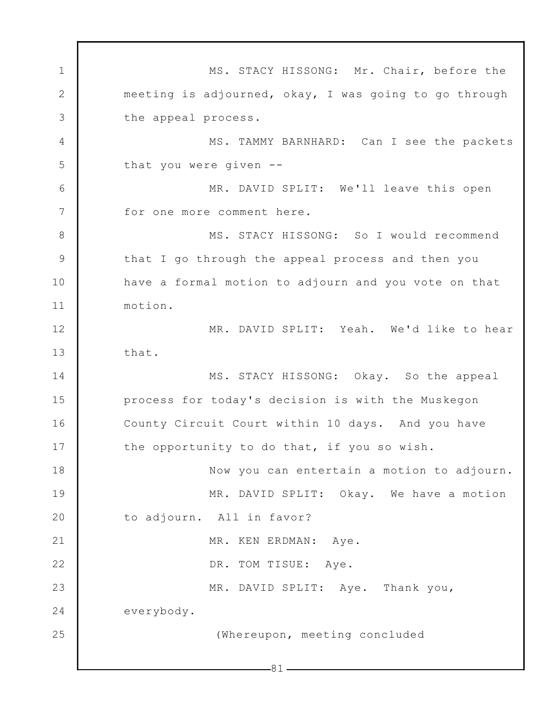1 2 3 4 5 6 7 8 9 10 11 12 13 14 15 16 17 18 19 20 21 22 23 24 25  $-81-$ MS. STACY HISSONG: Mr. Chair, before the meeting is adjourned, okay, I was going to go through the appeal process. MS. TAMMY BARNHARD: Can I see the packets that you were given -- MR. DAVID SPLIT: We'll leave this open for one more comment here. MS. STACY HISSONG: So I would recommend that I go through the appeal process and then you have a formal motion to adjourn and you vote on that motion. MR. DAVID SPLIT: Yeah. We'd like to hear that. MS. STACY HISSONG: Okay. So the appeal process for today's decision is with the Muskegon County Circuit Court within 10 days. And you have the opportunity to do that, if you so wish. Now you can entertain a motion to adjourn. MR. DAVID SPLIT: Okay. We have a motion to adjourn. All in favor? MR. KEN ERDMAN: Aye. DR. TOM TISUE: Aye. MR. DAVID SPLIT: Aye. Thank you, everybody. (Whereupon, meeting concluded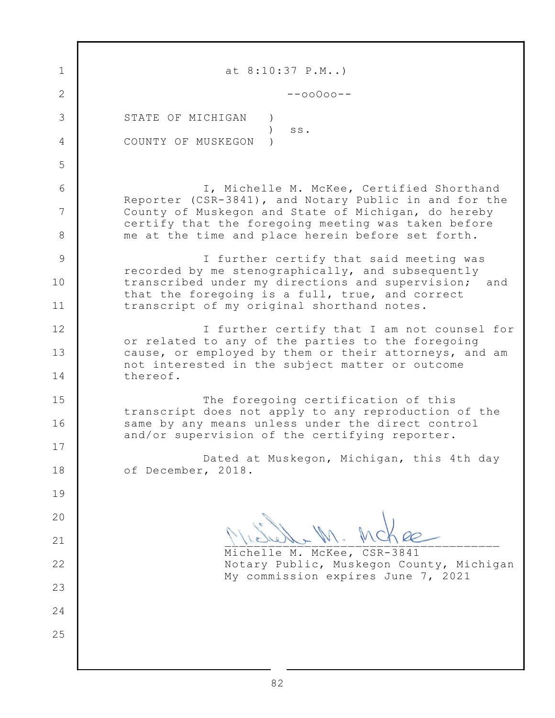| $\mathbf 1$  | at $8:10:37$ P.M)                                                                                                                                                   |
|--------------|---------------------------------------------------------------------------------------------------------------------------------------------------------------------|
| $\mathbf{2}$ | $--00000--$                                                                                                                                                         |
| 3            | STATE OF MICHIGAN                                                                                                                                                   |
| 4            | SS.<br>COUNTY OF MUSKEGON                                                                                                                                           |
| 5            |                                                                                                                                                                     |
| 6            | I, Michelle M. McKee, Certified Shorthand                                                                                                                           |
| 7            | Reporter (CSR-3841), and Notary Public in and for the<br>County of Muskegon and State of Michigan, do hereby<br>certify that the foregoing meeting was taken before |
| 8            | me at the time and place herein before set forth.                                                                                                                   |
| 9            | I further certify that said meeting was<br>recorded by me stenographically, and subsequently                                                                        |
| 10           | transcribed under my directions and supervision;<br>and<br>that the foregoing is a full, true, and correct                                                          |
| 11           | transcript of my original shorthand notes.                                                                                                                          |
| 12           | I further certify that I am not counsel for<br>or related to any of the parties to the foregoing                                                                    |
| 13           | cause, or employed by them or their attorneys, and am<br>not interested in the subject matter or outcome                                                            |
| 14           | thereof.                                                                                                                                                            |
| 15           | The foregoing certification of this<br>transcript does not apply to any reproduction of the                                                                         |
| 16           | same by any means unless under the direct control<br>and/or supervision of the certifying reporter.                                                                 |
| 17           | Dated at Muskegon, Michigan, this 4th day                                                                                                                           |
| 18           | of December, 2018.                                                                                                                                                  |
| 19           |                                                                                                                                                                     |
| 20           |                                                                                                                                                                     |
| 21           | Michelle M. McKee, CSR-3841                                                                                                                                         |
| 22           | Notary Public, Muskegon County, Michigan                                                                                                                            |
| 23           | My commission expires June 7, 2021                                                                                                                                  |
| 24           |                                                                                                                                                                     |
| 25           |                                                                                                                                                                     |
|              |                                                                                                                                                                     |
|              |                                                                                                                                                                     |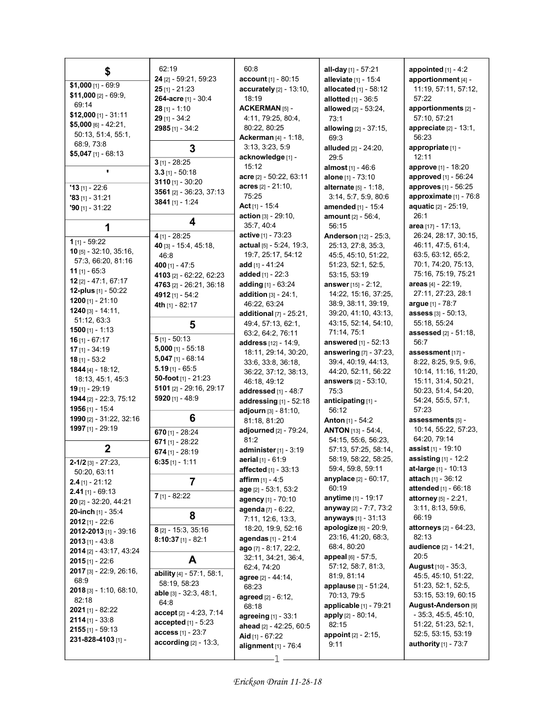| \$                                          | 62:19                           | 60:8                                       | all-day [1] - 57:21                                | appointed $[1] - 4:2$                       |
|---------------------------------------------|---------------------------------|--------------------------------------------|----------------------------------------------------|---------------------------------------------|
|                                             | 24 [2] - 59:21, 59:23           | account [1] - 80:15                        | alleviate [1] - 15:4                               | apportionment [4] -                         |
| $$1,000$ [1] - 69:9                         | $25$ [1] - 21:23                | accurately [2] - 13:10,                    | allocated $[1]$ - 58:12                            | 11:19, 57:11, 57:12,                        |
| \$11,000 $[2] - 69.9$                       | 264-acre [1] - 30:4             | 18:19                                      | allotted $[1] - 36:5$                              | 57:22                                       |
| 69:14                                       | $28$ [1] - 1:10                 | <b>ACKERMAN [5] -</b>                      | allowed [2] - 53:24,                               | apportionments [2] -                        |
| $$12,000$ [1] - 31:11                       | $29$ [1] - 34:2                 | 4:11, 79:25, 80:4,                         | 73:1                                               | 57:10, 57:21                                |
| $$5,000$ [6] - 42:21,                       | 2985 [1] - 34:2                 | 80:22, 80:25                               | allowing $[2] - 37:15$ ,                           | appreciate [2] - 13:1,                      |
| 50:13, 51:4, 55:1,                          |                                 | <b>Ackerman</b> [4] - 1:18,                | 69.3                                               | 56:23                                       |
| 68:9, 73:8                                  | 3                               | 3:13, 3:23, 5:9                            | alluded [2] - 24:20,                               | appropriate [1] -                           |
| \$5,047 $[1] - 68:13$                       |                                 | acknowledge [1] -                          | 29:5                                               | 12:11                                       |
|                                             | $3$ [1] - 28:25                 | 15:12                                      | almost [1] - 46:6                                  | <b>approve</b> [1] - 18:20                  |
| ٠                                           | $3.3$ [1] - 50:18               | acre [2] - 50:22, 63:11                    | alone $[1] - 73:10$                                | approved [1] - 56:24                        |
| $'13$ [1] - 22:6                            | 3110 $[1] - 30:20$              | $acres$ [2] - 21:10,                       | <b>alternate</b> $[5] - 1:18$ ,                    | approves [1] - 56:25                        |
| $33$ [1] - 31:21                            | 3561 [2] - 36:23, 37:13         | 75:25                                      | 3:14, 5:7, 5:9, 80:6                               | approximate [1] - 76:8                      |
| $90$ [1] - 31:22                            | 3841 $[1] - 1:24$               | Act $[1]$ - 15:4                           | <b>amended</b> $[1]$ - 15:4                        | <b>aquatic [2] - 25:19,</b>                 |
|                                             |                                 | action [3] - 29:10,                        | <b>amount</b> $[2] - 56:4$ ,                       | 26:1                                        |
| 1                                           | 4                               | 35:7, 40:4                                 | 56:15                                              | area [17] - 17:13,                          |
|                                             | $4$ [1] - 28:25                 | <b>active</b> [1] - 73:23                  | Anderson [12] - 25:3,                              | 26:24, 28:17, 30:15,                        |
| 1 $[1] - 59:22$                             | 40 [3] - 15:4, 45:18,           | actual [5] - 5:24, 19:3,                   | 25:13, 27:8, 35:3,                                 | 46:11, 47:5, 61:4,                          |
| <b>10</b> [5] $-32:10$ , $35:16$ ,          | 46:8                            | 19:7, 25:17, 54:12                         | 45:5, 45:10, 51:22,                                | 63:5, 63:12, 65:2,                          |
| 57:3, 66:20, 81:16                          | 400 $[1] - 47:5$                | add $[1] - 41:24$                          | 51:23, 52:1, 52:5,                                 | 70:1, 74:20, 75:13,                         |
| 11 [1] $-65:3$                              | 4103 [2] - 62:22, 62:23         | added $[1] - 22:3$                         | 53:15, 53:19                                       | 75:16, 75:19, 75:21                         |
| 12 [2] - 47:1, 67:17<br>12-plus [1] - 50:22 | 4763 [2] - 26:21, 36:18         | adding $[1] - 63:24$                       | answer [15] - 2:12,                                | areas [4] - 22:19.                          |
|                                             | 4912 [1] - 54:2                 | <b>addition</b> $[3] - 24:1$ ,             | 14:22, 15:16, 37:25,                               | 27:11, 27:23, 28:1                          |
| 1200 $[1] - 21:10$<br>$1240$ [3] - 14:11,   | 4th $[1] - 82:17$               | 46:22, 63:24                               | 38.9, 38.11, 39.19,                                | argue [1] - 78:7                            |
| 51:12, 63:3                                 |                                 | additional [7] - 25:21,                    | 39:20, 41:10, 43:13,                               | assess [3] - 50:13.                         |
| 1500 $[1] - 1:13$                           | 5                               | 49:4, 57:13, 62:1,                         | 43:15, 52:14, 54:10,                               | 55:18, 55:24                                |
| 16 $[1] - 67:17$                            | $5$ [1] - 50:13                 | 63:2, 64:2, 76:11                          | 71:14, 75:1                                        | <b>assessed</b> [2] - 51:18,                |
| $17$ [1] - 34:19                            | $5,000$ [1] - 55:18             | address [12] - 14:9,                       | <b>answered</b> [1] - 52:13                        | 56:7                                        |
| $18$ [1] - 53:2                             | $5,047$ [1] - 68:14             | 18:11, 29:14, 30:20,                       | answering [7] - 37:23,                             | assessment [17] -                           |
| 1844 [4] - 18:12,                           | $5.19$ [1] - 65:5               | 33:6, 33:8, 36:18,                         | 39:4, 40:19, 44:13,                                | 8:22, 8:25, 9:5, 9:6,                       |
| 18:13, 45:1, 45:3                           | 50-foot [1] - 21:23             | 36:22, 37:12, 38:13,<br>46:18, 49:12       | 44:20, 52:11, 56:22<br><b>answers</b> [2] - 53:10, | 10:14, 11:16, 11:20,<br>15:11, 31:4, 50:21, |
| $19$ [1] - 29:19                            | 5101 $[2] - 29:16, 29:17$       | addressed [1] - 48:7                       | 75:3                                               | 50:23, 51:4, 54:20,                         |
| 1944 [2] - 22:3, 75:12                      | <b>5920</b> [1] - 48:9          | addressing $[1]$ - 52:18                   | anticipating [1] -                                 | 54:24, 55:5, 57:1,                          |
| 1956 $[1] - 15.4$                           |                                 | adjourn [3] - 81:10,                       | 56:12                                              | 57:23                                       |
| 1990 [2] - 31:22, 32:16                     | 6                               | 81:18, 81:20                               | <b>Anton</b> [1] - 54:2                            | assessments [5] -                           |
| 1997 [1] - 29:19                            | 670 $[1] - 28:24$               | adjourned [2] - 79:24,                     | <b>ANTON</b> [13] - 54:4,                          | 10:14, 55:22, 57:23,                        |
|                                             | 671 $[1] - 28:22$               | 81:2                                       | 54:15, 55:6, 56:23,                                | 64:20, 79:14                                |
| $\mathbf 2$                                 | $674$ [1] - 28:19               | administer $[1]$ - 3:19                    | 57:13, 57:25, 58:14,                               | <b>assist</b> $[1]$ - 19:10                 |
| $2 - 1/2$ [3] - 27:23,                      | $6:35$ [1] - 1:11               | <b>aerial</b> $[1] - 61.9$                 | 58:19, 58:22, 58:25,                               | assisting $[1]$ - 12:2                      |
| 50:20, 63:11                                |                                 | affected [1] - 33:13                       | 59:4, 59:8, 59:11                                  | <b>at-large</b> [1] - 10:13                 |
| $2.4$ [1] - 21:12                           | $\overline{7}$                  | <b>affirm</b> $[1] - 4.5$                  | <b>anyplace</b> [2] - 60:17,                       | <b>attach</b> [1] - $36:12$                 |
| $2.41$ [1] - 69:13                          |                                 | age [2] - 53:1, 53:2                       | 60:19                                              | attended [1] - 66:18                        |
| 20 [2] - 32:20, 44:21                       | $7$ [1] - 82:22                 | agency [1] - 70:10                         | <b>anytime</b> [1] - 19:17                         | <b>attorney</b> $[5] - 2:21$ ,              |
| 20-inch [1] - 35:4                          |                                 | agenda [7] - 6:22,                         | anyway [2] - 7:7, 73:2                             | 3:11, 8:13, 59:6,                           |
| $2012$ [1] - 22:6                           | 8                               | 7:11, 12:6, 13:3,                          | anyways [1] - 31:13                                | 66:19                                       |
| 2012-2013 [1] - 39:16                       | $8$ [2] - 15:3, 35:16           | 18:20, 19:9, 52:16                         | apologize [6] - 20:9,                              | attorneys [2] - 64:23,                      |
| <b>2013</b> [1] - 43:8                      | $8:10:37$ [1] - 82:1            | agendas [1] - 21:4                         | 23:16, 41:20, 68:3,                                | 82:13                                       |
| 2014 [2] - 43:17, 43:24                     |                                 | $ago$ [7] - 8:17, 22:2,                    | 68:4, 80:20                                        | audience [2] - 14:21.                       |
| $2015$ [1] - 22:6                           | A                               | 32:11, 34:21, 36:4,                        | appeal [6] - 57:5,                                 | 20:5                                        |
| 2017 [3] - 22:9, 26:16,                     | ability [4] - 57:1, 58:1,       | 62:4, 74:20                                | 57:12, 58:7, 81:3,                                 | <b>August</b> [10] - 35:3,                  |
| 68.9                                        | 58:19, 58:23                    | agree [2] - 44:14,                         | 81:9, 81:14                                        | 45:5, 45:10, 51:22,                         |
| $2018$ [3] - 1:10, 68:10,                   | <b>able</b> $[3] - 32:3, 48:1,$ | 68:23                                      | applause [3] - 51:24,<br>70:13, 79:5               | 51:23, 52:1, 52:5,<br>53:15, 53:19, 60:15   |
| 82:18                                       | 64:8                            | agreed [2] - 6:12,                         | applicable [1] - 79:21                             | August-Anderson [9]                         |
| <b>2021</b> [1] - 82:22                     | accept [2] - 4:23, 7:14         | 68:18                                      | apply [2] - 80:14,                                 | $-35:3, 45:5, 45:10,$                       |
| $2114$ [1] - 33:8                           | <b>accepted</b> $[1] - 5:23$    | agreeing [1] - 33:1                        | 82:15                                              | 51:22, 51:23, 52:1,                         |
| $2155$ [1] - 59:13                          | <b>access</b> [1] - 23:7        | ahead [2] - 42:25, 60:5<br>Aid [1] - 67:22 | <b>appoint</b> $[2] - 2:15$ ,                      | 52:5, 53:15, 53:19                          |
| 231-828-4103 [1] -                          | according [2] - 13:3,           |                                            | 9:11                                               | <b>authority</b> [1] - 73:7                 |
|                                             |                                 | alignment [1] - 76:4                       |                                                    |                                             |
|                                             |                                 |                                            |                                                    |                                             |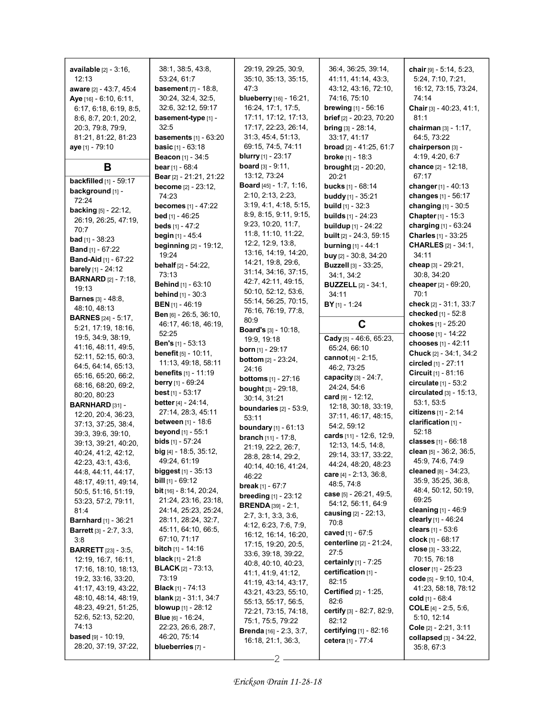| <b>available</b> [2] - 3:16,                        | 38:1, 38:5, 43:8,                                       | 29:19, 29:25, 30:9,                                           | 36:4, 36:25, 39:14,                                  | chair [9] - 5:14, 5:23,                         |
|-----------------------------------------------------|---------------------------------------------------------|---------------------------------------------------------------|------------------------------------------------------|-------------------------------------------------|
| 12:13                                               | 53:24, 61:7                                             | 35:10, 35:13, 35:15,                                          | 41:11, 41:14, 43:3,                                  | 5:24, 7:10, 7:21,                               |
| aware [2] - 43:7, 45:4                              | <b>basement</b> [7] - 18:8,                             | 47:3                                                          | 43:12, 43:16, 72:10,                                 | 16:12, 73:15, 73:24,                            |
| Aye [16] - 6:10, 6:11,                              | 30:24, 32:4, 32:5,                                      | blueberry [16] - 16:21,                                       | 74:16, 75:10                                         | 74:14                                           |
| 6:17, 6:18, 6:19, 8:5,                              | 32:6, 32:12, 59:17                                      | 16:24, 17:1, 17:5,                                            | <b>brewing</b> [1] - 56:16                           | Chair [3] - 40:23, 41:1,                        |
| 8:6, 8:7, 20:1, 20:2,                               | basement-type [1] -                                     | 17:11, 17:12, 17:13,                                          | brief [2] - 20:23, 70:20                             | 81:1                                            |
| 20:3, 79:8, 79:9,                                   | 32:5                                                    | 17:17, 22:23, 26:14,                                          | bring [3] - 28:14,                                   | chairman $[3] - 1:17$ ,                         |
| 81:21, 81:22, 81:23                                 | <b>basements</b> $[1]$ - $63:20$                        | 31:3, 45:4, 51:13,<br>69:15, 74:5, 74:11                      | 33:17, 41:17                                         | 64:5, 73:22                                     |
| aye [1] - 79:10                                     | <b>basic</b> $[1] - 63:18$<br>Beacon [1] - 34:5         | <b>blurry</b> $[1]$ - 23:17                                   | broad [2] - 41:25, 61:7<br><b>broke</b> $[1] - 18:3$ | chairperson [3] -<br>4:19, 4:20, 6:7            |
| В                                                   | <b>bear</b> $[1] - 68:4$                                | <b>board</b> $[3] - 9:11$ ,                                   | <b>brought</b> [2] - 20:20,                          | chance [2] - 12:18,                             |
|                                                     | Bear [2] - 21:21, 21:22                                 | 13:12, 73:24                                                  | 20:21                                                | 67:17                                           |
| <b>backfilled</b> [1] - 59:17                       | become [2] - 23:12,                                     | <b>Board</b> $[45] - 1:7, 1:16,$                              | bucks [1] - 68:14                                    | changer $[1] - 40:13$                           |
| background [1] -                                    | 74:23                                                   | 2:10, 2:13, 2:23,                                             | <b>buddy</b> [1] - $35:21$                           | changes [1] - 56:17                             |
| 72:24                                               | <b>becomes</b> [1] - 47:22                              | 3:19, 4:1, 4:18, 5:15,                                        | <b>build</b> $[1] - 32:3$                            | changing [1] - 30:5                             |
| <b>backing</b> [5] - 22:12,<br>26:19, 26:25, 47:19, | <b>bed</b> [1] - 46:25                                  | 8:9, 8:15, 9:11, 9:15,                                        | <b>builds</b> $[1] - 24:23$                          | Chapter [1] - 15:3                              |
| 70:7                                                | beds $[1] - 47:2$                                       | 9:23, 10:20, 11:7,                                            | <b>buildup</b> [1] - 24:22                           | charging [1] - 63:24                            |
| <b>bad</b> [1] - $38:23$                            | <b>begin</b> $[1] - 45.4$                               | 11:8, 11:10, 11:22,                                           | <b>built</b> [2] - 24:3, 59:15                       | Charles [1] - 33:25                             |
| <b>Band</b> $[1]$ - 67:22                           | beginning [2] - 19:12,                                  | 12:2, 12:9, 13:8,                                             | <b>burning</b> [1] - 44:1                            | <b>CHARLES</b> [2] - 34:1,                      |
| <b>Band-Aid</b> [1] - 67:22                         | 19:24                                                   | 13:16, 14:19, 14:20,                                          | buy $[2] - 30.8, 34.20$                              | 34:11                                           |
| <b>barely</b> [1] - $24:12$                         | <b>behalf</b> $[2] - 54.22$ ,                           | 14:21, 19:8, 29:6,<br>31:14, 34:16, 37:15,                    | <b>Buzzell</b> [3] - 33:25,                          | cheap [3] - 29:21,                              |
| <b>BARNARD</b> [2] - 7:18,                          | 73:13                                                   | 42:7, 42:11, 49:15,                                           | 34:1, 34:2                                           | 30:8, 34:20                                     |
| 19:13                                               | Behind [1] - 63:10                                      | 50:10, 52:12, 53:6,                                           | <b>BUZZELL</b> [2] - 34:1,                           | cheaper [2] - 69:20,<br>70:1                    |
| <b>Barnes [3] - 48:8.</b>                           | <b>behind</b> $[1] - 30:3$<br><b>BEN</b> $[1]$ - 46:19  | 55:14, 56:25, 70:15,                                          | 34:11<br>$BY$ [1] - 1:24                             | check [2] - 31:1, 33:7                          |
| 48:10, 48:13                                        | Ben [6] - 26:5, 36:10,                                  | 76:16, 76:19, 77:8,                                           |                                                      | checked [1] - 52:8                              |
| <b>BARNES</b> [24] - 5:17,                          | 46:17, 46:18, 46:19,                                    | 80.9                                                          | C                                                    | chokes $[1] - 25:20$                            |
| 5:21, 17:19, 18:16,                                 | 52:25                                                   | <b>Board's</b> [3] - 10:18,                                   |                                                      | choose [1] - 14:22                              |
| 19:5, 34:9, 38:19,                                  | <b>Ben's</b> $[1]$ - 53:13                              | 19:9, 19:18                                                   | Cady [5] - 46.6, 65:23,                              | chooses [1] - 42:11                             |
| 41:16, 48:11, 49:5,<br>52:11, 52:15, 60:3,          | <b>benefit</b> $[5] - 10:11$ ,                          | <b>born</b> [1] - 29:17                                       | 65:24, 66:10                                         | Chuck [2] - 34:1, 34:2                          |
| 64:5, 64:14, 65:13,                                 | 11:13, 49:18, 58:11                                     | <b>bottom</b> [2] - 23:24,                                    | cannot [4] - 2:15,<br>46:2, 73:25                    | circled [1] - 27:11                             |
| 65:16, 65:20, 66:2,                                 | <b>benefits</b> $[1] - 11.19$                           | 24:16                                                         | capacity [3] - 24:7,                                 | Circuit $[1] - 81:16$                           |
| 68:16, 68:20, 69:2,                                 | <b>berry</b> [1] - 69:24                                | <b>bottoms</b> $[1] - 27:16$<br><b>bought</b> $[3] - 29:18$ , | 24:24, 54:6                                          | circulate [1] - 53:2                            |
| 80:20, 80:23                                        | <b>best</b> $[1]$ - 53:17                               | 30:14, 31:21                                                  | card $[9] - 12:12$ ,                                 | circulated [3] - 15:13,                         |
| BARNHARD [31] -                                     | better $[4] - 24:14$ ,                                  | boundaries $[2] - 53:9$ ,                                     | 12:18, 30:18, 33:19,                                 | 53:1, 53:5                                      |
| 12:20, 20:4, 36:23,                                 | 27:14, 28:3, 45:11                                      | 53:11                                                         | 37:11, 46:17, 48:15,                                 | citizens [1] - 2:14                             |
| 37:13, 37:25, 38:4,                                 | <b>between</b> $[1] - 18.6$                             | <b>boundary</b> $[1] - 61:13$                                 | 54:2, 59:12                                          | clarification [1] -                             |
| 39:3, 39:6, 39:10,                                  | <b>beyond</b> $[1] - 55:1$<br><b>bids</b> $[1] - 57:24$ | <b>branch</b> $[11] - 17:8$ ,                                 | cards [11] - 12:6, 12:9,                             | 52:18                                           |
| 39:13, 39:21, 40:20,                                | $big$ [4] - 18:5, 35:12,                                | 21:19, 22:2, 26:7,                                            | 12:13, 14:5, 14:8,                                   | classes [1] - 66:18<br>clean [5] - 36:2, 36:5,  |
| 40:24, 41:2, 42:12,                                 | 49.24, 61.19                                            | 28:8, 28:14, 29:2,                                            | 29:14, 33:17, 33:22,                                 | 45:9, 74:6, 74:9                                |
| 42:23, 43:1, 43:6,<br>44: 8, 44: 11, 44: 17,        | <b>biggest</b> $[1]$ - 35:13                            | 40:14, 40:16, 41:24,                                          | 44:24, 48:20, 48:23                                  | cleaned $[8] - 34:23$ ,                         |
| 48:17, 49:11, 49:14,                                | <b>bill</b> $[1] - 69:12$                               | 46:22                                                         | care $[4] - 2:13, 36:8,$                             | 35.9, 35.25, 36.8,                              |
| 50:5, 51:16, 51:19,                                 | <b>bit</b> $[16] - 8:14$ , 20:24,                       | <b>break</b> $[1] - 67:7$                                     | 48.5, 74.8<br>case [5] - 26:21, 49:5,                | 48:4, 50:12, 50:19,                             |
| 53:23, 57:2, 79:11,                                 | 21:24, 23:16, 23:18,                                    | <b>breeding</b> $[1] - 23.12$                                 | 54:12, 56:11, 64:9                                   | 69:25                                           |
| 81:4                                                | 24:14, 25:23, 25:24,                                    | <b>BRENDA</b> [39] - $2:1$ ,                                  | causing $[2] - 22:13$ ,                              | cleaning [1] - 46:9                             |
| <b>Barnhard</b> [1] - 36:21                         | 28:11, 28:24, 32:7,                                     | 2:7, 3:1, 3:3, 3:6,<br>4:12, 6:23, 7:6, 7:9,                  | 70:8                                                 | clearly [1] - 46:24                             |
| <b>Barrett</b> [3] - 2:7, 3:3,                      | 45:11, 64:10, 66:5,                                     | 16:12, 16:14, 16:20,                                          | caved [1] - 67:5                                     | clears $[1] - 53.6$                             |
| 3.8                                                 | 67:10, 71:17                                            | 17:15, 19:20, 20:5,                                           | <b>centerline</b> [2] - 21:24,                       | clock [1] - 68:17                               |
| <b>BARRETT</b> [23] - 3:5,                          | <b>bitch</b> $[1]$ - 14:16                              | 33.6, 39.18, 39.22,                                           | 27:5                                                 | close $[3] - 33:22$ ,                           |
| 12:19, 16:7, 16:11,                                 | <b>black</b> [1] - 21:8                                 | 40:8, 40:10, 40:23,                                           | certainly $[1] - 7:25$                               | 70:15, 76:18                                    |
| 17:16, 18:10, 18:13,                                | <b>BLACK</b> $[2] - 73:13$<br>73:19                     | 41:1, 41:9, 41:12,                                            | certification [1] -                                  | closer $[1]$ - 25:23                            |
| 19:2, 33:16, 33:20,<br>41:17, 43:19, 43:22,         | <b>Black</b> [1] - $74:13$                              | 41:19, 43:14, 43:17,                                          | 82:15                                                | code $[5] - 9.10, 10.4,$<br>41:23, 58:18, 78:12 |
| 48:10, 48:14, 48:19,                                | <b>blank</b> $[2] - 31:1, 34:7$                         | 43:21, 43:23, 55:10,                                          | <b>Certified</b> [2] - 1:25,                         | cold $[1] - 68.4$                               |
| 48:23, 49:21, 51:25,                                | <b>blowup</b> $[1] - 28:12$                             | 55:13, 55:17, 56:5,                                           | 82:6                                                 | <b>COLE</b> [4] $- 2.5, 5.6,$                   |
| 52:6, 52:13, 52:20,                                 | <b>Blue</b> $[6]$ - 16:24,                              | 72:21, 73:15, 74:18,                                          | certify [3] - 82:7, 82:9,                            | 5:10, 12:14                                     |
| 74:13                                               | 22.23, 26.6, 28.7,                                      | 75:1, 75:5, 79:22                                             | 82:12                                                | Cole $[2] - 2:21, 3:11$                         |
| <b>based</b> [9] - $10:19$ ,                        | 46.20, 75:14                                            | <b>Brenda</b> [16] - 2:3, 3:7,<br>16:18, 21:1, 36:3,          | certifying [1] - 82:16<br>cetera [1] - 77:4          | collapsed [3] - 34:22,                          |
| 28:20, 37:19, 37:22,                                | blueberries [7] -                                       |                                                               |                                                      | 35:8, 67:3                                      |

 $-2 -$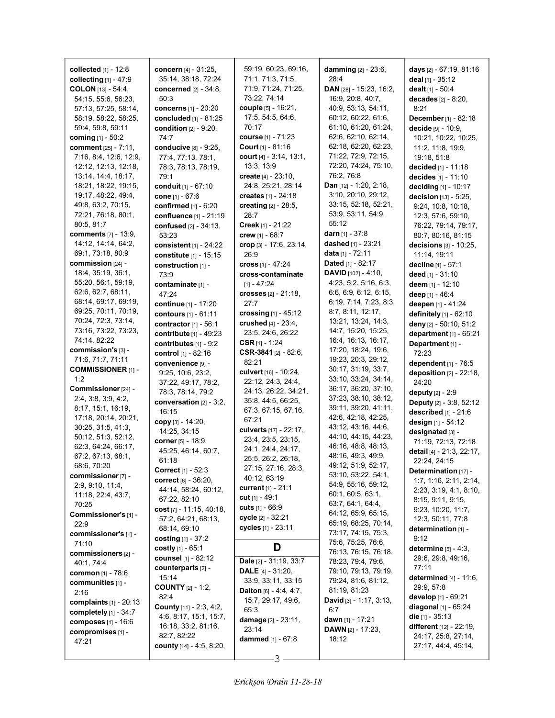| collected $[1]$ - 12:8          | concern [4] - 31:25,            | 59:19, 60:23, 69:16,          | <b>damming</b> [2] - 23:6,               | days [2] - 67:19, 81:16           |
|---------------------------------|---------------------------------|-------------------------------|------------------------------------------|-----------------------------------|
| collecting $[1] - 47:9$         | 35:14, 38:18, 72:24             | 71:1, 71:3, 71:5,             | 28:4                                     | deal [1] - 35:12                  |
| <b>COLON</b> $[13] - 54:4$      | concerned [2] - 34:8.           | 71:9, 71:24, 71:25,           | DAN [28] - 15:23, 16:2,                  | dealt $[1] - 50:4$                |
| 54:15, 55:6, 56:23,             | 50:3                            | 73:22, 74:14                  | 16:9, 20:8, 40:7,                        | decades [2] - 8:20,               |
| 57:13, 57:25, 58:14,            | concerns $[1] - 20:20$          | couple [5] - 16:21,           | 40.9, 53.13, 54:11,                      | 8:21                              |
|                                 |                                 | 17:5, 54:5, 64:6,             | 60:12, 60:22, 61:6,                      |                                   |
| 58:19, 58:22, 58:25,            | concluded [1] - 81:25           | 70:17                         |                                          | December [1] - 82:18              |
| 59:4, 59:8, 59:11               | <b>condition</b> $[2] - 9:20$ , |                               | 61:10, 61:20, 61:24,                     | decide [9] - 10:9,                |
| coming $[1] - 50:2$             | 74:7                            | course [1] - 71:23            | 62:6, 62:10, 62:14,                      | 10:21, 10:22, 10:25,              |
| <b>comment</b> [25] - 7:11,     | conducive [8] - 9:25,           | <b>Court</b> $[1] - 81:16$    | 62:18, 62:20, 62:23,                     | 11:2, 11:8, 19:9,                 |
| 7:16, 8:4, 12:6, 12:9,          | 77:4, 77:13, 78:1,              | court [4] - 3:14, 13:1,       | 71:22, 72:9, 72:15,                      | 19:18, 51:8                       |
| 12:12, 12:13, 12:18,            | 78:3, 78:13, 78:19,             | 13:3, 13:9                    | 72:20, 74:24, 75:10,                     | decided [1] - 11:18               |
| 13:14, 14:4, 18:17,             | 79:1                            | create $[4] - 23.10$ ,        | 76:2, 76:8                               | decides $[1] - 11:10$             |
| 18:21, 18:22, 19:15,            | conduit [1] - 67:10             | 24:8, 25:21, 28:14            | Dan [12] - 1:20, 2:18,                   | deciding [1] - 10:17              |
| 19:17, 48:22, 49:4,             | cone [1] - 67:6                 | creates $[1] - 24:18$         | 3:10, 20:10, 29:12,                      | decision [13] - 5:25,             |
| 49.8, 63.2, 70.15,              | confirmed [1] - 6:20            | creating $[2] - 28.5$ ,       | 33:15, 52:18, 52:21,                     | 9:24, 10:8, 10:18,                |
| 72:21, 76:18, 80:1,             | confluence [1] - 21:19          | 28:7                          | 53.9, 53.11, 54.9,                       | 12:3, 57:6, 59:10,                |
| 80:5, 81:7                      | confused [2] - 34:13,           | <b>Creek</b> [1] - $21:22$    | 55:12                                    | 76:22, 79:14, 79:17,              |
| <b>comments</b> [7] - 13:9,     |                                 |                               | <b>darn</b> [1] - 37:8                   |                                   |
|                                 | 53:23                           | crew [1] - 68:7               | dashed [1] - 23:21                       | 80:7, 80:16, 81:15                |
| 14:12, 14:14, 64:2,             | consistent $[1] - 24:22$        | crop $[3]$ - 17:6, 23:14,     |                                          | decisions [3] - 10:25,            |
| 69:1, 73:18, 80:9               | constitute [1] - 15:15          | 26:9                          | <b>data</b> [1] - 72:11                  | 11:14, 19:11                      |
| commission $[24]$ -             | construction $[1]$ -            | cross $[1] - 47:24$           | <b>Dated</b> [1] - 82:17                 | decline [1] - 57:1                |
| 18:4, 35:19, 36:1,              | 73:9                            | cross-contaminate             | DAVID [102] - 4:10,                      | <b>deed</b> [1] - 31:10           |
| 55:20, 56:1, 59:19,             | contaminate [1] -               | [1] - 47:24                   | 4:23, 5:2, 5:16, 6:3,                    | deem [1] - 12:10                  |
| 62.6, 62.7, 68.11,              | 47:24                           | crosses $[2] - 21:18$ ,       | 6.6, 6.9, 6.12, 6.15,                    | deep [1] - 46:4                   |
| 68:14, 69:17, 69:19,            | continue [1] - 17:20            | 27:7                          | 6:19, 7:14, 7:23, 8:3,                   | deepen [1] - 41:24                |
| 69:25, 70:11, 70:19,            | contours [1] - 61:11            | crossing $[1] - 45:12$        | 8:7, 8:11, 12:17,                        | definitely [1] - 62:10            |
| 70:24, 72:3, 73:14,             | contractor $[1]$ - 56:1         | crushed $[4] - 23:4$ ,        | 13:21, 13:24, 14:3,                      | deny [2] - 50:10, 51:2            |
| 73:16, 73:22, 73:23,            | contribute [1] - 49:23          | 23:5, 24:6, 26:22             | 14:7, 15:20, 15:25,                      |                                   |
| 74:14, 82:22                    |                                 |                               | 16:4, 16:13, 16:17,                      | department $[1] - 65:21$          |
| commission's [3] -              | contributes [1] - 9:2           | CSR $[1]$ - 1:24              | 17:20, 18:24, 19:6,                      | Department [1] -                  |
| 71:6, 71:7, 71:11               | control [1] - 82:16             | CSR-3841 [2] - 82:6,          | 19:23, 20:3, 29:12,                      | 72:23                             |
|                                 | convenience [9] -               | 82:21                         | 30:17, 31:19, 33:7,                      | dependent [1] - 76:5              |
| <b>COMMISSIONER [1] -</b>       | 9:25, 10:6, 23:2,               | culvert $[16] - 10.24$ ,      |                                          | <b>deposition</b> $[2] - 22:18$ , |
| 1:2                             | 37:22, 49:17, 78:2,             | 22:12, 24:3, 24:4,            | 33:10, 33:24, 34:14,                     | 24:20                             |
| Commissioner [24] -             | 78:3, 78:14, 79:2               | 24:13, 26:22, 34:21,          | 36:17, 36:20, 37:10,                     | deputy $[2] - 2.9$                |
| 2.4, 3.8, 3.9, 4.2,             | conversation [2] - 3:2,         | 35:8, 44:5, 66:25,            | 37:23, 38:10, 38:12,                     | <b>Deputy</b> [2] - 3:8, 52:12    |
| 8:17, 15:1, 16:19,              | 16:15                           | 67:3, 67:15, 67:16,           | 39:11, 39:20, 41:11,                     | <b>described</b> $[1] - 21:6$     |
| 17:18, 20:14, 20:21,            | copy [3] - 14:20,               | 67:21                         | 42:6, 42:18, 42:25,                      | design [1] - 54:12                |
| 30.25, 31.5, 41.3,              | 14:25, 34:15                    | culverts [17] - 22:17,        | 43:12, 43:16, 44:6,                      | designated [3] -                  |
| 50:12, 51:3, 52:12,             | corner [5] - 18:9,              | 23.4, 23.5, 23.15,            | 44:10, 44:15, 44:23,                     |                                   |
| 62:3, 64:24, 66:17,             |                                 | 24:1, 24:4, 24:17,            | 46:16, 48:8, 48:13,                      | 71:19, 72:13, 72:18               |
| 67:2, 67:13, 68:1,              | 45:25, 46:14, 60:7,             | 25:5, 26:2, 26:18,            | 48:16, 49:3, 49:9,                       | detail [4] - 21:3, 22:17,         |
| 68:6, 70:20                     | 61:18                           |                               | 49:12, 51:9, 52:17,                      | 22:24, 24:15                      |
| commissioner [7] -              | Correct [1] - 52:3              | 27:15, 27:16, 28:3,           | 53:10, 53:22, 54:1,                      | Determination [17] -              |
| 2:9, 9:10, 11:4,                | <b>correct</b> [6] - 36:20,     | 40:12, 63:19                  | 54:9, 55:16, 59:12,                      | 1:7, 1:16, 2:11, 2:14,            |
| 11:18, 22:4, 43:7,              | 44:14, 58:24, 60:12,            | <b>current</b> [1] - 21:1     | 60:1, 60:5, 63:1,                        | 2:23, 3:19, 4:1, 8:10,            |
|                                 | 67:22, 82:10                    | $cut$ [1] - 49:1              |                                          | 8:15, 9:11, 9:15,                 |
| 70:25                           | cost [7] - 11:15, 40:18,        | <b>cuts</b> $[1]$ - 66:9      | 63:7, 64:1, 64:4,<br>64:12, 65:9, 65:15, | 9:23, 10:20, 11:7,                |
| Commissioner's [1] -            | 57:2, 64:21, 68:13,             | cycle [2] - 32:21             |                                          | 12:3, 50:11, 77:8                 |
| 22:9                            | 68:14, 69:10                    | cycles [1] - 23:11            | 65:19, 68:25, 70:14,                     | determination [1] -               |
| commissioner's [1] -            | costing $[1] - 37:2$            |                               | 73:17, 74:15, 75:3,                      | 9:12                              |
| 71:10                           | costly $[1] - 65:1$             | D                             | 75:6, 75:25, 76:6,                       | determine [5] - 4:3,              |
| commissioners [2] -             | counsel [1] - 82:12             |                               | 76:13, 76:15, 76:18,                     | 29.6, 29.8, 49.16,                |
| 40.1, 74.4                      |                                 | Dale [2] - 31:19, 33:7        | 78:23, 79:4, 79:6,                       |                                   |
| <b>common</b> [1] - 78:6        | counterparts [2] -              | <b>DALE</b> [4] - $31:20$ ,   | 79:10, 79:13, 79:19,                     | 77:11                             |
| communities [1] -               | 15:14                           | 33:9, 33:11, 33:15            | 79:24, 81:6, 81:12,                      | determined $[4] - 11:6$ ,         |
| 2:16                            | <b>COUNTY</b> [2] - 1:2,        | <b>Dalton</b> [6] - 4:4, 4:7, | 81:19, 81:23                             | 29:9, 57:8                        |
| <b>complaints</b> $[1] - 20:13$ | 82:4                            | 15:7, 29:17, 49:6,            | <b>David</b> [3] - 1:17, 3:13,           | develop [1] - 69:21               |
| completely $[1]$ - 34:7         | <b>County</b> [11] - 2:3, 4:2,  | 65:3                          | 6:7                                      | <b>diagonal</b> [1] - 65:24       |
|                                 | 4:6, 8:17, 15:1, 15:7,          | <b>damage</b> [2] - 23:11,    | dawn $[1]$ - 17:21                       | <b>die</b> [1] - 35:13            |
| composes $[1] - 16.6$           | 16:18, 33:2, 81:16,             | 23:14                         | <b>DAWN</b> $[2] - 17:23$ ,              | different [12] - 22:19,           |
| compromises [1] -               | 82:7, 82:22                     | <b>dammed</b> [1] - 67:8      | 18:12                                    | 24:17, 25:8, 27:14,               |
| 47:21                           | county [14] - 4:5, 8:20,        |                               |                                          | 27:17, 44:4, 45:14,               |
|                                 |                                 |                               |                                          |                                   |

I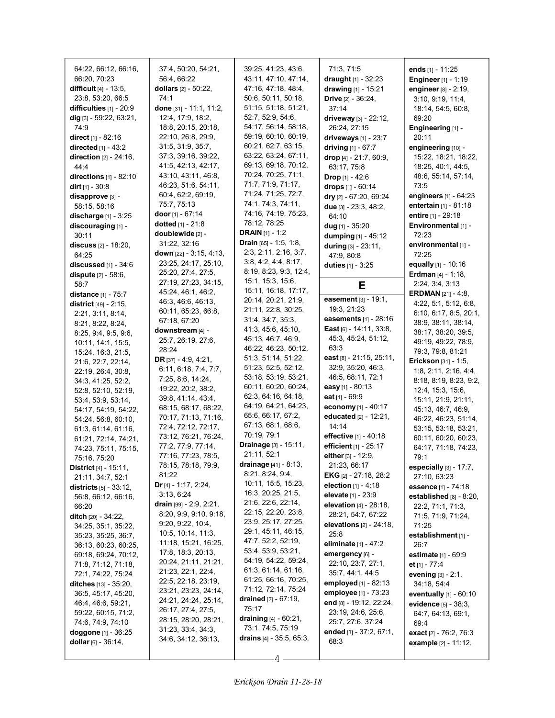| 64:22, 66:12, 66:16,             | 37:4, 50:20, 54:21,                         | 39:25, 41:23, 43:6,               | 71:3, 71:5                        | ends $[1] - 11:25$             |
|----------------------------------|---------------------------------------------|-----------------------------------|-----------------------------------|--------------------------------|
| 66:20, 70:23                     | 56:4, 66:22                                 | 43:11, 47:10, 47:14,              | draught [1] - 32:23               | <b>Engineer</b> [1] - 1:19     |
| <b>difficult</b> $[4] - 13.5$ ,  | dollars [2] - 50:22,                        | 47:16, 47:18, 48:4,               | drawing [1] - 15:21               | engineer $[8] - 2:19$ ,        |
| 23:8, 53:20, 66:5                | 74:1                                        | 50:6, 50:11, 50:18,               | <b>Drive</b> $[2] - 36:24$ ,      | 3:10, 9:19, 11:4,              |
| difficulties $[1]$ - 20:9        | done [31] - 11:1, 11:2,                     | 51:15, 51:18, 51:21,              | 37:14                             | 18:14, 54:5, 60:8,             |
| dig [3] - 59:22, 63:21,          | 12:4, 17:9, 18:2,                           | 52:7, 52:9, 54:6,                 | driveway $[3] - 22:12$ ,          | 69:20                          |
| 74.9                             | 18:8, 20:15, 20:18,                         | 54:17, 56:14, 58:18,              | 26:24, 27:15                      | Engineering [1] -              |
| <b>direct</b> $[1] - 82:16$      | 22:10, 26:8, 29:9,                          | 59:19, 60:10, 60:19,              | driveways $[1] - 23:7$            | 20:11                          |
| directed [1] - 43:2              | 31:5, 31:9, 35:7,                           | 60:21, 62:7, 63:15,               | driving [1] - 67:7                | engineering [10] -             |
| direction [2] - 24:16,           | 37:3, 39:16, 39:22,                         | 63:22, 63:24, 67:11,              | drop [4] - 21:7, 60:9,            | 15:22, 18:21, 18:22,           |
| 44.4                             | 41:5, 42:13, 42:17,                         | 69:13, 69:18, 70:12,              | 63:17, 75:8                       | 18:25, 40:1, 44:5,             |
| directions $[1]$ - 82:10         | 43:10, 43:11, 46:8,                         | 70:24, 70:25, 71:1,               | <b>Drop</b> $[1] - 42:6$          | 48:6, 55:14, 57:14,            |
| <b>dirt</b> $[1]$ - 30:8         | 46:23, 51:6, 54:11,                         | 71:7, 71:9, 71:17,                | drops $[1] - 60:14$               | 73:5                           |
| disapprove [3] -                 | 60:4, 62:2, 69:19,                          | 71:24, 71:25, 72:7,               | dry $[2] - 67:20, 69:24$          | engineers $[1] - 64:23$        |
| 58:15, 58:16                     | 75:7, 75:13                                 | 74:1, 74:3, 74:11,                | due $[3]$ - 23:3, 48:2,           | <b>entertain</b> $[1] - 81:18$ |
| <b>discharge</b> $[1] - 3:25$    | door [1] - 67:14                            | 74:16, 74:19, 75:23,              | 64:10                             | <b>entire</b> [1] - 29:18      |
| discouraging [1] -               | dotted $[1] - 21:8$                         | 78:12, 78:25                      | dug [1] - $35:20$                 | Environmental [1] -            |
| 30:11                            | doublewide [2] -                            | <b>DRAIN</b> $[1] - 1:2$          |                                   | 72:23                          |
| <b>discuss</b> [2] - 18:20,      | 31:22, 32:16                                | <b>Drain</b> [65] - 1:5, 1:8,     | dumping [1] - 45:12               | environmental [1] -            |
| 64:25                            | down [22] - 3:15, 4:13,                     | 2:3, 2:11, 2:16, 3:7,             | during [3] - 23:11,               | 72:25                          |
|                                  | 23:25, 24:17, 25:10,                        | 3.8, 4.2, 4.4, 8.17,              | 47:9, 80:8                        | equally $[1] - 10:16$          |
| discussed $[1] - 34:6$           | 25:20, 27:4, 27:5,                          | 8:19, 8:23, 9:3, 12:4,            | duties [1] - 3:25                 | <b>Erdman</b> [4] - 1:18,      |
| dispute $[2] - 58:6$ ,           | 27:19, 27:23, 34:15,                        | 15:1, 15:3, 15:6,                 |                                   |                                |
| 58:7                             | 45:24, 46:1, 46:2,                          | 15:11, 16:18, 17:17,              | Е                                 | 2:24, 3:4, 3:13                |
| distance [1] - 75:7              | 46.3, 46.6, 46.13,                          | 20:14, 20:21, 21:9,               | <b>easement</b> $[3] - 19:1$ ,    | <b>ERDMAN</b> [21] - 4:8,      |
| district $[49] - 2:15$ ,         | 60:11, 65:23, 66:8,                         | 21:11, 22:8, 30:25,               | 19:3, 21:23                       | 4:22, 5:1, 5:12, 6:8,          |
| 2:21, 3:11, 8:14,                | 67:18, 67:20                                | 31:4, 34:7, 35:3,                 | easements [1] - 28:16             | 6:10, 6:17, 8:5, 20:1,         |
| 8.21, 8.22, 8.24,                | downstream [4] -                            | 41:3, 45:6, 45:10,                | East $[6] - 14.11$ , 33.8,        | 38:9, 38:11, 38:14,            |
| 8.25, 9.4, 9.5, 9.6,             | 25:7, 26:19, 27:6,                          | 45:13, 46:7, 46:9,                | 45:3, 45:24, 51:12,               | 38:17, 38:20, 39:5,            |
| 10:11, 14:1, 15:5,               | 28:24                                       | 46:22, 46:23, 50:12,              | 63.3                              | 49:19, 49:22, 78:9,            |
| 15:24, 16:3, 21:5,               |                                             | 51:3, 51:14, 51:22,               | east [8] - 21:15, 25:11,          | 79:3, 79:8, 81:21              |
| 21:6, 22:7, 22:14,               | DR [37] - 4:9, 4:21,                        | 51:23, 52:5, 52:12,               | 32.9, 35.20, 46.3,                | Erickson [31] - 1:5,           |
| 22:19, 26:4, 30:8,               | 6:11, 6:18, 7:4, 7:7,                       | 53:18, 53:19, 53:21,              | 46:5, 68:11, 72:1                 | 1.8, 2.11, 2.16, 4.4,          |
| 34:3, 41:25, 52:2,               | 7:25, 8:6, 14:24,                           | 60:11, 60:20, 60:24,              | easy [1] - 80:13                  | 8:18, 8:19, 8:23, 9:2,         |
| 52:8, 52:10, 52:19,              | 19:22, 20:2, 38:2,                          | 62:3, 64:16, 64:18,               | eat [1] - 69:9                    | 12:4, 15:3, 15:6,              |
| 53.4, 53.9, 53.14,               | 39:8, 41:14, 43:4,                          | 64:19, 64:21, 64:23,              | economy [1] - 40:17               | 15:11, 21:9, 21:11,            |
| 54:17, 54:19, 54:22,             | 68:15, 68:17, 68:22,                        | 65.6, 66.17, 67.2,                | educated [2] - 12:21,             | 45:13, 46:7, 46:9,             |
| 54:24, 56:8, 60:10,              | 70:17, 71:13, 71:16,<br>72:4, 72:12, 72:17, | 67:13, 68:1, 68:6,                | 14:14                             | 46:22, 46:23, 51:14,           |
| 61:3, 61:14, 61:16,              | 73:12, 76:21, 76:24,                        | 70:19, 79:1                       | effective [1] - 40:18             | 53:15, 53:18, 53:21,           |
| 61:21, 72:14, 74:21,             | 77:2, 77:9, 77:14,                          | Drainage [3] - 15:11,             | efficient [1] - 25:17             | 60:11, 60:20, 60:23,           |
| 74:23, 75:11, 75:15,             | 77:16, 77:23, 78:5,                         | 21:11, 52:1                       | either [3] - 12:9,                | 64:17, 71:18, 74:23,           |
| 75:16, 75:20                     | 78:15, 78:18, 79:9,                         | drainage [41] - 8:13,             |                                   | 79:1                           |
| District [4] - 15:11,            |                                             | 8.21, 8.24, 9.4,                  | 21:23, 66:17                      | especially [3] - 17:7,         |
| 21:11, 34:7, 52:1                | 81:22                                       | 10:11, 15:5, 15:23,               | <b>EKG</b> $[2] - 27:18$ , $28:2$ | 27:10, 63:23                   |
| <b>districts</b> $[5] - 33:12$ , | Dr $[4] - 1:17, 2:24,$                      |                                   | election $[1] - 4.18$             | essence [1] - 74:18            |
| 56:8, 66:12, 66:16,              |                                             |                                   |                                   |                                |
|                                  | 3:13, 6:24                                  | 16:3, 20:25, 21:5,                | elevate [1] - 23:9                | established $[8] - 8:20$ ,     |
| 66:20                            | drain $[99] - 2.9, 2.21,$                   | 21:6, 22:6, 22:14,                | <b>elevation</b> $[4] - 28:18$ ,  | 22:2, 71:1, 71:3,              |
| <b>ditch</b> [20] - 34:22,       | 8:20, 9:9, 9:10, 9:18,                      | 22:15, 22:20, 23:8,               | 28:21, 54:7, 67:22                | 71:5, 71:9, 71:24,             |
| 34:25, 35:1, 35:22,              | 9:20, 9:22, 10:4,                           | 23:9, 25:17, 27:25,               | elevations $[2] - 24:18$ ,        | 71:25                          |
| 35.23, 35.25, 36.7,              | 10:5, 10:14, 11:3,                          | 29:1, 45:11, 46:15,               | 25:8                              | establishment [1] -            |
| 36:13, 60:23, 60:25,             | 11:18, 15:21, 16:25,                        | 47:7, 52:2, 52:19,                | <b>eliminate</b> $[1] - 47:2$     | 26:7                           |
| 69:18, 69:24, 70:12,             | 17:8, 18:3, 20:13,                          | 53:4, 53:9, 53:21,                | emergency [6] -                   | estimate [1] - 69:9            |
| 71:8, 71:12, 71:18,              | 20:24, 21:11, 21:21,                        | 54:19, 54:22, 59:24,              | 22:10, 23:7, 27:1,                | et $[1] - 77:4$                |
| 72:1, 74:22, 75:24               | 21:23, 22:1, 22:4,                          | 61:3, 61:14, 61:16,               | 35:7, 44:1, 44:5                  | <b>evening</b> $[3] - 2:1$ ,   |
| ditches [13] - 35:20,            | 22:5, 22:18, 23:19,                         | 61:25, 66:16, 70:25,              | employed [1] - 82:13              | 34:18, 54:4                    |
| 36:5, 45:17, 45:20,              | 23:21, 23:23, 24:14,                        | 71:12, 72:14, 75:24               | employee [1] - 73:23              | eventually $[1] - 60:10$       |
| 46:4, 46:6, 59:21,               | 24:21, 24:24, 25:14,                        | drained $[2] - 67:19$ ,           | end [8] - 19:12, 22:24,           | evidence [5] - 38:3,           |
| 59:22, 60:15, 71:2,              | 26:17, 27:4, 27:5,                          | 75:17                             | 23:19, 24:6, 25:6,                | 64:7, 64:13, 69:1,             |
| 74:6, 74:9, 74:10                | 28:15, 28:20, 28:21,                        | draining $[4] - 60:21$ ,          | 25:7, 27:6, 37:24                 | 69:4                           |
| doggone $[1]$ - 36:25            | 31:23, 33:4, 34:3,                          | 73:1, 74:5, 75:19                 | ended $[3] - 37:2, 67:1,$         | exact [2] - 76:2, 76:3         |
| dollar $[6]$ - 36:14,            | 34:6, 34:12, 36:13,                         | <b>drains</b> $[4]$ - 35:5, 65:3, | 68.3                              | example [2] - 11:12,           |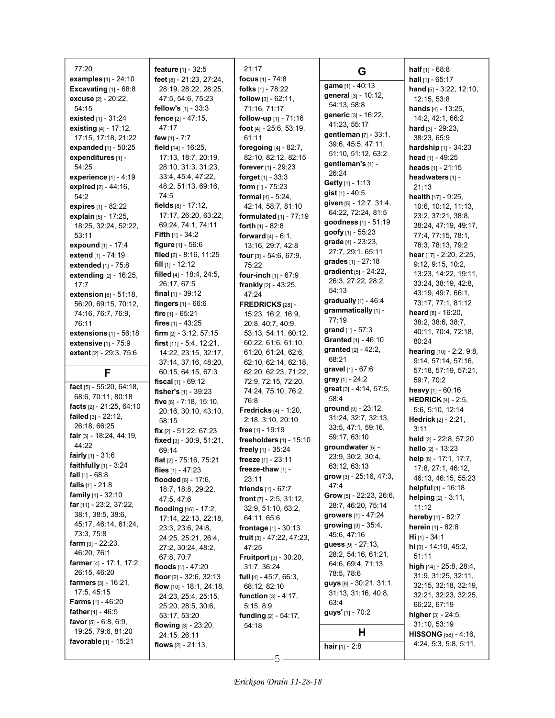| 77:20                                            | feature [1] - 32:5                              | 21:17                                                               |                                         | <b>half</b> $[1] - 68.8$                 |
|--------------------------------------------------|-------------------------------------------------|---------------------------------------------------------------------|-----------------------------------------|------------------------------------------|
| <b>examples</b> $[1] - 24:10$                    | feet [8] - 21:23, 27:24,                        | focus $[1] - 74.8$                                                  | G                                       | hall $[1] - 65:17$                       |
| Excavating $[1]$ - $68:8$                        | 28:19, 28:22, 28:25,                            | folks [1] - 78:22                                                   | game [1] - 40:13                        | hand $[5] - 3.22$ , 12:10,               |
| <b>excuse</b> $[2] - 20:22$                      | 47:5, 54:6, 75:23                               | <b>follow</b> $[3] - 62:11$ ,                                       | general [3] - 10:12,                    | 12:15, 53:8                              |
| 54:15                                            | fellow's [1] - 33:3                             | 71:16, 71:17                                                        | 54:13, 58:8                             | hands [4] - 13:25,                       |
| existed $[1] - 31:24$                            | fence [2] - 47:15.                              | follow-up [1] - 71:16                                               | generic [3] - 16:22,                    | 14:2, 42:1, 66:2                         |
| existing $[4] - 17:12$ ,                         | 47:17                                           | foot [4] - 25:6, 53:19,                                             | 41:23, 55:17                            | hard $[3] - 29:23$ ,                     |
| 17:15, 17:18, 21:22                              | few $[1] - 7:7$                                 | 61:11                                                               | gentleman [7] - 33:1,                   | 38:23, 65:9                              |
| expanded [1] - 50:25                             | field [14] - 16:25,                             | foregoing [4] - 82:7,                                               | 39:6, 45:5, 47:11,                      | <b>hardship</b> $[1]$ - 34:23            |
| expenditures [1] -                               | 17:13, 18:7, 20:19,                             | 82:10, 82:12, 82:15                                                 | 51:10, 51:12, 63:2                      | head $[1]$ - 49:25                       |
| 54:25                                            | 28:10, 31:3, 31:23,                             | forever [1] - 29:23                                                 | gentleman's [1] -                       | heads [1] - 21:15                        |
| experience [1] - 4:19                            | 33.4, 45.4, 47:22,                              | forget $[1]$ - 33:3                                                 | 26:24                                   | headwaters [1] -                         |
| expired [2] - 44:16,                             | 48:2, 51:13, 69:16,                             | form $[1]$ - 75:23                                                  | <b>Getty</b> [1] - 1:13                 | 21:13                                    |
| 54:2                                             | 74.5                                            | <b>formal</b> $[4] - 5:24$ ,                                        | gist [1] - 40:5                         | health [17] - 9:25,                      |
| expires [1] - 82:22                              | fields $[8] - 17:12$ ,                          | 42:14, 58:7, 81:10                                                  | given [5] - 12:7, 31:4,                 | 10:6, 10:12, 11:13,                      |
| explain [5] - 17:25,                             | 17:17, 26:20, 63:22,                            | formulated $[1]$ - 77:19                                            | 64:22, 72:24, 81:5                      | 23:2, 37:21, 38:8,                       |
| 18:25, 32:24, 52:22,                             | 69.24, 74.1, 74.11                              | forth $[1] - 82.8$                                                  | goodness [1] - 51:19                    | 38:24, 47:19, 49:17,                     |
| 53:11                                            | <b>Fifth</b> $[1]$ - 34:2                       | forward $[4] - 6:1$ ,                                               | goofy [1] - 55:23<br>grade [4] - 23:23, | 77:4, 77:15, 78:1,                       |
| expound [1] - 17:4                               | <b>figure</b> $[1] - 56.6$                      | 13:16, 29:7, 42:8                                                   | 27:7, 29:1, 65:11                       | 78:3, 78:13, 79:2                        |
| extend [1] - 74:19                               | filed [2] - 8:16, 11:25                         | four [3] - 54:6, 67:9,                                              | grades [1] - 27:18                      | hear [17] - 2:20, 2:25,                  |
| extended [1] - 75:8                              | fill $[1]$ - 12:12                              | 75:22                                                               | gradient [5] - 24:22,                   | 9:12, 9:15, 10:2,                        |
| extending [2] - 16:25,                           | filled [4] - 18:4, 24:5,                        | four-inch [1] - 67:9                                                | 26:3, 27:22, 28:2,                      | 13:23, 14:22, 19:11,                     |
| 17:7                                             | 26:17, 67:5                                     | frankly [2] - 43:25,                                                | 54:13                                   | 33:24, 38:19, 42:8,                      |
| <b>extension</b> $[8] - 51:18$ ,                 | <b>final</b> $[1]$ - 39:12                      | 47:24                                                               | gradually $[1]$ - 46:4                  | 43:19, 49:7, 66:1,<br>73:17, 77:1, 81:12 |
| 56:20, 69:15, 70:12,                             | fingers [1] - 66:6                              | FREDRICKS [28] -                                                    | grammatically [1] -                     | heard $[8] - 16:20$ ,                    |
| 74:16, 76:7, 76:9,                               | fire $[1] - 65:21$                              | 15:23, 16:2, 16:9,                                                  | 77:19                                   | 38:2, 38:6, 38:7,                        |
| 76:11                                            | fires $[1] - 43:25$<br>firm $[2] - 3:12, 57:15$ | 20:8, 40:7, 40:9,<br>53:13, 54:11, 60:12,                           | <b>grand</b> $[1] - 57:3$               | 40:11, 70:4, 72:18,                      |
| extensions $[1]$ - 56:18<br>extensive [1] - 75:9 | first $[11] - 5.4$ , 12:21,                     | 60:22, 61:6, 61:10,                                                 | Granted [1] - 46:10                     | 80:24                                    |
| extent [2] - 29:3, 75:6                          | 14:22, 23:15, 32:17,                            | 61:20, 61:24, 62:6,                                                 | <b>granted</b> $[2] - 42:2$ ,           | hearing [10] - 2:2, 9:8,                 |
|                                                  | 37:14, 37:16, 48:20,                            | 62:10, 62:14, 62:18,                                                | 68:21                                   | 9:14, 57:14, 57:16,                      |
| F                                                | 60:15, 64:15, 67:3                              | 62:20, 62:23, 71:22,                                                | gravel [1] - 67:6                       | 57:18, 57:19, 57:21,                     |
|                                                  | fiscal $[1] - 69:12$                            | 72:9, 72:15, 72:20,                                                 | gray [1] - 24:2                         | 59:7, 70:2                               |
| fact $[5] - 55:20, 64:18$                        | fisher's [1] - 39:23                            | 74:24, 75:10, 76:2,                                                 | great [3] - 4:14, 57:5,                 | heavy [1] - 60:16                        |
| 68:6, 70:11, 80:18                               | five $[6] - 7:18, 15:10,$                       | 76:8                                                                | 58:4                                    | <b>HEDRICK</b> [4] - 2:5,                |
| facts [2] - 21:25, 64:10                         | 20:16, 30:10, 43:10,                            | <b>Fredricks</b> $[4] - 1:20$ ,                                     | ground $[9] - 23:12$ ,                  | 5:6, 5:10, 12:14                         |
| failed [3] - 22:12,                              | 58:15                                           | 2:18, 3:10, 20:10                                                   | 31:24, 32:7, 32:13,                     | Hedrick [2] - 2:21,                      |
| 26:18, 66:25                                     | fix $[2] - 51:22, 67:23$                        | <b>free</b> [1] - 19:19                                             | 33:5, 47:1, 59:16,                      | 3:11                                     |
| fair [3] - 18:24, 44:19,<br>44:22                | fixed [3] - 30:9, 51:21,                        | freeholders [1] - 15:10                                             | 59:17, 63:10                            | held [2] - 22.8, 57:20                   |
| <b>fairly</b> $[1] - 31.6$                       | 69:14                                           | freely [1] - 35:24                                                  | groundwater [5] -                       | hello [2] - 13:23                        |
| faithfully [1] - 3:24                            | flat $[2] - 75:16$ , 75:21                      | freeze [1] - 23:11                                                  | 23:9, 30:2, 30:4,                       | help [8] - 17:1, 17:7,                   |
| <b>fall</b> $[1]$ - 68:8                         | flies $[1] - 47:23$                             | freeze-thaw [1] -                                                   | 63:12, 63:13<br>grow [3] - 25:16, 47:3, | 17:8, 27:1, 46:12,                       |
| <b>falls</b> $[1] - 21.8$                        | flooded $[6] - 17:6$ ,                          | 23:11                                                               | 47:4                                    | 46:13, 46:15, 55:23                      |
| <b>family</b> $[1] - 32:10$                      | 18:7, 18:8, 29:22,                              | friends [1] - 67:7                                                  | Grow [5] - 22:23, 26:6,                 | helpful [1] - 16:18                      |
| <b>far</b> $[11]$ - 23:2, 37:22,                 | 47.5, 47.6                                      | front $[7] - 2:5, 31:12,$                                           | 28:7, 46:20, 75:14                      | helping $[2] - 3:11$ ,<br>11:12          |
| 38:1, 38:5, 38:6,                                | flooding [16] - 17:2,                           | 32:9, 51:10, 63:2,                                                  | growers [1] - 47:24                     | hereby [1] - 82:7                        |
| 45:17, 46:14, 61:24,                             | 17:14, 22:13, 22:18,                            | 64:11, 65:6                                                         | <b>growing</b> $[3] - 35.4$ ,           | herein [1] - 82:8                        |
| 73.3, 75.8                                       | 23:3, 23:6, 24:8,<br>24:25, 25:21, 26:4,        | <b>frontage</b> $[1] - 30:13$<br><b>fruit</b> [3] $- 47:22, 47:23,$ | 45:6, 47:16                             | $Hi [1] - 34:1$                          |
| <b>farm</b> [3] - $22:23$ ,                      | 27:2, 30:24, 48:2,                              | 47:25                                                               | <b>guess</b> $[9] - 27:13$ ,            | hi [3] - 14:10, 45:2,                    |
| 46:20, 76:1                                      | 67:8, 70:7                                      | <b>Fruitport</b> $[3] - 30:20$ ,                                    | 28:2, 54:16, 61:21,                     | 51:11                                    |
| farmer [4] - 17:1, 17:2,                         | floods $[1] - 47:20$                            | 31:7, 36:24                                                         | 64.6, 69.4, 71.13,                      | high [14] - 25:8, 28:4,                  |
| 26:15, 46:20                                     | floor $[2] - 32:6, 32:13$                       | <b>full</b> $[4] - 45:7, 66:3,$                                     | 78.5, 78.6                              | 31:9, 31:25, 32:11,                      |
| farmers [3] - 16:21,                             | flow $[10] - 18.1$ , 24:18,                     | 68:12, 82:10                                                        | $guys_{[6]} - 30.21, 31.1,$             | 32:15, 32:18, 32:19,                     |
| 17:5, 45:15                                      | 24:23, 25:4, 25:15,                             | function [3] - 4:17,                                                | 31:13, 31:16, 40:8,                     | 32:21, 32:23, 32:25,                     |
| <b>Farms</b> $[1] - 46:20$                       | 25:20, 28:5, 30:6,                              | 5:15, 8:9                                                           | 63:4                                    | 66:22, 67:19                             |
| <b>father</b> [1] - 46:5                         | 53:17, 53:20                                    | <b>funding</b> $[2] - 54:17$ ,                                      | guys' [1] - 70:2                        | higher $[3] - 24.5$ ,                    |
| favor $[5] - 6.8, 6.9,$                          | flowing $[3] - 23:20$ ,                         | 54:18                                                               |                                         | 31:10, 53:19                             |
| 19:25, 79:6, 81:20                               | 24:15, 26:11                                    |                                                                     | H                                       | <b>HISSONG</b> [58] - 4:16,              |
| <b>favorable</b> $[1]$ - 15:21                   | flows $[2] - 21:13$ ,                           |                                                                     | <b>hair</b> $[1] - 2.8$                 | 4:24, 5:3, 5:8, 5:11,                    |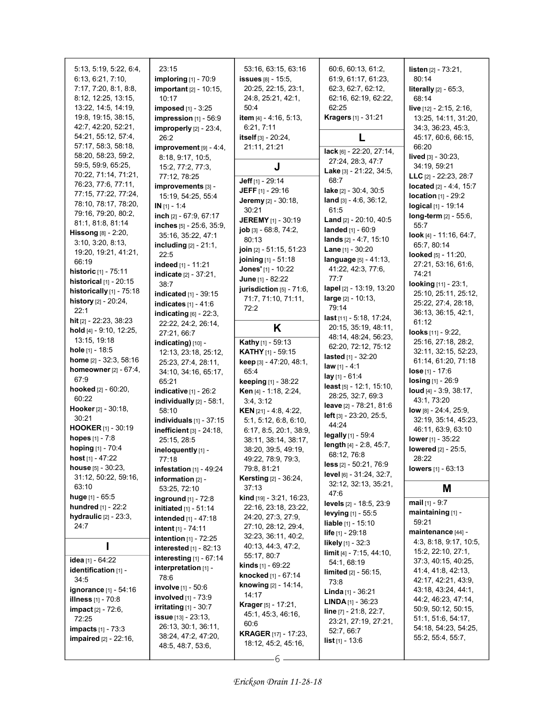| 5:13, 5:19, 5:22, 6:4,                | 23:15                          | 53:16, 63:15, 63:16               | 60:6, 60:13, 61:2,                                  | <b>listen</b> $[2] - 73.21$ ,               |
|---------------------------------------|--------------------------------|-----------------------------------|-----------------------------------------------------|---------------------------------------------|
| 6:13, 6:21, 7:10,                     | <b>imploring</b> [1] - 70:9    | <b>issues</b> [8] - 15:5,         | 61:9, 61:17, 61:23,                                 | 80:14                                       |
| 7:17, 7:20, 8:1, 8:8,                 | <b>important</b> [2] - 10:15,  | 20:25, 22:15, 23:1,               | 62:3, 62:7, 62:12,                                  | <b>literally</b> $[2] - 65:3$ ,             |
| 8:12, 12:25, 13:15,                   | 10:17                          | 24:8, 25:21, 42:1,                | 62:16, 62:19, 62:22,                                | 68:14                                       |
| 13:22, 14:5, 14:19,                   | <b>imposed</b> $[1] - 3:25$    | 50:4                              | 62:25                                               | <b>live</b> $[12] - 2:15, 2:16,$            |
| 19:8, 19:15, 38:15,                   | impression [1] - 56:9          | item [4] - 4:16, 5:13,            | <b>Kragers</b> [1] - 31:21                          | 13:25, 14:11, 31:20,                        |
| 42:7, 42:20, 52:21,                   | improperly $[2]$ - 23:4,       | 6.21, 7.11                        |                                                     | 34:3, 36:23, 45:3,                          |
| 54:21, 55:12, 57:4,                   | 26:2                           | itself [3] - 20:24,               | L                                                   | 45:17, 60:6, 66:15,                         |
| 57:17, 58:3, 58:18,                   | improvement $[9] - 4.4$ ,      | 21:11, 21:21                      |                                                     | 66:20                                       |
| 58:20, 58:23, 59:2,                   | 8:18, 9:17, 10:5,              |                                   | lack [6] - 22:20, 27:14,                            | lived [3] - 30:23,                          |
| 59:5, 59:9, 65:25,                    | 15:2, 77:2, 77:3,              | J                                 | 27:24, 28:3, 47:7                                   | 34:19, 59:21                                |
| 70:22, 71:14, 71:21,                  | 77:12, 78:25                   |                                   | Lake [3] - 21:22, 34:5,                             | LLC [2] - 22:23, 28:7                       |
| 76:23, 77:6, 77:11,                   | improvements [3] -             | Jeff [1] - 29:14                  | 68:7                                                | located $[2] - 4.4, 15.7$                   |
| 77:15, 77:22, 77:24,                  | 15:19, 54:25, 55:4             | <b>JEFF</b> $[1]$ - 29:16         | lake [2] - 30:4, 30:5                               | $location_{[1]} - 29:2$                     |
| 78:10, 78:17, 78:20,                  | $IN[1] - 1:4$                  | <b>Jeremy</b> [2] - 30:18,        | $land [3] - 4.6, 36.12,$<br>61:5                    | logical [1] - 19:14                         |
| 79:16, 79:20, 80:2,                   | inch $[2] - 67:9, 67:17$       | 30:21                             |                                                     | long-term [2] - 55:6,                       |
| 81:1, 81:8, 81:14                     | inches [5] - 25:6, 35:9,       | <b>JEREMY</b> [1] - 30:19         | <b>Land</b> $[2] - 20:10, 40:5$                     | 55:7                                        |
| <b>Hissong</b> $[8] - 2:20$ ,         | 35:16, 35:22, 47:1             | job [3] - 68:8, 74:2,             | landed [1] - 60:9                                   | look [4] - 11:16, 64:7,                     |
| 3:10, 3:20, 8:13,                     | including $[2] - 21:1$ ,       | 80:13<br>join [2] - 51:15, 51:23  | lands [2] - 4:7, 15:10<br><b>Lane</b> $[1]$ - 30:20 | 65:7, 80:14                                 |
| 19:20, 19:21, 41:21,                  | 22:5                           | joining [1] - 51:18               |                                                     | looked [5] - 11:20,                         |
| 66:19                                 | indeed [1] - 11:21             | Jones' [1] - 10:22                | language [5] - 41:13,<br>41:22, 42:3, 77:6,         | 27:21, 53:16, 61:6,                         |
| <b>historic</b> [1] - 75:11           | indicate [2] - 37:21,          | June [1] - 82:22                  | 77:7                                                | 74:21                                       |
| <b>historical</b> $[1] - 20:15$       | 38:7                           | jurisdiction [5] - 71:6,          | lapel [2] - 13:19, 13:20                            | looking [11] - 23:1,                        |
| historically [1] - 75:18              | indicated [1] - 39:15          | 71:7, 71:10, 71:11,               | large [2] - 10:13,                                  | 25:10, 25:11, 25:12,                        |
| history [2] - 20:24,<br>22:1          | indicates $[1] - 41.6$         | 72:2                              | 79:14                                               | 25:22, 27:4, 28:18,                         |
| hit $[2] - 22.23, 38.23$              | indicating $[6]$ - 22:3,       |                                   | last [11] - 5:18, 17:24,                            | 36:13, 36:15, 42:1,                         |
| hold [4] - 9:10, 12:25,               | 22:22, 24:2, 26:14,            | Κ                                 | 20:15, 35:19, 48:11,                                | 61:12                                       |
| 13:15, 19:18                          | 27:21, 66:7                    |                                   | 48:14, 48:24, 56:23,                                | looks [11] - 9:22,                          |
| hole $[1]$ - 18:5                     | indicating) [10] -             | <b>Kathy</b> [1] - 59:13          | 62:20, 72:12, 75:12                                 | 25:16, 27:18, 28:2,<br>32:11, 32:15, 52:23, |
| home [2] - 32:3, 58:16                | 12:13, 23:18, 25:12,           | <b>KATHY</b> [1] - 59:15          | <b>lasted</b> $[1] - 32.20$                         | 61:14, 61:20, 71:18                         |
| homeowner [2] - 67:4,                 | 25:23, 27:4, 28:11,            | keep [3] - 47:20, 48:1,<br>65.4   | <b>law</b> $[1] - 4:1$                              | $lose [1] - 17:6$                           |
| 67.9                                  | 34:10, 34:16, 65:17,<br>65.21  | keeping [1] - 38:22               | $lay_{[1]} - 61:4$                                  | $\log$ ing [1] - 26:9                       |
| <b>hooked</b> $[2] - 60:20$ ,         | indicative [1] - 26:2          | Ken [4] - 1:18, 2:24,             | least [5] - 12:1, 15:10,                            | loud $[4] - 3.9, 38.17,$                    |
| 60:22                                 | individually $[2]$ - 58:1,     | 3:4, 3:12                         | 28:25, 32:7, 69:3                                   | 43:1, 73:20                                 |
| <b>Hooker</b> $[2] - 30:18$ ,         | 58:10                          | <b>KEN</b> $[21] - 4.8, 4.22,$    | leave [2] - 78:21, 81:6                             | low [8] - 24:4, 25:9,                       |
| 30:21                                 | individuals $[1]$ - 37:15      | 5:1, 5:12, 6:8, 6:10,             | $left$ [3] - 23:20, 25:5,                           | 32:19, 35:14, 45:23,                        |
| <b>HOOKER</b> [1] - 30:19             | inefficient [3] - 24:18,       | 6:17, 8:5, 20:1, 38:9,            | 44:24                                               | 46:11, 63:9, 63:10                          |
| <b>hopes</b> $[1] - 7:8$              | 25:15, 28:5                    | 38:11, 38:14, 38:17,              | legally [1] - 59:4                                  | lower $[1]$ - 35:22                         |
| hoping [1] - 70:4                     | ineloquently [1] -             | 38:20, 39:5, 49:19,               | length [4] - 2:8, 45:7,                             | lowered [2] - 25:5,                         |
| host $[1] - 47:22$                    | 77:18                          | 49:22, 78:9, 79:3,                | 68:12, 76:8                                         | 28:22                                       |
| <b>house</b> $[5]$ - 30:23,           | infestation $[1]$ - 49:24      | 79:8, 81:21                       | less [2] - 50:21, 76:9                              | <b>lowers</b> $[1] - 63:13$                 |
| 31:12, 50:22, 59:16,                  | information $[2]$ -            | Kersting [2] - 36:24,             | level [6] - 31:24, 32:7,<br>32:12, 32:13, 35:21,    |                                             |
| 63:10                                 | 53:25, 72:10                   | 37:13                             | 47:6                                                | Μ                                           |
| huge $[1] - 65:5$                     | inground [1] - 72:8            | <b>kind</b> $[19] - 3.21, 16.23,$ | levels [2] - 18:5, 23:9                             | mail $[1] - 9:7$                            |
| <b>hundred</b> $[1]$ - 22:2           | <b>initiated</b> $[1] - 51:14$ | 22:16, 23:18, 23:22,              | levying $[1]$ - 55:5                                | maintaining [1] -                           |
| hydraulic $[2] - 23:3$ ,              | intended [1] - 47:18           | 24:20, 27:3, 27:9,                | <b>liable</b> $[1]$ - 15:10                         | 59:21                                       |
| 24:7                                  | intent [1] - 74:11             | 27:10, 28:12, 29:4,               | <b>life</b> $[1]$ - 29:18                           | maintenance [44] -                          |
|                                       | intention [1] - 72:25          | 32:23, 36:11, 40:2,               | likely $[1] - 32.3$                                 | 4:3, 8:18, 9:17, 10:5,                      |
|                                       | <b>interested</b> [1] - 82:13  | 40:13, 44:3, 47:2,<br>55:17, 80:7 | $\lim$ it [4] - 7:15, 44:10,                        | 15:2, 22:10, 27:1,                          |
| idea [1] - 64:22                      | interesting $[1] - 67:14$      | <b>kinds</b> $[1]$ - 69:22        | 54:1, 68:19                                         | 37:3, 40:15, 40:25,                         |
| identification [1] -                  | interpretation [1] -           | knocked [1] - 67:14               | <b>limited</b> $[2] - 56:15$ ,                      | 41:4, 41:8, 42:13,                          |
| 34:5                                  | 78:6<br>involve [1] - 50:6     | knowing [2] - 14:14,              | 73:8                                                | 42:17, 42:21, 43:9,                         |
| <b>ignorance</b> [1] - 54:16          | involved [1] - 73:9            | 14:17                             | <b>Linda</b> $[1]$ - 36:21                          | 43:18, 43:24, 44:1,                         |
| <b>illness</b> [1] - 70:8             | $irritating$ [1] - 30:7        | <b>Krager</b> [5] - 17:21,        | <b>LINDA</b> $[1]$ - 36:23                          | 44.2, 46.23, 47:14,                         |
| <b>impact</b> $[2] - 72:6$ ,<br>72:25 | <b>issue</b> [13] - 23:13,     | 45:1, 45:3, 46:16,                | line $[7] - 21.8$ , 22:7,                           | 50:9, 50:12, 50:15,<br>51:1, 51:6, 54:17,   |
| <b>impacts</b> $[1] - 73.3$           | 26:13, 30:1, 36:11,            | 60:6                              | 23:21, 27:19, 27:21,                                | 54:18, 54:23, 54:25,                        |
| impaired [2] - 22:16,                 | 38:24, 47:2, 47:20,            | <b>KRAGER</b> [17] - 17:23,       | 52:7, 66:7                                          | 55:2, 55:4, 55:7,                           |
|                                       | 48:5, 48:7, 53:6,              | 18:12, 45:2, 45:16,               | <b>list</b> [1] - 13:6                              |                                             |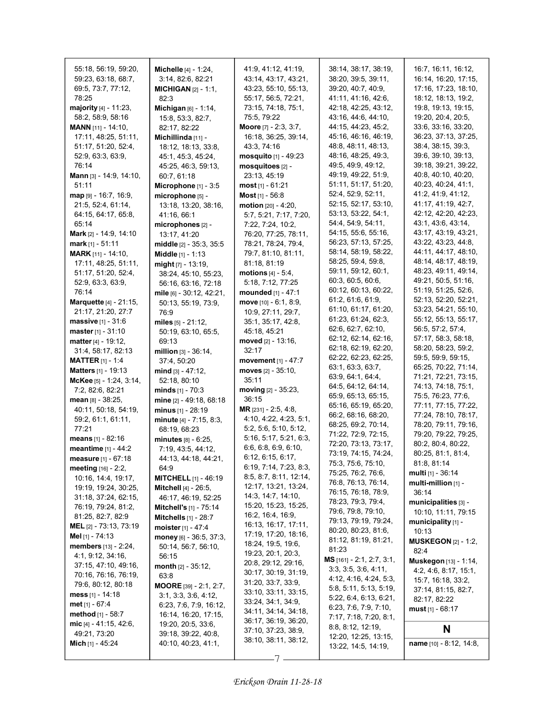| 55:18, 56:19, 59:20,                           | <b>Michelle</b> [4] - 1:24,        | 41:9, 41:12, 41:19,                        | 38:14, 38:17, 38:19,                      | 16:7, 16:11, 16:12,                          |
|------------------------------------------------|------------------------------------|--------------------------------------------|-------------------------------------------|----------------------------------------------|
| 59:23, 63:18, 68:7,                            | 3:14, 82:6, 82:21                  | 43:14, 43:17, 43:21,                       | 38:20, 39:5, 39:11,                       | 16:14, 16:20, 17:15,                         |
| 69:5, 73:7, 77:12,                             | <b>MICHIGAN [2] - 1:1.</b>         | 43:23, 55:10, 55:13,                       | 39:20, 40:7, 40:9,                        | 17:16, 17:23, 18:10,                         |
| 78:25                                          | 82:3                               | 55:17, 56:5, 72:21,                        | 41:11, 41:16, 42:6,                       | 18:12, 18:13, 19:2,                          |
| majority [4] - 11:23,                          | <b>Michigan</b> $[6] - 1:14$ ,     | 73:15, 74:18, 75:1,                        | 42:18, 42:25, 43:12,                      | 19:8, 19:13, 19:15,                          |
| 58:2, 58:9, 58:16                              | 15:8, 53:3, 82:7,                  | 75:5, 79:22                                | 43:16, 44:6, 44:10,                       | 19:20, 20:4, 20:5,                           |
| <b>MANN</b> [11] - 14:10,                      | 82:17, 82:22                       | Moore [7] - 2:3, 3:7,                      | 44:15, 44:23, 45:2,                       | 33:6, 33:16, 33:20,                          |
| 17:11, 48:25, 51:11,                           | Michillinda $[11]$ -               | 16:18, 36:25, 39:14,                       | 45:16, 46:16, 46:19,                      | 36:23, 37:13, 37:25,                         |
| 51:17, 51:20, 52:4,                            | 18:12, 18:13, 33:8,                | 43:3, 74:16                                | 48:8, 48:11, 48:13,                       | 38:4, 38:15, 39:3,                           |
| 52:9, 63:3, 63:9,                              | 45:1, 45:3, 45:24,                 | <b>mosquito</b> $[1] - 49:23$              | 48:16, 48:25, 49:3,                       | 39.6, 39.10, 39.13,                          |
| 76:14                                          | 45:25, 46:3, 59:13,                | mosquitoes [2] -                           | 49:5, 49:9, 49:12,                        | 39:18, 39:21, 39:22,                         |
| <b>Mann</b> [3] - 14:9, 14:10,                 | 60:7, 61:18                        | 23:13, 45:19                               | 49:19, 49:22, 51:9,                       | 40:8, 40:10, 40:20,                          |
| 51:11                                          | Microphone $[1]$ - 3:5             | $most$ [1] - 61:21                         | 51:11, 51:17, 51:20,                      | 40:23, 40:24, 41:1,                          |
| $map_{[9]} - 16:7, 16:9,$                      | microphone [5] -                   | Most [1] - 56:8                            | 52:4, 52:9, 52:11,                        | 41:2, 41:9, 41:12,                           |
| 21.5, 52.4, 61.14,                             | 13:18, 13:20, 38:16,               | motion [20] - 4:20,                        | 52:15, 52:17, 53:10,                      | 41:17, 41:19, 42:7,                          |
| 64:15, 64:17, 65:8,                            | 41:16, 66:1                        | 5:7, 5:21, 7:17, 7:20,                     | 53:13, 53:22, 54:1,                       | 42:12, 42:20, 42:23,                         |
| 65.14                                          | microphones [2] -                  | 7:22, 7:24, 10:2,                          | 54:4, 54:9, 54:11,                        | 43:1, 43:6, 43:14,                           |
| <b>Mark</b> [2] - 14:9, 14:10                  | 13:17, 41:20                       | 76:20, 77:25, 78:11,                       | 54:15, 55:6, 55:16,                       | 43:17, 43:19, 43:21,                         |
| <b>mark</b> [1] - 51:11                        | middle [2] - 35:3, 35:5            | 78:21, 78:24, 79:4,                        | 56:23, 57:13, 57:25,                      | 43:22, 43:23, 44:8,                          |
| <b>MARK</b> [11] - 14:10,                      | Middle [1] - 1:13                  | 79:7, 81:10, 81:11,                        | 58:14, 58:19, 58:22,                      | 44:11, 44:17, 48:10,                         |
| 17:11, 48:25, 51:11,                           | might $[7] - 13:19$ ,              | 81:18, 81:19                               | 58:25, 59:4, 59:8,                        | 48:14, 48:17, 48:19,<br>48:23, 49:11, 49:14, |
| 51:17, 51:20, 52:4,                            | 38:24, 45:10, 55:23,               | <b>motions</b> $[4] - 5.4$ ,               | 59:11, 59:12, 60:1,<br>60:3, 60:5, 60:6,  | 49:21, 50:5, 51:16,                          |
| 52:9, 63:3, 63:9,                              | 56:16, 63:16, 72:18                | 5:18, 7:12, 77:25                          | 60:12, 60:13, 60:22,                      | 51:19, 51:25, 52:6,                          |
| 76:14                                          | mile [6] - 30.12, 42:21,           | mounded [1] - 47:1                         | 61:2, 61:6, 61:9,                         | 52:13, 52:20, 52:21,                         |
| <b>Marquette</b> [4] - 21:15,                  | 50:13, 55:19, 73:9,                | move $[10] - 6.1, 8.9$ ,                   | 61:10, 61:17, 61:20,                      | 53:23, 54:21, 55:10,                         |
| 21:17, 21:20, 27:7                             | 76:9                               | 10.9, 27:11, 29:7,                         | 61:23, 61:24, 62:3,                       | 55:12, 55:13, 55:17,                         |
| massive [1] - 31:6                             | miles $[5] - 21:12$ ,              | 35:1, 35:17, 42:8,                         | 62:6, 62:7, 62:10,                        | 56:5, 57:2, 57:4,                            |
| <b>master</b> [1] - $31:10$                    | 50:19, 63:10, 65:5,                | 45:18, 45:21                               | 62:12, 62:14, 62:16,                      | 57:17, 58:3, 58:18,                          |
| <b>matter</b> [4] - 19:12,                     | 69:13                              | moved [2] - 13:16,<br>32:17                | 62:18, 62:19, 62:20,                      | 58:20, 58:23, 59:2,                          |
| 31:4, 58:17, 82:13                             | million $[3] - 36:14$ ,            |                                            | 62:22, 62:23, 62:25,                      | 59:5, 59:9, 59:15,                           |
| <b>MATTER</b> $[1] - 1.4$                      | 37:4, 50:20                        | movement [1] - 47:7                        | 63:1, 63:3, 63:7,                         | 65:25, 70:22, 71:14,                         |
| Matters [1] - 19:13<br>McKee [5] - 1:24, 3:14, | mind [3] - 47:12,                  | moves $[2] - 35:10$ ,<br>35:11             | 63:9, 64:1, 64:4,                         | 71:21, 72:21, 73:15,                         |
| 7:2, 82:6, 82:21                               | 52:18, 80:10<br>minds $[1] - 70:3$ | moving $[2] - 35:23$ ,                     | 64:5, 64:12, 64:14,                       | 74:13, 74:18, 75:1,                          |
| <b>mean</b> թթ - 38:25,                        | mine [2] - 49:18, 68:18            | 36:15                                      | 65:9, 65:13, 65:15,                       | 75:5, 76:23, 77:6,                           |
| 40:11, 50:18, 54:19,                           | minus $[1] - 28:19$                | MR [231] - 2:5, 4:8,                       | 65:16, 65:19, 65:20,                      | 77:11, 77:15, 77:22,                         |
| 59:2, 61:1, 61:11,                             | minute [4] - 7:15, 8:3,            | 4:10, 4:22, 4:23, 5:1,                     | 66:2, 68:16, 68:20,                       | 77:24, 78:10, 78:17,                         |
| 77:21                                          | 68:19, 68:23                       | 5:2, 5:6, 5:10, 5:12,                      | 68:25, 69:2, 70:14,                       | 78:20, 79:11, 79:16,                         |
| <b>means</b> $[1]$ - 82:16                     | $minutes [8] - 6:25,$              | 5:16, 5:17, 5:21, 6:3,                     | 71:22, 72:9, 72:15,                       | 79:20, 79:22, 79:25,                         |
| meantime [1] - 44:2                            | 7:19, 43:5, 44:12,                 | 6.6, 6.8, 6.9, 6.10,                       | 72:20, 73:13, 73:17,                      | 80:2, 80:4, 80:22,                           |
| measure [1] - 67:18                            | 44:13, 44:18, 44:21,               | 6:12, 6:15, 6:17,                          | 73:19, 74:15, 74:24,                      | 80:25, 81:1, 81:4,                           |
| meeting [16] - 2:2,                            | 64:9                               | 6:19, 7:14, 7:23, 8:3,                     | 75:3, 75:6, 75:10,                        | 81:8, 81:14                                  |
| 10:16, 14:4, 19:17,                            | <b>MITCHELL</b> $[1]$ - 46:19      | 8:5, 8:7, 8:11, 12:14,                     | 75:25, 76:2, 76:6,                        | <b>multi</b> $[1] - 36.14$                   |
| 19:19, 19:24, 30:25,                           | <b>Mitchell</b> [4] - 26:5,        | 12:17, 13:21, 13:24,                       | 76.8, 76.13, 76.14,                       | multi-million [1] -                          |
| 31:18, 37:24, 62:15,                           | 46:17, 46:19, 52:25                | 14:3, 14:7, 14:10,                         | 76:15, 76:18, 78:9,<br>78:23, 79:3, 79:4, | 36:14                                        |
| 76:19, 79:24, 81:2,                            | <b>Mitchell's</b> $[1]$ - 75:14    | 15:20, 15:23, 15:25,                       | 79:6, 79:8, 79:10,                        | municipalities [3] -                         |
| 81:25, 82:7, 82:9                              | <b>Mitchells</b> [1] - 28:7        | 16:2, 16:4, 16:9,                          | 79:13, 79:19, 79:24,                      | 10:10, 11:11, 79:15                          |
| <b>MEL</b> [2] - 73:13, 73:19                  | moister [1] - 47:4                 | 16:13, 16:17, 17:11,                       | 80:20, 80:23, 81:6,                       | municipality $[1]$ -<br>10:13                |
| Mel [1] - 74:13                                | money [6] - 36:5, 37:3,            | 17:19, 17:20, 18:16,                       | 81:12, 81:19, 81:21,                      | <b>MUSKEGON</b> $[2] - 1:2$ ,                |
| <b>members</b> [13] - 2:24,                    | 50:14, 56:7, 56:10,                | 18:24, 19:5, 19:6,                         | 81:23                                     | 82:4                                         |
| 4:1, 9:12, 34:16,                              | 56:15                              | 19:23, 20:1, 20:3,                         | MS [161] - 2:1, 2:7, 3:1,                 | Muskegon [13] - 1:14,                        |
| 37:15, 47:10, 49:16,                           | month $[2] - 35:12$ ,              | 20:8, 29:12, 29:16,                        | 3.3, 3.5, 3.6, 4.11,                      | 4:2, 4:6, 8:17, 15:1,                        |
| 70:16, 76:16, 76:19,                           | 63.8                               | 30:17, 30:19, 31:19,                       | 4:12, 4:16, 4:24, 5:3,                    | 15:7, 16:18, 33:2,                           |
| 79:6, 80:12, 80:18                             | <b>MOORE</b> [39] $- 2:1, 2:7,$    | 31:20, 33:7, 33:9,                         | 5:8, 5:11, 5:13, 5:19,                    | 37:14, 81:15, 82:7,                          |
| <b>mess</b> [1] - 14:18                        | 3.1, 3.3, 3.6, 4.12,               | 33:10, 33:11, 33:15,                       | 5:22, 6:4, 6:13, 6:21,                    | 82:17, 82:22                                 |
| <b>met</b> [1] - 67:4                          | 6:23, 7:6, 7:9, 16:12,             | 33:24, 34:1, 34:9,<br>34:11, 34:14, 34:18, | 6:23, 7:6, 7:9, 7:10,                     | <b>must</b> $[1] - 68.17$                    |
| <b>method</b> $[1] - 58:7$                     | 16:14, 16:20, 17:15,               | 36:17, 36:19, 36:20,                       | 7:17, 7:18, 7:20, 8:1,                    |                                              |
| mic $[4] - 41:15, 42:6,$                       | 19:20, 20:5, 33:6,                 | 37:10, 37:23, 38:9,                        | 8.8, 8.12, 12:19,                         | N                                            |
| 49:21, 73:20                                   | 39:18, 39:22, 40:8,                | 38:10, 38:11, 38:12,                       | 12:20, 12:25, 13:15,                      |                                              |
| Mich [1] - 45:24                               | 40:10, 40:23, 41:1,                |                                            | 13:22, 14:5, 14:19,                       | name [10] - 8:12, 14:8,                      |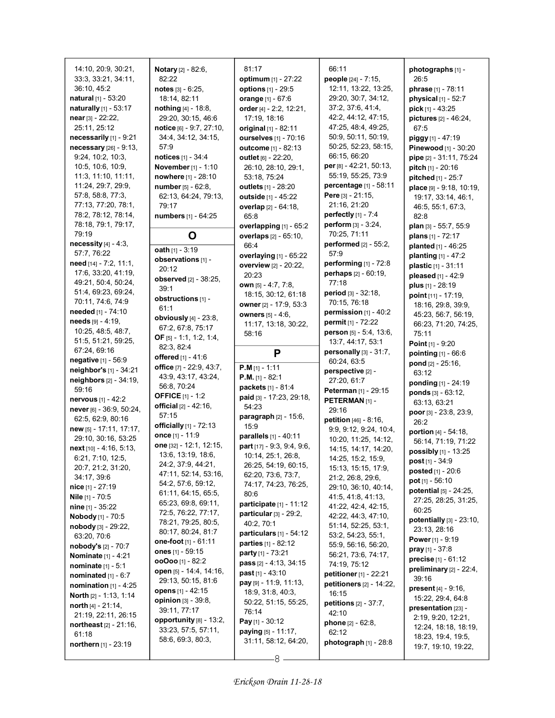14:10, 20:9, 30:21, 33:3, 33:21, 34:11, 36:10, 45:2 natural [1] - 53:20 naturally [1] - 53:17 near [3] - 22:22, 25:11, 25:12 necessarily [1] - 9:21 necessary [26] - 9:13, 9:24, 10:2, 10:3, 10:5, 10:6, 10:9, 11:3, 11:10, 11:11, 11:24, 29:7, 29:9, 57:8, 58:8, 77:3, 77:13, 77:20, 78:1, 78:2, 78:12, 78:14, 78:18, 79:1, 79:17, 79:19 necessity [4] - 4:3, 57:7, 76:22 need [14] - 7:2, 11:1, 17:6, 33:20, 41:19, 49:21, 50:4, 50:24, 51:4, 69:23, 69:24, 70:11, 74:6, 74:9 needed [1] - 74:10 needs [9] - 4:19, 10:25, 48:5, 48:7, 51:5, 51:21, 59:25, 67:24, 69:16 negative [1] - 56:9 neighbor's [1] - 34:21 neighbors [2] - 34:19, 59:16 nervous [1] - 42:2 never [6] - 36:9, 50:24, 62:5, 62:9, 80:16 new [5] - 17:11, 17:17, 29:10, 30:16, 53:25 next [10] - 4:16, 5:13, 6:21, 7:10, 12:5, 20:7, 21:2, 31:20, 34:17, 39:6 nice [1] - 27:19 Nile [1] - 70:5 nine [1] - 35:22 Nobody [1] - 70:5 nobody [3] - 29:22, 63:20, 70:6 nobody's [2] - 70:7 Nominate [1] - 4:21 nominate [1] - 5:1 nominated [1] - 6:7 nomination [1] - 4:25 North [2] - 1:13, 1:14 north [4] - 21:14, 21:19, 22:11, 26:15 northeast [2] - 21:16, 61:18 northern [1] - 23:19

Notary [2] - 82:6, 82:22 notes [3] - 6:25, 18:14, 82:11 nothing [4] - 18:8, 29:20, 30:15, 46:6 notice [6] - 9:7, 27:10, 34:4, 34:12, 34:15, 57:9 notices [1] - 34:4 November [1] - 1:10 nowhere [1] - 28:10 number [5] - 62:8, 62:13, 64:24, 79:13, 79:17 numbers [1] - 64:25 O oath  $[1] - 3:19$ observations [1] - 20:12 observed [2] - 38:25, 39:1 obstructions [1] - 61:1 obviously [4] - 23:8, 67:2, 67:8, 75:17 OF [5] - 1:1, 1:2, 1:4, 82:3, 82:4 offered [1] - 41:6 office [7] - 22:9, 43:7, 43:9, 43:17, 43:24, 56:8, 70:24 OFFICE [1] - 1:2 **official**  $[2] - 42:16$ , 57:15 officially [1] - 72:13 once [1] - 11:9 one [32] - 12:1, 12:15, 13:6, 13:19, 18:6, 24:2, 37:9, 44:21, 47:11, 52:14, 53:16, 54:2, 57:6, 59:12, 61:11, 64:15, 65:5, 65:23, 69:8, 69:11, 72:5, 76:22, 77:17, 78:21, 79:25, 80:5, 80:17, 80:24, 81:7 one-foot [1] - 61:11 ones [1] - 59:15 ooOoo [1] - 82:2 open [5] - 14:4, 14:16, 29:13, 50:15, 81:6 opens [1] - 42:15 opinion [3] - 39:8, 39:11, 77:17 opportunity [8] - 13:2, 33:23, 57:5, 57:11, 58:6, 69:3, 80:3,

81:17 optimum [1] - 27:22 options [1] - 29:5 orange [1] - 67:6 order [4] - 2:2, 12:21, 17:19, 18:16 original [1] - 82:11 ourselves [1] - 70:16 outcome [1] - 82:13 outlet [6] - 22:20, 26:10, 28:10, 29:1, 53:18, 75:24 outlets [1] - 28:20 outside [1] - 45:22 overlap [2] - 64:18, 65:8 overlapping [1] - 65:2 overlaps [2] - 65:10, 66:4 overlaying [1] - 65:22 overview [2] - 20:22, 20:23 own [5] - 4:7, 7:8, 18:15, 30:12, 61:18 owner [2] - 17:9, 53:3 owners [5] - 4:6, 11:17, 13:18, 30:22, 58:16 P P.M [1] - 1:11 P.M. [1] - 82:1 packets [1] - 81:4 paid [3] - 17:23, 29:18, 54:23 **paragraph**  $[2] - 15:6$ , 15:9 parallels [1] - 40:11 part [17] - 9:3, 9:4, 9:6, 10:14, 25:1, 26:8, 26:25, 54:19, 60:15, 62:20, 73:6, 73:7, 74:17, 74:23, 76:25, 80:6 participate [1] - 11:12 particular [3] - 29:2, 40:2, 70:1 particulars [1] - 54:12 parties [1] - 82:12 party [1] - 73:21 pass [2] - 4:13, 34:15 past [1] - 43:10 pay [9] - 11:9, 11:13, 18:9, 31:8, 40:3, 50:22, 51:15, 55:25, 76:14 Pay [1] - 30:12 paying [5] - 11:17, 31:11, 58:12, 64:20,

66:11 people [24] - 7:15, 12:11, 13:22, 13:25, 29:20, 30:7, 34:12, 37:2, 37:6, 41:4, 42:2, 44:12, 47:15, 47:25, 48:4, 49:25, 50:9, 50:11, 50:19, 50:25, 52:23, 58:15, 66:15, 66:20 per [8] - 42:21, 50:13, 55:19, 55:25, 73:9 percentage [1] - 58:11 Pere [3] - 21:15, 21:16, 21:20 perfectly [1] - 7:4 perform [3] - 3:24, 70:25, 71:11 performed [2] - 55:2, 57:9 performing [1] - 72:8 perhaps [2] - 60:19, 77:18 period [3] - 32:18, 70:15, 76:18 permission [1] - 40:2 permit [1] - 72:22 person [5] - 5:4, 13:6, 13:7, 44:17, 53:1 personally  $[3]$  -  $31:7$ , 60:24, 63:5 perspective [2] -27:20, 61:7 Peterman [1] - 29:15 PETERMAN<sub>[1]</sub> -29:16 petition [46] - 8:16, 9:9, 9:12, 9:24, 10:4, 10:20, 11:25, 14:12, 14:15, 14:17, 14:20, 14:25, 15:2, 15:9, 15:13, 15:15, 17:9, 21:2, 26:8, 29:6, 29:10, 36:10, 40:14, 41:5, 41:8, 41:13, 41:22, 42:4, 42:15, 42:22, 44:3, 47:10, 51:14, 52:25, 53:1, 53:2, 54:23, 55:1, 55:9, 56:16, 56:20, 56:21, 73:6, 74:17, 74:19, 75:12 petitioner [1] - 22:21 petitioners [2] - 14:22, 16:15 petitions [2] - 37:7, 42:10 phone [2] - 62:8, 62:12 photograph [1] - 28:8

photographs [1] - 26:5 phrase [1] - 78:11 physical [1] - 52:7 pick [1] - 43:25 pictures [2] - 46:24, 67:5 piggy [1] - 47:19 Pinewood [1] - 30:20 pipe [2] - 31:11, 75:24 pitch [1] - 20:16 pitched [1] - 25:7 place [9] - 9:18, 10:19, 19:17, 33:14, 46:1, 46:5, 55:1, 67:3, 82:8 plan [3] - 55:7, 55:9 plans [1] - 72:17 planted [1] - 46:25 planting [1] - 47:2 plastic [1] - 31:11 pleased [1] - 42:9 plus [1] - 28:19 point [11] - 17:19, 18:16, 29:8, 39:9, 45:23, 56:7, 56:19, 66:23, 71:20, 74:25, 75:11 Point [1] - 9:20 pointing [1] - 66:6 pond [2] - 25:16, 63:12 ponding [1] - 24:19 ponds [3] - 63:12, 63:13, 63:21 poor [3] - 23:8, 23:9, 26:2 portion [4] - 54:18, 56:14, 71:19, 71:22 possibly [1] - 13:25 post [1] - 34:9 posted [1] - 20:6 pot [1] - 56:10 **potential**  $[5] - 24:25$ , 27:25, 28:25, 31:25, 60:25 potentially [3] - 23:10, 23:13, 28:16 Power [1] - 9:19 pray [1] - 37:8 precise [1] - 61:12 preliminary [2] - 22:4, 39:16 present [4] - 9:16, 15:22, 29:4, 64:8 presentation [23] -2:19, 9:20, 12:21, 12:24, 18:18, 18:19, 18:23, 19:4, 19:5, 19:7, 19:10, 19:22,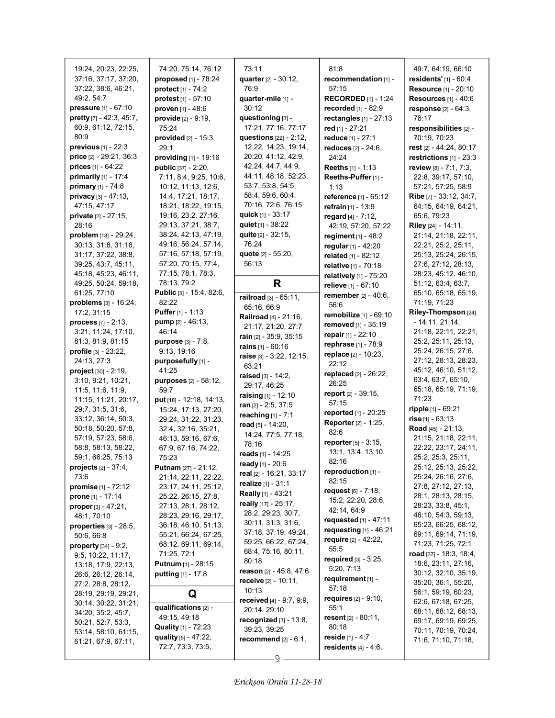| 19:24, 20:23, 22:25,<br>37:16, 37:17, 37:20,         | 74:20, 75:14, 76:12<br>proposed [1] - 78:24      | 73:11<br>quarter [2] - 30:12,                | 81.8<br>recommendation [1] -                   | 49.7, 64.19, 66.10<br>residents' $[1] - 60.4$ |
|------------------------------------------------------|--------------------------------------------------|----------------------------------------------|------------------------------------------------|-----------------------------------------------|
| 37:22, 38:6, 46:21,                                  | protect [1] - 74:2                               | 76:9                                         | 57:15                                          | Resource [1] - 20:10                          |
| 49:2, 54:7                                           | protest $[1] - 57:10$                            | quarter-mile [1] -                           | <b>RECORDED</b> $[1]$ - 1:24                   | <b>Resources</b> [1] - 40:6                   |
| pressure [1] - 67:10                                 | proven [1] - 48:6                                | 30:12                                        | recorded [1] - 82:9                            | response [2] - 64:3.                          |
| pretty [7] - 42:3, 45:7,                             | provide [2] - 9:19,                              | questioning [3] -                            | rectangles $[1]$ - 27:13                       | 76:17                                         |
| 60:9, 61:12, 72:15,                                  | 75:24                                            | 17:21, 77:16, 77:17                          | red [1] - 27:21                                | responsibilities [2] -                        |
| 80:9                                                 | provided $[2] - 15.3$ ,                          | questions [22] - 2:12,                       | reduce [1] - 27:1                              | 70:19, 70:23                                  |
| <b>previous</b> $[1] - 22:3$                         | 29:1                                             | 12:22, 14:23, 19:14,                         | reduces $[2] - 24:6$ ,                         | rest [2] - 44:24, 80:17                       |
| price [2] - 29:21, 36:3                              | providing [1] - 19:16                            | 20:20, 41:12, 42:9,                          | 24:24                                          | restrictions [1] - 23:3                       |
| prices [1] - 64:22                                   | <b>public</b> [37] - 2:20,                       | 42:24, 44:7, 44:9,                           | Reeths [1] - 1:13                              | review [8] - 7:1, 7:3,                        |
| primarily [1] - 17:4                                 | 7:11, 8:4, 9:25, 10:6,                           | 44:11, 48:18, 52:23,                         | Reeths-Puffer [1] -                            | 22:8, 39:17, 57:10,                           |
| primary $[1] - 74.8$                                 | 10:12, 11:13, 12:6,                              | 53:7, 53:8, 54:5,                            | 1:13                                           | 57:21, 57:25, 58:9                            |
| privacy [3] - 47:13,                                 | 14:4, 17:21, 18:17,                              | 58:4, 59:6, 60:4,                            | reference [1] - 65:12                          | Ribe [7] - 33:12, 34:7,                       |
| 47:15, 47:17                                         | 18:21, 18:22, 19:15,                             | 70:16, 72:6, 76:15                           | refrain [1] - 13:9                             | 64:15, 64:19, 64:21,                          |
| private [2] - 27:15,                                 | 19:16, 23:2, 27:16,                              | quick $[1] - 33:17$                          | regard $[4] - 7:12$ ,                          | 65:6, 79:23                                   |
| 28:16                                                | 29:13, 37:21, 38:7,<br>38:24, 42:13, 47:19,      | quiet $[1] - 38:22$<br>quite $[2] - 32:15$ , | 42:19, 57:20, 57:22                            | Riley [24] - 14:11,                           |
| problem [18] - 29:24,<br>30:13, 31:8, 31:16,         | 49:16, 56:24, 57:14,                             | 76:24                                        | regiment $[1] - 48.2$                          | 21:14, 21:18, 22:11,                          |
| 31:17, 37:22, 38:8,                                  | 57:16, 57:18, 57:19,                             | quote [2] - 55:20,                           | regular $[1] - 42:20$<br>related [1] - 82:12   | 22:21, 25:2, 25:11,<br>25:13, 25:24, 26:15,   |
| 39:25, 43:7, 45:11,                                  | 57:20, 70:15, 77:4,                              | 56:13                                        |                                                | 27:6, 27:12, 28:13,                           |
| 45:18, 45:23, 46:11,                                 | 77:15, 78:1, 78:3,                               |                                              | relative [1] - 70:18<br>relatively [1] - 75:20 | 28:23, 45:12, 46:10,                          |
| 49:25, 50:24, 59:18,                                 | 78:13, 79:2                                      | R                                            | relieve [1] - 67:10                            | 51:12, 63:4, 63:7,                            |
| 61:25, 77:10                                         | Public [3] - 15:4, 82:6,                         |                                              | remember [2] - 40:6,                           | 65:10, 65:18, 65:19,                          |
| problems [3] - 16:24,                                | 82:22                                            | railroad [3] - 65:11,                        | 56:6                                           | 71:19, 71:23                                  |
| 17:2, 31:15                                          | <b>Puffer</b> $[1] - 1:13$                       | 65:16, 66:9<br>Railroad [4] - 21:16,         | remobilize [1] - 69:10                         | Riley-Thompson [24]                           |
| process $[7] - 2:13$ ,                               | pump [2] - 46:13,                                | 21:17, 21:20, 27:7                           | removed [1] - 35:19                            | $-14.11, 21.14,$                              |
| 3:21, 11:24, 17:10,                                  | 46:14                                            | rain [2] - 35:9, 35:15                       | repair $[1] - 22:10$                           | 21:18, 22:11, 22:21,                          |
| 81:3, 81:9, 81:15                                    | <b>purpose</b> [3] - 7:8,                        | rains [1] - 60:16                            | rephrase [1] - 78:9                            | 25:2, 25:11, 25:13,                           |
| <b>profile</b> $[3] - 23:22$ ,                       | 9:13, 19:16                                      | raise [3] - 3:22, 12:15,                     | replace [2] - 10:23,                           | 25:24, 26:15, 27:6,                           |
| 24:13, 27:3                                          | purposefully [1] -                               | 63:21                                        | 22:12                                          | 27:12, 28:13, 28:23,                          |
| $project [30] - 2:19,$                               | 41:25                                            | raised $[3] - 14:2$ ,                        | replaced $[2] - 26:22$ ,                       | 45:12, 46:10, 51:12,                          |
| 3:10, 9:21, 10:21,                                   | <b>purposes</b> [2] - 58:12,                     | 29:17, 46:25                                 | 26:25                                          | 63:4, 63:7, 65:10,                            |
| 11.5, 11.6, 11.9,<br>11:15, 11:21, 20:17,            | 59:7                                             | raising [1] - 12:10                          | <b>report</b> $[2] - 39:15$ ,                  | 65:18, 65:19, 71:19,<br>71:23                 |
| 29:7, 31:5, 31:6,                                    | put [18] - 12:18, 14:13,<br>15:24, 17:13, 27:20, | ran $[2] - 2:5, 37:5$                        | 57:15                                          | ripple [1] - 69:21                            |
| 33:12, 36:14, 50:3,                                  | 29:24, 31:22, 31:23,                             | reaching $[1] - 7:1$                         | reported [1] - 20:25                           | rise [1] - 63:13                              |
| 50:18, 50:20, 57:8,                                  | 32:4, 32:16, 35:21,                              | read [5] - 14:20,                            | Reporter [2] - 1:25,                           | Road [45] - 21:13,                            |
| 57:19, 57:23, 58:6,                                  | 46:13, 59:16, 67:6,                              | 14:24, 77:5, 77:18,                          | 82:6                                           | 21:15, 21:18, 22:11,                          |
| 58:8, 58:13, 58:22,                                  | 67:9, 67:16, 74:22,                              | 78:16                                        | <b>reporter</b> $[5] - 3:15$ ,                 | 22:22, 23:17, 24:11,                          |
| 59:1, 66:25, 75:13                                   | 75:23                                            | reads [1] - 14:25                            | 13:1, 13:4, 13:10,<br>82:16                    | 25:2, 25:3, 25:11,                            |
| <b>projects</b> [2] - 37:4,                          | <b>Putnam</b> $[27] - 21:12$                     | ready [1] - 20:6                             | reproduction [1] -                             | 25:12, 25:13, 25:22,                          |
| 73:6                                                 | 21:14, 22:11, 22:22,                             | real [2] - 16:21, 33:17                      | 82:15                                          | 25:24, 26:16, 27:6,                           |
| <b>promise</b> $[1] - 72:12$                         | 23:17, 24:11, 25:12,                             | realize [1] - 31:1                           | request $[6] - 7:18$ ,                         | 27:8, 27:12, 27:13,                           |
| prone [1] - 17:14                                    | 25:22, 26:15, 27:8,                              | Really [1] - 43:21                           | 15:2, 22:20, 28:6,                             | 28:1, 28:13, 28:15,                           |
| <b>proper</b> [3] $- 47:21,$                         | 27:13, 28:1, 28:12,                              | really [17] - 25:17,<br>28:2, 29:23, 30:7,   | 42:14, 64:9                                    | 28:23, 33:8, 45:1,                            |
| 48:1, 70:10                                          | 28:23, 29:16, 29:17,                             | 30:11, 31:3, 31:6,                           | requested $[1] - 47:11$                        | 46:10, 54:3, 59:13,                           |
| properties $[3]$ - 28:5,                             | 36:18, 46:10, 51:13,                             | 37:18, 37:19, 49:24,                         | requesting $[1]$ - 46:21                       | 65:23, 66:25, 68:12,<br>69:11, 69:14, 71:19,  |
| 50:6, 66:8                                           | 55:21, 66:24, 67:25,<br>68:12, 69:11, 69:14,     | 59:25, 66:22, 67:24,                         | require [2] - 42:22,                           | 71:23, 71:25, 72:1                            |
| <b>property</b> $[34] - 9.2$ ,<br>9:5, 10:22, 11:17, | 71:25, 72:1                                      | 68:4, 75:16, 80:11,                          | 55.5                                           | road $[37] - 18.3, 18.4,$                     |
| 13:18, 17:9, 22:13,                                  | Putnum [1] - 28:15                               | 80:18                                        | required $[3] - 3.25$ ,                        | 18:6, 23:11, 27:16,                           |
| 26.6, 26.12, 26.14,                                  | <b>putting</b> $[1] - 17.8$                      | reason [2] - 45:8, 47:6                      | 5:20, 7:13                                     | 30:12, 32:10, 35:19,                          |
| 27:2, 28:8, 28:12,                                   |                                                  | receive [2] - 10:11,                         | requirement [1] -                              | 35:20, 36:1, 55:20,                           |
| 28:19, 29:19, 29:21,                                 | Q                                                | 10:13                                        | 57:18                                          | 56:1, 59:19, 60:23,                           |
| 30:14, 30:22, 31:21,                                 | qualifications [2] -                             | received [4] - 9:7, 9:9,                     | <b>requires</b> $[2] - 9:10$ ,                 | 62:6, 67:18, 67:25,                           |
| 34.20, 35:2, 45:7,                                   | 49:15, 49:18                                     | 20:14, 29:10                                 | 55:1<br>resent $[2] - 80.11$ ,                 | 68:11, 68:12, 68:13,                          |
| 50:21, 52:7, 53:3,                                   | <b>Quality</b> [1] - 72:23                       | recognized $[3]$ - 13:8,                     | 80:18                                          | 69:17, 69:19, 69:25,                          |
| 53:14, 58:10, 61:15,                                 | quality $[5] - 47:22$ ,                          | 39:23, 39:25                                 | reside $[1] - 4:7$                             | 70:11, 70:19, 70:24,                          |
| 61:21, 67:9, 67:11,                                  | 72:7, 73:3, 73:5,                                | recommend $[2] - 6:1$ ,                      | residents $[4] - 4.6$ ,                        | 71:6, 71:10, 71:18,                           |
|                                                      |                                                  | 9                                            |                                                |                                               |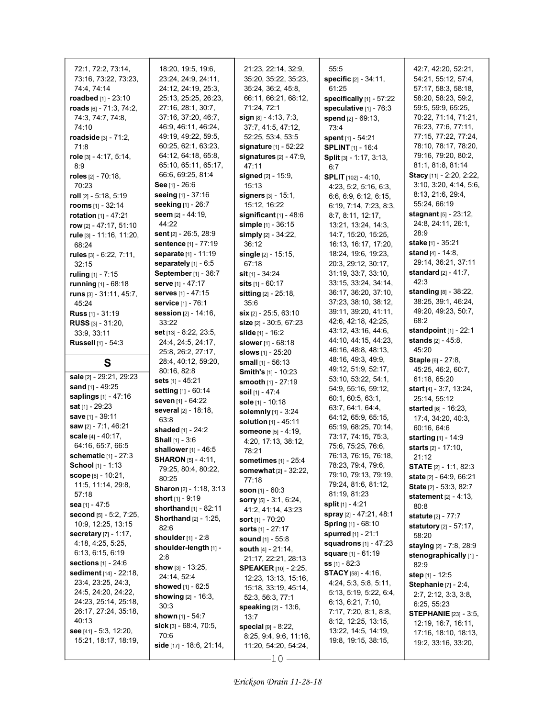| 72:1, 72:2, 73:14,            | 18:20, 19:5, 19:6,               | 21:23, 22:14, 32:9,                            | 55:5                       | 42:7, 42:20, 52:21,                         |
|-------------------------------|----------------------------------|------------------------------------------------|----------------------------|---------------------------------------------|
| 73:16, 73:22, 73:23,          | 23:24, 24:9, 24:11,              | 35:20, 35:22, 35:23,                           | specific [2] - 34:11,      | 54:21, 55:12, 57:4,                         |
| 74:4, 74:14                   | 24:12, 24:19, 25:3,              | 35:24, 36:2, 45:8,                             | 61:25                      | 57:17, 58:3, 58:18,                         |
| roadbed [1] - 23:10           | 25:13, 25:25, 26:23,             | 66:11, 66:21, 68:12,                           | specifically [1] - 57:22   | 58:20, 58:23, 59:2,                         |
|                               |                                  |                                                |                            |                                             |
| roads [6] - 71:3, 74:2,       | 27:16, 28:1, 30:7,               | 71:24, 72:1                                    | speculative [1] - 76:3     | 59:5, 59:9, 65:25,                          |
| 74:3, 74:7, 74:8,             | 37:16, 37:20, 46:7,              | $sign [8] - 4:13, 7:3,$                        | spend [2] - 69:13.         | 70:22, 71:14, 71:21,                        |
| 74:10                         | 46.9, 46.11, 46.24,              | 37:7, 41:5, 47:12,                             | 73:4                       | 76:23, 77:6, 77:11,                         |
| roadside $[3] - 71:2,$        | 49:19, 49:22, 59:5,              | 52:25, 53:4, 53:5                              | spent $[1] - 54:21$        | 77:15, 77:22, 77:24,                        |
| 71:8                          | 60:25, 62:1, 63:23,              | signature [1] - 52:22                          | <b>SPLINT</b> [1] - 16:4   | 78:10, 78:17, 78:20,                        |
| role [3] - 4:17, 5:14,        | 64:12, 64:18, 65:8,              | signatures $[2] - 47:9$ ,                      | Split [3] - 1:17, 3:13,    | 79:16, 79:20, 80:2,                         |
| 8:9                           | 65:10, 65:11, 65:17,             | 47:11                                          | 6:7                        | 81:1, 81:8, 81:14                           |
| roles [2] - 70:18,            | 66:6, 69:25, 81:4                | <b>signed</b> [2] - 15:9,                      | <b>SPLIT</b> [102] - 4:10, | Stacy [11] - 2:20, 2:22,                    |
| 70:23                         | See [1] - $26.6$                 | 15:13                                          | 4:23, 5:2, 5:16, 6:3,      | 3:10, 3:20, 4:14, 5:6,                      |
| roll $[2] - 5:18, 5:19$       | seeing [1] - 37:16               | <b>signers</b> $[3] - 15.1$ ,                  | 6.6, 6.9, 6.12, 6.15,      | 8:13, 21:6, 29:4,                           |
| <b>rooms</b> $[1] - 32:14$    | seeking [1] - 26:7               | 15:12, 16:22                                   | 6:19, 7:14, 7:23, 8:3,     | 55:24, 66:19                                |
|                               | seem $[2] - 44:19$ ,             |                                                |                            | <b>stagnant</b> [5] - 23:12,                |
| rotation [1] - 47:21          | 44:22                            | significant $[1]$ - 48:6                       | 8:7, 8:11, 12:17,          | 24:8, 24:11, 26:1,                          |
| row [2] - 47:17, 51:10        |                                  | simple [1] - 36:15                             | 13:21, 13:24, 14:3,        | 28:9                                        |
| rule [3] - 11:16, 11:20,      | sent [2] - 26:5, 28:9            | simply [2] - 34:22,                            | 14:7, 15:20, 15:25,        |                                             |
| 68:24                         | sentence [1] - 77:19             | 36:12                                          | 16:13, 16:17, 17:20,       | stake [1] - 35:21                           |
| rules [3] - 6.22, 7:11,       | separate [1] - 11:19             | single [2] - 15:15,                            | 18:24, 19:6, 19:23,        | <b>stand</b> $[4] - 14.8$ ,                 |
| 32:15                         | separately [1] - 6:5             | 67:18                                          | 20:3, 29:12, 30:17,        | 29:14, 36:21, 37:11                         |
| ruling $[1] - 7:15$           | September [1] - 36:7             | <b>sit</b> [1] - 34:24                         | 31:19, 33:7, 33:10,        | <b>standard</b> $[2] - 41:7$ ,              |
| running [1] - 68:18           | serve [1] - 47:17                | sits [1] - 60:17                               | 33:15, 33:24, 34:14,       | 42:3                                        |
| runs [3] - 31:11, 45:7,       | serves [1] - 47:15               | sitting [2] - 25:18,                           | 36:17, 36:20, 37:10,       | standing [8] - 38:22,                       |
| 45:24                         | service [1] - 76:1               | 35:6                                           | 37:23, 38:10, 38:12,       | 38:25, 39:1, 46:24,                         |
| <b>Russ</b> [1] - 31:19       | session [2] - 14:16,             | <b>six</b> $[2]$ - 25:5, 63:10                 | 39:11, 39:20, 41:11,       | 49:20, 49:23, 50:7,                         |
| <b>RUSS</b> $[3] - 31:20$ ,   | 33:22                            | size [2] - 30:5, 67:23                         | 42:6, 42:18, 42:25,        | 68:2                                        |
|                               | set [13] - 8:22, 23:5,           | slide [1] - 16:2                               | 43:12, 43:16, 44:6,        | standpoint $[1]$ - 22:1                     |
| 33.9, 33.11                   | 24:4, 24:5, 24:17,               |                                                | 44:10, 44:15, 44:23,       | <b>stands</b> $[2] - 45:8$ ,                |
| <b>Russell</b> [1] - 54:3     |                                  | slower [1] - 68:18                             | 46:16, 48:8, 48:13,        | 45:20                                       |
|                               | 25.8, 26.2, 27.17,               | slows [1] - 25:20                              |                            |                                             |
|                               |                                  |                                                |                            |                                             |
| S                             | 28:4, 40:12, 59:20,              | small $[1] - 56:13$                            | 48:16, 49:3, 49:9,         | Staple [6] - 27:8,                          |
|                               | 80:16, 82:8                      | <b>Smith's [1] - 10:23</b>                     | 49:12, 51:9, 52:17,        | 45:25, 46:2, 60:7,                          |
| sale [2] - 29:21, 29:23       | sets [1] - 45:21                 | smooth [1] - 27:19                             | 53:10, 53:22, 54:1,        | 61:18, 65:20                                |
| sand $[1] - 49.25$            | setting [1] - 60:14              | soil [1] - 47:4                                | 54:9, 55:16, 59:12,        | start [4] - 3:7, 13:24,                     |
| saplings [1] - 47:16          | seven [1] - 64:22                | sole [1] - 10:18                               | 60:1, 60:5, 63:1,          | 25:14, 55:12                                |
| <b>sat</b> [1] - 29:23        | several [2] - 18:18,             |                                                | 63.7, 64.1, 64.4,          | started [6] - 16:23,                        |
| save [1] - 39:11              | 63:8                             | solemnly [1] - 3:24                            | 64:12, 65:9, 65:15,        | 17:4, 34:20, 40:3,                          |
| saw [2] - 7:1, 46:21          | shaded [1] - 24:2                | solution [1] - 45:11                           | 65:19, 68:25, 70:14,       | 60:16, 64:6                                 |
| scale $[4] - 40:17$ ,         | Shall [1] - 3:6                  | someone [5] - 4:19,                            | 73:17, 74:15, 75:3,        | starting [1] - 14:9                         |
| 64:16, 65:7, 66:5             |                                  | 4:20, 17:13, 38:12,                            | 75:6, 75:25, 76:6,         | starts [2] - 17:10,                         |
| <b>schematic</b> $[1] - 27:3$ | shallower $[1]$ - 46:5           | 78:21                                          | 76:13, 76:15, 76:18,       | 21:12                                       |
| School [1] - 1:13             | <b>SHARON</b> [5] - 4:11,        | sometimes [1] - 25:4                           | 78:23, 79:4, 79:6,         |                                             |
| <b>scope</b> $[6] - 10:21$ ,  | 79:25, 80:4, 80:22,              | somewhat [2] - 32:22,                          | 79:10, 79:13, 79:19,       | <b>STATE</b> [2] - 1:1, 82:3                |
| 11:5, 11:14, 29:8,            | 80:25                            | 77:18                                          | 79:24, 81:6, 81:12,        | state [2] - 64:9, 66:21                     |
| 57:18                         | Sharon [2] - 1:18, 3:13          | soon $[1] - 60:3$                              | 81:19, 81:23               | State [2] - 53:3, 82:7                      |
|                               | short $[1]$ - 9:19               | sorry [5] - 3:1, 6:24,                         | split $[1] - 4:21$         | <b>statement</b> [2] - 4:13,                |
| sea [1] - 47:5                | <b>shorthand</b> $[1] - 82:11$   | 41:2, 41:14, 43:23                             |                            | 80:8                                        |
| second [5] - 5:2, 7:25,       | <b>Shorthand</b> [2] - 1:25,     | <b>sort</b> [1] - 70:20                        | spray [2] - 47:21, 48:1    | <b>statute</b> [2] - 77:7                   |
| 10:9, 12:25, 13:15            | 82:6                             | <b>sorts</b> $[1] - 27:17$                     | <b>Spring</b> [1] - 68:10  | statutory [2] - 57:17,                      |
| <b>secretary</b> [7] - 1:17,  | <b>shoulder</b> $[1] - 2.8$      | sound [1] - 55:8                               | spurred [1] - 21:1         | 58:20                                       |
| 4:18, 4:25, 5:25,             | shoulder-length [1] -            | south $[4] - 21:14$ ,                          | squadrons [1] - 47:23      | staying [2] - 7:8, 28:9                     |
| 6:13, 6:15, 6:19              | 2:8                              | 21:17, 22:21, 28:13                            | <b>square</b> [1] - 61:19  | stenographically [1] -                      |
| sections [1] - 24:6           | show $[3] - 13:25$ ,             |                                                | $ss$ [1] - 82:3            | 82:9                                        |
| sediment [14] - 22:18,        | 24:14, 52:4                      | <b>SPEAKER</b> [10] - 2:25,                    | <b>STACY</b> [58] - 4:16,  | step [1] - 12:5                             |
| 23:4, 23:25, 24:3,            | showed [1] - 62:5                | 12:23, 13:13, 15:16,                           | 4:24, 5:3, 5:8, 5:11,      | <b>Stephanie</b> [7] - 2:4,                 |
| 24:5, 24:20, 24:22,           |                                  | 15:18, 33:19, 45:14,                           | 5:13, 5:19, 5:22, 6:4,     | 2:7, 2:12, 3:3, 3:8,                        |
| 24:23, 25:14, 25:18,          | <b>showing</b> $[2] - 16:3$ ,    | 52:3, 56:3, 77:1                               | 6:13, 6:21, 7:10,          | 6:25, 55:23                                 |
| 26:17, 27:24, 35:18,          | 30:3                             | <b>speaking</b> [2] - 13:6,                    | 7:17, 7:20, 8:1, 8:8,      | <b>STEPHANIE</b> [23] - 3:5,                |
| 40:13                         | shown [1] - 54:7                 | 13:7                                           | 8:12, 12:25, 13:15,        | 12:19, 16:7, 16:11,                         |
| see [41] - 5:3, 12:20,        | sick [3] - 68:4, 70:5,           | special [9] - 8:22,                            | 13:22, 14:5, 14:19,        |                                             |
| 15:21, 18:17, 18:19,          | 70:6<br>side [17] - 18:6, 21:14, | 8:25, 9:4, 9:6, 11:16,<br>11:20, 54:20, 54:24, | 19:8, 19:15, 38:15,        | 17:16, 18:10, 18:13,<br>19:2, 33:16, 33:20, |

 $-10-$ 

I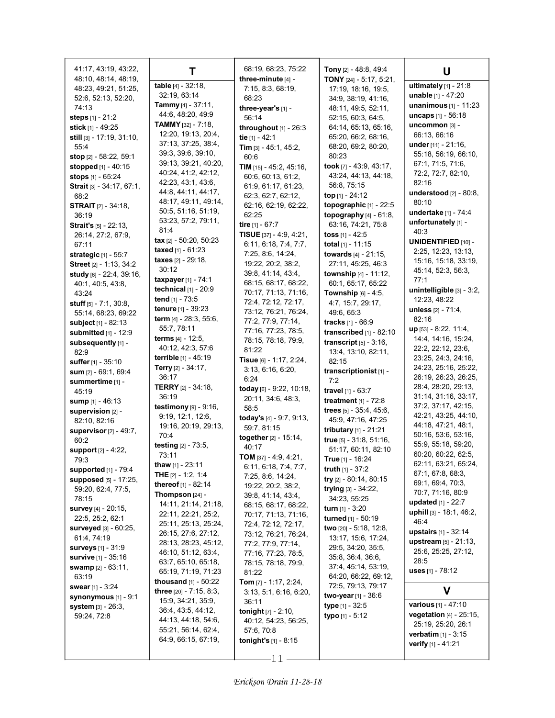| 41:17, 43:19, 43:22,                        | т                                           | 68:19, 68:23, 75:22                       | Tony [2] - 48:8, 49:4                            | U                                           |
|---------------------------------------------|---------------------------------------------|-------------------------------------------|--------------------------------------------------|---------------------------------------------|
| 48:10, 48:14, 48:19,                        | table [4] - 32:18,                          | three-minute [4] -                        | TONY $[24]$ - 5:17, 5:21,                        | ultimately [1] - 21:8                       |
| 48:23, 49:21, 51:25,                        | 32:19, 63:14                                | 7:15, 8:3, 68:19,                         | 17:19, 18:16, 19:5,                              | <b>unable</b> $[1] - 47:20$                 |
| 52:6, 52:13, 52:20,                         | <b>Tammy</b> [4] - $37:11$ ,                | 68:23                                     | 34:9, 38:19, 41:16,                              | unanimous [1] - 11:23                       |
| 74:13                                       | 44.6, 48.20, 49.9                           | three-year's [1] -                        | 48:11, 49:5, 52:11,                              | <b>uncaps</b> $[1] - 56:18$                 |
| steps [1] - 21:2                            | <b>TAMMY</b> [32] - 7:18,                   | 56:14                                     | 52:15, 60:3, 64:5,                               | uncommon [3] -                              |
| <b>stick</b> [1] - 49:25                    | 12:20, 19:13, 20:4,                         | throughout $[1]$ - 26:3                   | 64:14, 65:13, 65:16,                             | 66:13, 66:16                                |
| still [3] - 17:19, 31:10,                   | 37:13, 37:25, 38:4,                         | tie [1] - 42:1                            | 65:20, 66:2, 68:16,                              | under [11] - 21:16,                         |
| 55:4<br>stop [2] - 58:22, 59:1              | 39.3, 39.6, 39.10,                          | Tim $[3] - 45:1, 45:2,$                   | 68:20, 69:2, 80:20,<br>80:23                     | 55:18, 56:19, 66:10,                        |
|                                             | 39:13, 39:21, 40:20,                        | 60:6                                      | took [7] - 43:9, 43:17,                          | 67:1, 71:5, 71:6,                           |
| stopped [1] - 40:15                         | 40:24, 41:2, 42:12,                         | TIM $[15] - 45.2, 45.16$ ,                | 43:24, 44:13, 44:18,                             | 72:2, 72:7, 82:10,                          |
| stops [1] - 65:24                           | 42:23, 43:1, 43:6,                          | 60:6, 60:13, 61:2,<br>61:9, 61:17, 61:23, | 56:8, 75:15                                      | 82:16                                       |
| Strait [3] - 34:17, 67:1,<br>68.2           | 44:8, 44:11, 44:17,                         | 62:3, 62:7, 62:12,                        | top $[1] - 24:12$                                | understood [2] - 80:8,                      |
| <b>STRAIT</b> [2] - 34:18,                  | 48:17, 49:11, 49:14,                        | 62:16, 62:19, 62:22,                      | topographic [1] - 22:5                           | 80:10                                       |
| 36:19                                       | 50:5, 51:16, 51:19,                         | 62:25                                     | topography $[4]$ - $61:8$ ,                      | undertake [1] - 74:4                        |
| <b>Strait's</b> $[5]$ - 22:13,              | 53:23, 57:2, 79:11,                         | tire [1] - 67:7                           | 63:16, 74:21, 75:8                               | unfortunately [1] -                         |
| 26:14, 27:2, 67:9,                          | 81.4                                        | TISUE $[37] - 4:9, 4:21,$                 | toss $[1] - 42.5$                                | 40:3                                        |
| 67:11                                       | tax $[2] - 50:20, 50:23$                    | 6:11, 6:18, 7:4, 7:7,                     | total [1] - 11:15                                | <b>UNIDENTIFIED [10] -</b>                  |
| strategic [1] - 55:7                        | taxed [1] - 61:23                           | 7:25, 8:6, 14:24,                         | towards [4] - 21:15.                             | 2:25, 12:23, 13:13,                         |
| Street [2] - 1:13, 34:2                     | taxes [2] - 29:18,                          | 19:22, 20:2, 38:2,                        | 27:11, 45:25, 46:3                               | 15:16, 15:18, 33:19,                        |
| study [6] - 22:4, 39:16,                    | 30:12                                       | 39:8, 41:14, 43:4,                        | township [4] - 11:12,                            | 45:14, 52:3, 56:3,                          |
| 40:1, 40:5, 43:8,                           | $taxpayer_{[1]} - 74:1$                     | 68:15, 68:17, 68:22,                      | 60:1, 65:17, 65:22                               | 77:1                                        |
| 43:24                                       | technical [1] - 20:9                        | 70:17, 71:13, 71:16,                      | <b>Township</b> $[6] - 4.5$ ,                    | unintelligible [3] - 3:2,                   |
| stuff [5] - 7:1, 30:8,                      | tend [1] - 73:5                             | 72:4, 72:12, 72:17,                       | 4:7, 15:7, 29:17,                                | 12:23, 48:22                                |
| 55:14, 68:23, 69:22                         | tenure [1] - 39:23                          | 73:12, 76:21, 76:24,                      | 49:6, 65:3                                       | unless [2] - 71:4,                          |
| subject [1] - 82:13                         | term [4] - 28:3, 55:6,                      | 77:2, 77:9, 77:14,                        | tracks [1] - 66:9                                | 82:16                                       |
| submitted [1] - 12:9                        | 55:7, 78:11                                 | 77:16, 77:23, 78:5,                       | transcribed [1] - 82:10                          | $up$ [53] - 8:22, 11:4,                     |
| subsequently [1] -                          | terms [4] - 12:5,                           | 78:15, 78:18, 79:9,                       | transcript $[5] - 3.16$ ,                        | 14:4, 14:16, 15:24,                         |
| 82:9                                        | 40.12, 42.3, 57.6<br>terrible [1] - 45:19   | 81:22                                     | 13:4, 13:10, 82:11,                              | 22:2, 22:12, 23:6,                          |
| suffer [1] - 35:10                          | Terry [2] - 34:17,                          | Tisue [6] - 1:17, 2:24,                   | 82:15                                            | 23:25, 24:3, 24:16,<br>24:23, 25:16, 25:22, |
| sum $[2] - 69:1, 69:4$                      | 36:17                                       | 3:13, 6:16, 6:20,                         | transcriptionist <sub>[1]</sub> -                | 26:19, 26:23, 26:25,                        |
| summertime [1] -                            | <b>TERRY</b> $[2] - 34:18$                  | 6:24<br>today [6] - 9:22, 10:18,          | 7:2                                              | 28:4, 28:20, 29:13,                         |
| 45:19                                       | 36:19                                       | 20:11, 34:6, 48:3,                        | travel [1] - 63:7                                | 31:14, 31:16, 33:17,                        |
| sump $[1] - 46:13$                          | testimony [9] - 9:16,                       | 58:5                                      | treatment $[1]$ - 72:8                           | 37:2, 37:17, 42:15,                         |
| supervision [2] -                           | 9:19, 12:1, 12:6,                           | today's [4] - 9:7, 9:13,                  | trees $[5] - 35.4, 45.6,$                        | 42:21, 43:25, 44:10,                        |
| 82:10, 82:16                                | 19:16, 20:19, 29:13,                        | 59:7, 81:15                               | 45:9, 47:16, 47:25                               | 44:18, 47:21, 48:1,                         |
| supervisor $[2] - 49:7$ ,                   | 70:4                                        | together [2] - 15:14,                     | tributary [1] - 21:21<br>true [5] - 31:8, 51:16, | 50:16, 53:6, 53:16,                         |
| 60:2                                        | <b>testing</b> $[2] - 73.5$ ,               | 40:17                                     | 51:17, 60:11, 82:10                              | 55:9, 55:18, 59:20,                         |
| <b>support</b> [2] - 4:22,<br>79:3          | 73:11                                       | TOM $[37] - 4.9, 4.21,$                   | True [1] - 16:24                                 | 60:20, 60:22, 62:5,                         |
| supported [1] - 79:4                        | thaw [1] - 23:11                            | 6:11, 6:18, 7:4, 7:7,                     | <b>truth</b> $[1] - 37:2$                        | 62:11, 63:21, 65:24,                        |
| supposed [5] - 17:25,                       | THE $[2] - 1.2, 1.4$                        | 7:25, 8:6, 14:24,                         | try [2] - 80:14, 80:15                           | 67:1, 67:8, 68:3,                           |
| 59:20, 62:4, 77:5,                          | thereof [1] - 82:14                         | 19:22, 20:2, 38:2,                        | trying [3] - 34:22,                              | 69:1, 69:4, 70:3,                           |
| 78:15                                       | Thompson $[24]$ -                           | 39.8, 41.14, 43.4,                        | 34:23, 55:25                                     | 70:7, 71:16, 80:9                           |
| <b>survey</b> [4] - 20:15,                  | 14:11, 21:14, 21:18,                        | 68:15, 68:17, 68:22,                      | <b>turn</b> $[1] - 3:20$                         | updated [1] - 22:7                          |
| 22:5, 25:2, 62:1                            | 22:11, 22:21, 25:2,                         | 70:17, 71:13, 71:16,                      | turned [1] - 50:19                               | uphill [3] - 18:1, 46:2,<br>46:4            |
| surveyed [3] - 60:25,                       | 25:11, 25:13, 25:24,                        | 72:4, 72:12, 72:17,                       | two [20] - 5:18, 12:8,                           | upstairs [1] - 32:14                        |
| 61:4, 74:19                                 | 26:15, 27:6, 27:12,<br>28:13, 28:23, 45:12, | 73:12, 76:21, 76:24,                      | 13:17, 15:6, 17:24,                              | upstream [5] - 21:13,                       |
| surveys [1] - 31:9                          | 46:10, 51:12, 63:4,                         | 77:2, 77:9, 77:14,<br>77:16, 77:23, 78:5, | 29:5, 34:20, 35:5,                               | 25:6, 25:25, 27:12,                         |
| <b>survive</b> [1] - 35:16                  | 63:7, 65:10, 65:18,                         | 78:15, 78:18, 79:9,                       | 35.8, 36.4, 36.6,                                | 28:5                                        |
| swamp [2] - 63:11,                          | 65:19, 71:19, 71:23                         | 81:22                                     | 37:4, 45:14, 53:19,                              | uses $[1] - 78.12$                          |
| 63:19                                       | thousand $[1] - 50:22$                      | Tom $[7] - 1.17, 2.24,$                   | 64:20, 66:22, 69:12,                             |                                             |
| <b>swear</b> $[1]$ - 3:24                   | three [20] - 7:15, 8:3,                     | 3:13, 5:1, 6:16, 6:20,                    | 72:5, 79:13, 79:17                               | V                                           |
| synonymous $[1] - 9:1$                      | 15:9, 34:21, 35:9,                          | 36:11                                     | two-year $[1] - 36.6$<br>type [1] - 32:5         | <b>various</b> [1] - 47:10                  |
| <b>system</b> $[3] - 26:3$ ,<br>59:24, 72:8 | 36:4, 43:5, 44:12,                          | <b>tonight</b> $[7] - 2.10$ ,             | <b>typo</b> $[1] - 5:12$                         | <b>vegetation</b> $[4] - 25:15$ ,           |
|                                             | 44:13, 44:18, 54:6,                         | 40:12, 54:23, 56:25,                      |                                                  | 25:19, 25:20, 26:1                          |
|                                             | 55:21, 56:14, 62:4,                         | 57:6, 70:8                                |                                                  | <b>verbatim</b> $[1] - 3:15$                |
|                                             | 64.9, 66.15, 67.19,                         | <b>tonight's</b> $[1] - 8.15$             |                                                  | verify [1] - 41:21                          |
|                                             |                                             |                                           |                                                  |                                             |

 $-11-$ 

I